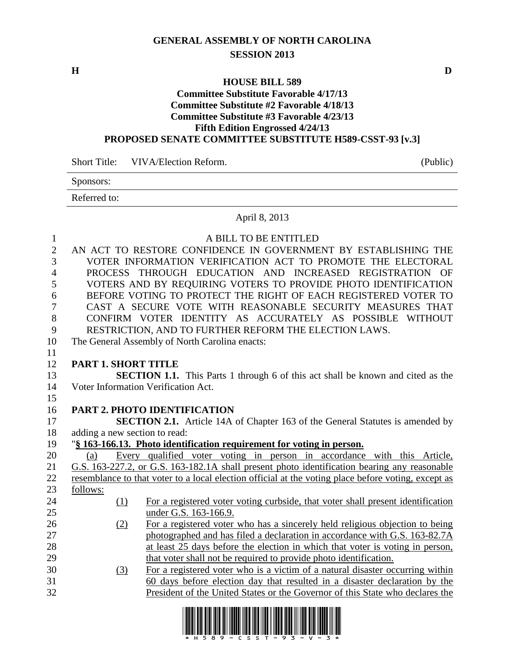# **GENERAL ASSEMBLY OF NORTH CAROLINA SESSION 2013**

**H D**

# **HOUSE BILL 589**

#### **Committee Substitute Favorable 4/17/13 Committee Substitute #2 Favorable 4/18/13 Committee Substitute #3 Favorable 4/23/13 Fifth Edition Engrossed 4/24/13 PROPOSED SENATE COMMITTEE SUBSTITUTE H589-CSST-93 [v.3]**

Short Title: VIVA/Election Reform. (Public)

| Sponsors:    |  |
|--------------|--|
| Referred to: |  |

## April 8, 2013

| $\mathbf{1}$   |                               | A BILL TO BE ENTITLED                                                                                                                                       |
|----------------|-------------------------------|-------------------------------------------------------------------------------------------------------------------------------------------------------------|
| $\overline{2}$ |                               | AN ACT TO RESTORE CONFIDENCE IN GOVERNMENT BY ESTABLISHING THE                                                                                              |
| $\overline{3}$ |                               | VOTER INFORMATION VERIFICATION ACT TO PROMOTE THE ELECTORAL                                                                                                 |
| $\overline{4}$ |                               | PROCESS THROUGH EDUCATION AND INCREASED REGISTRATION OF                                                                                                     |
| 5              |                               | VOTERS AND BY REQUIRING VOTERS TO PROVIDE PHOTO IDENTIFICATION                                                                                              |
| 6              |                               | BEFORE VOTING TO PROTECT THE RIGHT OF EACH REGISTERED VOTER TO                                                                                              |
| $\overline{7}$ |                               | CAST A SECURE VOTE WITH REASONABLE SECURITY MEASURES THAT                                                                                                   |
| 8              |                               | CONFIRM VOTER IDENTITY AS ACCURATELY AS POSSIBLE WITHOUT                                                                                                    |
| 9              |                               | RESTRICTION, AND TO FURTHER REFORM THE ELECTION LAWS.                                                                                                       |
| 10             |                               | The General Assembly of North Carolina enacts:                                                                                                              |
| 11             |                               |                                                                                                                                                             |
| 12             | <b>PART 1. SHORT TITLE</b>    |                                                                                                                                                             |
| 13             |                               | <b>SECTION 1.1.</b> This Parts 1 through 6 of this act shall be known and cited as the                                                                      |
| 14             |                               | Voter Information Verification Act.                                                                                                                         |
| 15             |                               |                                                                                                                                                             |
| 16             |                               | PART 2. PHOTO IDENTIFICATION                                                                                                                                |
|                |                               |                                                                                                                                                             |
| 17             |                               | <b>SECTION 2.1.</b> Article 14A of Chapter 163 of the General Statutes is amended by                                                                        |
| 18             | adding a new section to read: |                                                                                                                                                             |
| 19             |                               | "§ 163-166.13. Photo identification requirement for voting in person.                                                                                       |
| 20             | (a)                           | Every qualified voter voting in person in accordance with this Article,                                                                                     |
| 21             |                               | G.S. 163-227.2, or G.S. 163-182.1A shall present photo identification bearing any reasonable                                                                |
| 22             |                               | resemblance to that voter to a local election official at the voting place before voting, except as                                                         |
| 23             | follows:                      |                                                                                                                                                             |
| 24             | (1)                           | For a registered voter voting curbside, that voter shall present identification                                                                             |
| 25             |                               | under G.S. 163-166.9.                                                                                                                                       |
| 26             | (2)                           | For a registered voter who has a sincerely held religious objection to being                                                                                |
| 27             |                               | photographed and has filed a declaration in accordance with G.S. 163-82.7A                                                                                  |
| 28             |                               | at least 25 days before the election in which that voter is voting in person,                                                                               |
| 29             |                               | that voter shall not be required to provide photo identification.                                                                                           |
| 30             | (3)                           | For a registered voter who is a victim of a natural disaster occurring within                                                                               |
| 31<br>32       |                               | 60 days before election day that resulted in a disaster declaration by the<br>President of the United States or the Governor of this State who declares the |

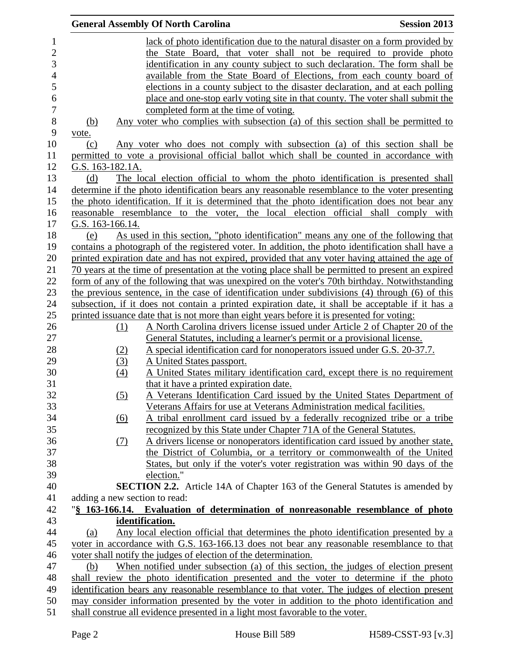|                               | <b>General Assembly Of North Carolina</b><br><b>Session 2013</b>                                       |  |
|-------------------------------|--------------------------------------------------------------------------------------------------------|--|
|                               | lack of photo identification due to the natural disaster on a form provided by                         |  |
|                               | the State Board, that voter shall not be required to provide photo                                     |  |
|                               | identification in any county subject to such declaration. The form shall be                            |  |
|                               | available from the State Board of Elections, from each county board of                                 |  |
|                               | elections in a county subject to the disaster declaration, and at each polling                         |  |
|                               | place and one-stop early voting site in that county. The voter shall submit the                        |  |
|                               | completed form at the time of voting.                                                                  |  |
| <u>(b)</u>                    | Any voter who complies with subsection (a) of this section shall be permitted to                       |  |
| vote.                         |                                                                                                        |  |
| (c)                           | Any voter who does not comply with subsection (a) of this section shall be                             |  |
|                               | permitted to vote a provisional official ballot which shall be counted in accordance with              |  |
| G.S. 163-182.1A.              |                                                                                                        |  |
| (d)                           | The local election official to whom the photo identification is presented shall                        |  |
|                               | determine if the photo identification bears any reasonable resemblance to the voter presenting         |  |
|                               | the photo identification. If it is determined that the photo identification does not bear any          |  |
|                               | reasonable resemblance to the voter, the local election official shall comply with                     |  |
| G.S. 163-166.14.              |                                                                                                        |  |
| (e)                           | As used in this section, "photo identification" means any one of the following that                    |  |
|                               | contains a photograph of the registered voter. In addition, the photo identification shall have a      |  |
|                               | printed expiration date and has not expired, provided that any voter having attained the age of        |  |
|                               | 70 years at the time of presentation at the voting place shall be permitted to present an expired      |  |
|                               | form of any of the following that was unexpired on the voter's 70th birthday. Notwithstanding          |  |
|                               | the previous sentence, in the case of identification under subdivisions (4) through (6) of this        |  |
|                               | subsection, if it does not contain a printed expiration date, it shall be acceptable if it has a       |  |
|                               | printed issuance date that is not more than eight years before it is presented for voting:             |  |
| (1)                           | A North Carolina drivers license issued under Article 2 of Chapter 20 of the                           |  |
|                               | General Statutes, including a learner's permit or a provisional license.                               |  |
| (2)                           | A special identification card for nonoperators issued under G.S. 20-37.7.<br>A United States passport. |  |
| (3)<br>(4)                    | A United States military identification card, except there is no requirement                           |  |
|                               | that it have a printed expiration date.                                                                |  |
| (5)                           | A Veterans Identification Card issued by the United States Department of                               |  |
|                               | Veterans Affairs for use at Veterans Administration medical facilities.                                |  |
| $\underline{(6)}$             | A tribal enrollment card issued by a federally recognized tribe or a tribe                             |  |
|                               | recognized by this State under Chapter 71A of the General Statutes.                                    |  |
| (7)                           | A drivers license or nonoperators identification card issued by another state,                         |  |
|                               | the District of Columbia, or a territory or commonwealth of the United                                 |  |
|                               | States, but only if the voter's voter registration was within 90 days of the                           |  |
|                               | election."                                                                                             |  |
|                               | <b>SECTION 2.2.</b> Article 14A of Chapter 163 of the General Statutes is amended by                   |  |
| adding a new section to read: |                                                                                                        |  |
|                               | "§ 163-166.14. Evaluation of determination of nonreasonable resemblance of photo                       |  |
|                               | identification.                                                                                        |  |
| (a)                           | <u>Any local election official that determines the photo identification presented by a</u>             |  |
|                               | voter in accordance with G.S. 163-166.13 does not bear any reasonable resemblance to that              |  |
|                               | voter shall notify the judges of election of the determination.                                        |  |
| (b)                           | When notified under subsection (a) of this section, the judges of election present                     |  |
|                               | shall review the photo identification presented and the voter to determine if the photo                |  |
|                               | identification bears any reasonable resemblance to that voter. The judges of election present          |  |
|                               | may consider information presented by the voter in addition to the photo identification and            |  |
|                               | shall construe all evidence presented in a light most favorable to the voter.                          |  |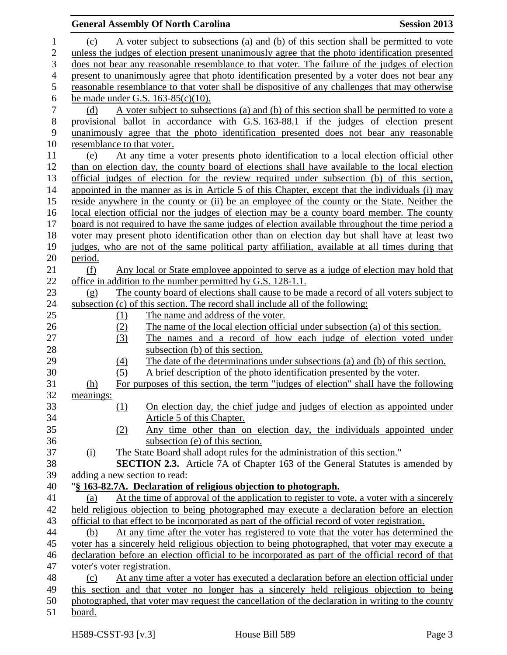### **General Assembly Of North Carolina Session 2013** (c) A voter subject to subsections (a) and (b) of this section shall be permitted to vote unless the judges of election present unanimously agree that the photo identification presented does not bear any reasonable resemblance to that voter. The failure of the judges of election present to unanimously agree that photo identification presented by a voter does not bear any reasonable resemblance to that voter shall be dispositive of any challenges that may otherwise 6 be made under G.S.  $163-85(c)(10)$ .<br>
7 (d) A voter subject to subset (d) A voter subject to subsections (a) and (b) of this section shall be permitted to vote a provisional ballot in accordance with G.S. 163-88.1 if the judges of election present unanimously agree that the photo identification presented does not bear any reasonable resemblance to that voter. (e) At any time a voter presents photo identification to a local election official other than on election day, the county board of elections shall have available to the local election official judges of election for the review required under subsection (b) of this section, appointed in the manner as is in Article 5 of this Chapter, except that the individuals (i) may reside anywhere in the county or (ii) be an employee of the county or the State. Neither the local election official nor the judges of election may be a county board member. The county board is not required to have the same judges of election available throughout the time period a voter may present photo identification other than on election day but shall have at least two judges, who are not of the same political party affiliation, available at all times during that period. (f) Any local or State employee appointed to serve as a judge of election may hold that office in addition to the number permitted by G.S. 128-1.1. (g) The county board of elections shall cause to be made a record of all voters subject to subsection (c) of this section. The record shall include all of the following: 25 (1) The name and address of the voter. (2) The name of the local election official under subsection (a) of this section. (3) The names and a record of how each judge of election voted under 28 subsection (b) of this section. (4) The date of the determinations under subsections (a) and (b) of this section. (5) A brief description of the photo identification presented by the voter. (h) For purposes of this section, the term "judges of election" shall have the following meanings: (1) On election day, the chief judge and judges of election as appointed under Article 5 of this Chapter. (2) Any time other than on election day, the individuals appointed under subsection (e) of this section. (i) The State Board shall adopt rules for the administration of this section." **SECTION 2.3.** Article 7A of Chapter 163 of the General Statutes is amended by adding a new section to read: "**§ 163-82.7A. Declaration of religious objection to photograph.** (a) At the time of approval of the application to register to vote, a voter with a sincerely held religious objection to being photographed may execute a declaration before an election official to that effect to be incorporated as part of the official record of voter registration. (b) At any time after the voter has registered to vote that the voter has determined the voter has a sincerely held religious objection to being photographed, that voter may execute a declaration before an election official to be incorporated as part of the official record of that voter's voter registration. (c) At any time after a voter has executed a declaration before an election official under this section and that voter no longer has a sincerely held religious objection to being photographed, that voter may request the cancellation of the declaration in writing to the county board.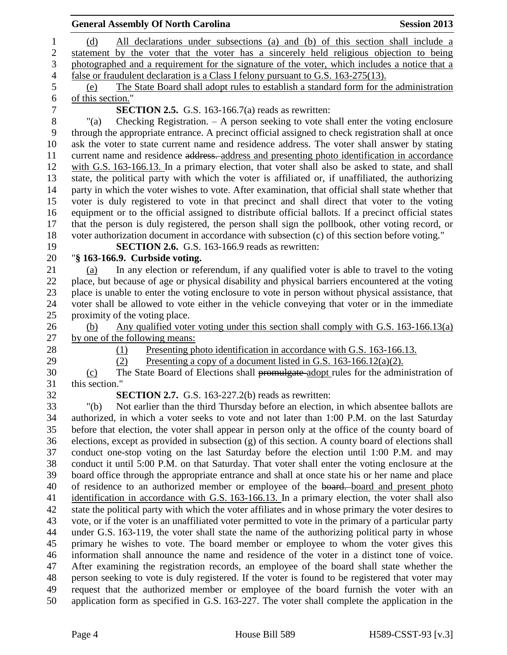|                | <b>General Assembly Of North Carolina</b>                                                             | <b>Session 2013</b> |
|----------------|-------------------------------------------------------------------------------------------------------|---------------------|
| $\mathbf{1}$   | All declarations under subsections (a) and (b) of this section shall include a<br>(d)                 |                     |
| $\overline{2}$ | statement by the voter that the voter has a sincerely held religious objection to being               |                     |
| 3              | photographed and a requirement for the signature of the voter, which includes a notice that a         |                     |
| $\overline{4}$ | false or fraudulent declaration is a Class I felony pursuant to G.S. 163-275(13).                     |                     |
| 5              | The State Board shall adopt rules to establish a standard form for the administration<br>(e)          |                     |
| 6              | of this section."                                                                                     |                     |
| $\overline{7}$ | <b>SECTION 2.5.</b> G.S. 163-166.7(a) reads as rewritten:                                             |                     |
| $8\,$          | Checking Registration. $-$ A person seeking to vote shall enter the voting enclosure<br>"(a)          |                     |
| 9              | through the appropriate entrance. A precinct official assigned to check registration shall at once    |                     |
| 10             | ask the voter to state current name and residence address. The voter shall answer by stating          |                     |
| 11             | current name and residence address. address and presenting photo identification in accordance         |                     |
| 12             | with G.S. 163-166.13. In a primary election, that voter shall also be asked to state, and shall       |                     |
| 13             | state, the political party with which the voter is affiliated or, if unaffiliated, the authorizing    |                     |
| 14             | party in which the voter wishes to vote. After examination, that official shall state whether that    |                     |
| 15             | voter is duly registered to vote in that precinct and shall direct that voter to the voting           |                     |
| 16             | equipment or to the official assigned to distribute official ballots. If a precinct official states   |                     |
| 17             | that the person is duly registered, the person shall sign the pollbook, other voting record, or       |                     |
| 18             | voter authorization document in accordance with subsection (c) of this section before voting."        |                     |
| 19             | <b>SECTION 2.6.</b> G.S. 163-166.9 reads as rewritten:                                                |                     |
| 20             | "§ 163-166.9. Curbside voting.                                                                        |                     |
| 21             | In any election or referendum, if any qualified voter is able to travel to the voting<br>(a)          |                     |
| 22             | place, but because of age or physical disability and physical barriers encountered at the voting      |                     |
| 23             | place is unable to enter the voting enclosure to vote in person without physical assistance, that     |                     |
| 24             | voter shall be allowed to vote either in the vehicle conveying that voter or in the immediate         |                     |
| 25             | proximity of the voting place.                                                                        |                     |
| 26             | Any qualified voter voting under this section shall comply with G.S. $163-166.13(a)$<br>(b)           |                     |
| 27             | by one of the following means:                                                                        |                     |
| 28             | Presenting photo identification in accordance with G.S. 163-166.13.<br>(1)                            |                     |
| 29             | Presenting a copy of a document listed in G.S. $163-166.12(a)(2)$ .<br>(2)                            |                     |
| 30             | The State Board of Elections shall promulgate adopt rules for the administration of<br>(c)            |                     |
| 31             | this section."                                                                                        |                     |
| 32             | <b>SECTION 2.7.</b> G.S. 163-227.2(b) reads as rewritten:                                             |                     |
| 33             | Not earlier than the third Thursday before an election, in which absentee ballots are<br>" $(b)$      |                     |
| 34             | authorized, in which a voter seeks to vote and not later than 1:00 P.M. on the last Saturday          |                     |
| 35             | before that election, the voter shall appear in person only at the office of the county board of      |                     |
| 36             | elections, except as provided in subsection (g) of this section. A county board of elections shall    |                     |
| 37             | conduct one-stop voting on the last Saturday before the election until 1:00 P.M. and may              |                     |
| 38             | conduct it until 5:00 P.M. on that Saturday. That voter shall enter the voting enclosure at the       |                     |
| 39             | board office through the appropriate entrance and shall at once state his or her name and place       |                     |
| 40             | of residence to an authorized member or employee of the board. board and present photo                |                     |
| 41             | identification in accordance with G.S. 163-166.13. In a primary election, the voter shall also        |                     |
| 42             | state the political party with which the voter affiliates and in whose primary the voter desires to   |                     |
| 43             | vote, or if the voter is an unaffiliated voter permitted to vote in the primary of a particular party |                     |
| 44             | under G.S. 163-119, the voter shall state the name of the authorizing political party in whose        |                     |
| 45             | primary he wishes to vote. The board member or employee to whom the voter gives this                  |                     |
| 46             | information shall announce the name and residence of the voter in a distinct tone of voice.           |                     |
| 47             | After examining the registration records, an employee of the board shall state whether the            |                     |
| 48             | person seeking to vote is duly registered. If the voter is found to be registered that voter may      |                     |
| 49             | request that the authorized member or employee of the board furnish the voter with an                 |                     |
| 50             | application form as specified in G.S. 163-227. The voter shall complete the application in the        |                     |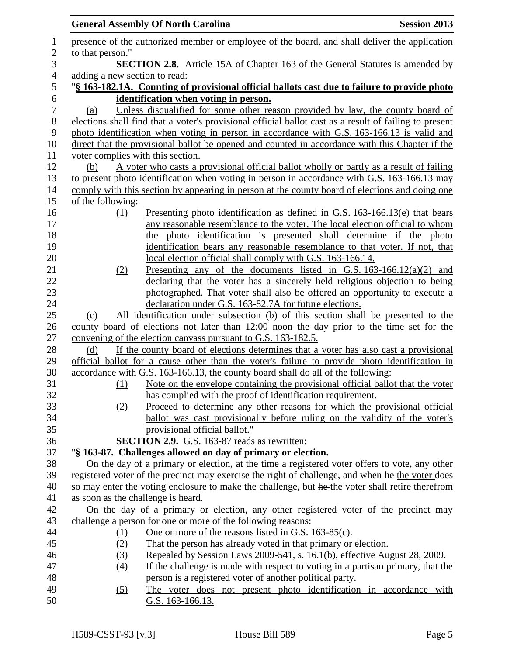|                  |                                    | <b>General Assembly Of North Carolina</b>                                                                                                                                         | <b>Session 2013</b> |
|------------------|------------------------------------|-----------------------------------------------------------------------------------------------------------------------------------------------------------------------------------|---------------------|
| $\mathbf{1}$     |                                    | presence of the authorized member or employee of the board, and shall deliver the application                                                                                     |                     |
| $\overline{2}$   | to that person."                   |                                                                                                                                                                                   |                     |
| 3                |                                    | <b>SECTION 2.8.</b> Article 15A of Chapter 163 of the General Statutes is amended by                                                                                              |                     |
| $\overline{4}$   | adding a new section to read:      |                                                                                                                                                                                   |                     |
| 5                |                                    | "§ 163-182.1A. Counting of provisional official ballots cast due to failure to provide photo                                                                                      |                     |
| 6                |                                    | identification when voting in person.                                                                                                                                             |                     |
| $\boldsymbol{7}$ | (a)                                | Unless disqualified for some other reason provided by law, the county board of                                                                                                    |                     |
| 8                |                                    | elections shall find that a voter's provisional official ballot cast as a result of failing to present                                                                            |                     |
| 9                |                                    | photo identification when voting in person in accordance with G.S. 163-166.13 is valid and                                                                                        |                     |
| 10               |                                    | direct that the provisional ballot be opened and counted in accordance with this Chapter if the                                                                                   |                     |
| 11               | voter complies with this section.  |                                                                                                                                                                                   |                     |
| 12               | (b)                                | A voter who casts a provisional official ballot wholly or partly as a result of failing                                                                                           |                     |
| 13               |                                    | to present photo identification when voting in person in accordance with G.S. 163-166.13 may                                                                                      |                     |
| 14               |                                    | comply with this section by appearing in person at the county board of elections and doing one                                                                                    |                     |
| 15               | of the following:                  |                                                                                                                                                                                   |                     |
| 16               | (1)                                | <u>Presenting</u> photo identification as defined in G.S. $163-166.13(e)$ that bears                                                                                              |                     |
| 17               |                                    | any reasonable resemblance to the voter. The local election official to whom                                                                                                      |                     |
| 18               |                                    | the photo identification is presented shall determine if the photo                                                                                                                |                     |
| 19               |                                    | identification bears any reasonable resemblance to that voter. If not, that                                                                                                       |                     |
| 20               |                                    | local election official shall comply with G.S. 163-166.14.                                                                                                                        |                     |
| 21               | (2)                                | Presenting any of the documents listed in G.S. $163-166.12(a)(2)$ and                                                                                                             |                     |
| 22               |                                    | declaring that the voter has a sincerely held religious objection to being                                                                                                        |                     |
| 23               |                                    | photographed. That voter shall also be offered an opportunity to execute a                                                                                                        |                     |
| 24               |                                    | declaration under G.S. 163-82.7A for future elections.                                                                                                                            |                     |
| $25\,$           | (c)                                | All identification under subsection (b) of this section shall be presented to the                                                                                                 |                     |
| 26               |                                    | county board of elections not later than 12:00 noon the day prior to the time set for the                                                                                         |                     |
| $27\,$           |                                    | convening of the election canvass pursuant to G.S. 163-182.5.                                                                                                                     |                     |
| 28               | (d)                                | If the county board of elections determines that a voter has also cast a provisional                                                                                              |                     |
| 29<br>30         |                                    | official ballot for a cause other than the voter's failure to provide photo identification in<br>accordance with G.S. 163-166.13, the county board shall do all of the following: |                     |
| 31               |                                    | Note on the envelope containing the provisional official ballot that the voter                                                                                                    |                     |
| 32               | (1)                                | has complied with the proof of identification requirement.                                                                                                                        |                     |
| 33               |                                    | Proceed to determine any other reasons for which the provisional official                                                                                                         |                     |
| 34               | (2)                                | ballot was cast provisionally before ruling on the validity of the voter's                                                                                                        |                     |
| 35               |                                    | provisional official ballot."                                                                                                                                                     |                     |
| 36               |                                    | <b>SECTION 2.9.</b> G.S. 163-87 reads as rewritten:                                                                                                                               |                     |
| 37               |                                    | "§ 163-87. Challenges allowed on day of primary or election.                                                                                                                      |                     |
| 38               |                                    | On the day of a primary or election, at the time a registered voter offers to vote, any other                                                                                     |                     |
| 39               |                                    | registered voter of the precinct may exercise the right of challenge, and when he the voter does                                                                                  |                     |
| 40               |                                    | so may enter the voting enclosure to make the challenge, but he the voter shall retire therefrom                                                                                  |                     |
| 41               | as soon as the challenge is heard. |                                                                                                                                                                                   |                     |
| 42               |                                    | On the day of a primary or election, any other registered voter of the precinct may                                                                                               |                     |
| 43               |                                    | challenge a person for one or more of the following reasons:                                                                                                                      |                     |
| 44               | (1)                                | One or more of the reasons listed in G.S. 163-85(c).                                                                                                                              |                     |
| 45               | (2)                                | That the person has already voted in that primary or election.                                                                                                                    |                     |
| 46               | (3)                                | Repealed by Session Laws 2009-541, s. 16.1(b), effective August 28, 2009.                                                                                                         |                     |
| 47               | (4)                                | If the challenge is made with respect to voting in a partisan primary, that the                                                                                                   |                     |
| 48               |                                    | person is a registered voter of another political party.                                                                                                                          |                     |
| 49               | (5)                                | The voter does not present photo identification in accordance with                                                                                                                |                     |
| 50               |                                    | <u>G.S. 163-166.13.</u>                                                                                                                                                           |                     |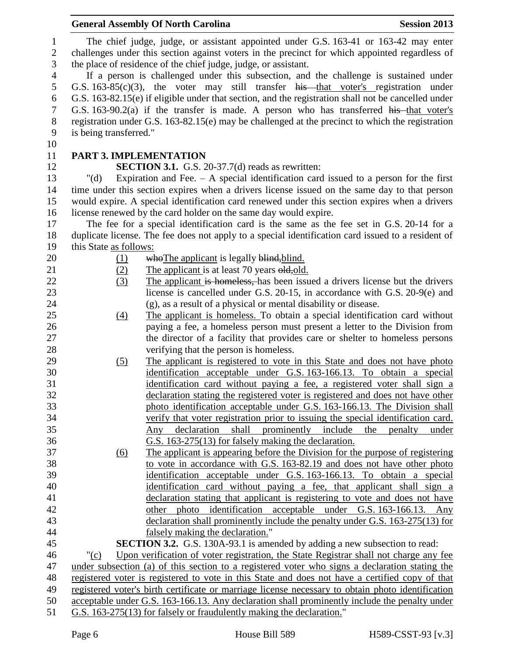|                |                               | <b>General Assembly Of North Carolina</b><br><b>Session 2013</b>                                                                                                       |
|----------------|-------------------------------|------------------------------------------------------------------------------------------------------------------------------------------------------------------------|
| 1              |                               | The chief judge, judge, or assistant appointed under G.S. 163-41 or 163-42 may enter                                                                                   |
| $\mathbf{2}$   |                               | challenges under this section against voters in the precinct for which appointed regardless of                                                                         |
| 3              |                               | the place of residence of the chief judge, judge, or assistant.                                                                                                        |
| $\overline{4}$ |                               | If a person is challenged under this subsection, and the challenge is sustained under                                                                                  |
| 5              |                               | G.S. 163-85(c)(3), the voter may still transfer his that voter's registration under                                                                                    |
| 6              |                               | G.S. 163-82.15(e) if eligible under that section, and the registration shall not be cancelled under                                                                    |
| 7              |                               | G.S. 163-90.2(a) if the transfer is made. A person who has transferred his that voter's                                                                                |
| $8\phantom{1}$ |                               | registration under G.S. $163-82.15(e)$ may be challenged at the precinct to which the registration                                                                     |
| 9              | is being transferred."        |                                                                                                                                                                        |
| 10             |                               |                                                                                                                                                                        |
| 11             | <b>PART 3. IMPLEMENTATION</b> |                                                                                                                                                                        |
| 12             |                               | <b>SECTION 3.1.</b> G.S. 20-37.7(d) reads as rewritten:                                                                                                                |
| 13             | " $(d)$                       | Expiration and Fee. $-$ A special identification card issued to a person for the first                                                                                 |
| 14             |                               | time under this section expires when a drivers license issued on the same day to that person                                                                           |
| 15             |                               | would expire. A special identification card renewed under this section expires when a drivers                                                                          |
| 16             |                               | license renewed by the card holder on the same day would expire.                                                                                                       |
| 17             |                               | The fee for a special identification card is the same as the fee set in G.S. 20-14 for a                                                                               |
| 18             |                               | duplicate license. The fee does not apply to a special identification card issued to a resident of                                                                     |
| 19             | this State as follows:        |                                                                                                                                                                        |
| 20             | <u>(1)</u>                    | who The applicant is legally blind, blind.                                                                                                                             |
| 21             | (2)                           | The applicant is at least 70 years old, old.                                                                                                                           |
| 22             | (3)                           | The applicant is homeless, has been issued a drivers license but the drivers                                                                                           |
| 23             |                               | license is cancelled under G.S. 20-15, in accordance with G.S. 20-9(e) and                                                                                             |
| 24             |                               | (g), as a result of a physical or mental disability or disease.                                                                                                        |
| 25             | $\left(4\right)$              | The applicant is homeless. To obtain a special identification card without                                                                                             |
| 26             |                               | paying a fee, a homeless person must present a letter to the Division from                                                                                             |
| 27             |                               | the director of a facility that provides care or shelter to homeless persons                                                                                           |
| 28             |                               | verifying that the person is homeless.                                                                                                                                 |
| 29             | (5)                           | The applicant is registered to vote in this State and does not have photo                                                                                              |
| 30             |                               | identification acceptable under G.S. 163-166.13. To obtain a special                                                                                                   |
| 31             |                               | identification card without paying a fee, a registered voter shall sign a                                                                                              |
| 32             |                               | declaration stating the registered voter is registered and does not have other                                                                                         |
| 33             |                               | photo identification acceptable under G.S. 163-166.13. The Division shall                                                                                              |
| 34             |                               | verify that voter registration prior to issuing the special identification card.                                                                                       |
| 35             |                               | prominently include<br>shall<br>declaration<br>the<br>penalty<br>Any<br>under                                                                                          |
| 36             |                               | G.S. 163-275(13) for falsely making the declaration.                                                                                                                   |
| 37             | (6)                           | The applicant is appearing before the Division for the purpose of registering                                                                                          |
| 38             |                               | to vote in accordance with G.S. 163-82.19 and does not have other photo                                                                                                |
| 39             |                               | identification acceptable under G.S. 163-166.13. To obtain a special                                                                                                   |
| 40             |                               | identification card without paying a fee, that applicant shall sign a                                                                                                  |
| 41             |                               | declaration stating that applicant is registering to vote and does not have                                                                                            |
| 42             |                               | other photo identification acceptable under G.S. 163-166.13. Any                                                                                                       |
| 43             |                               | declaration shall prominently include the penalty under G.S. 163-275(13) for                                                                                           |
| 44             |                               | falsely making the declaration."                                                                                                                                       |
| 45             |                               | <b>SECTION 3.2.</b> G.S. 130A-93.1 is amended by adding a new subsection to read:                                                                                      |
| 46             | $"({c})$                      | Upon verification of voter registration, the State Registrar shall not charge any fee                                                                                  |
| 47             |                               | under subsection (a) of this section to a registered voter who signs a declaration stating the                                                                         |
| 48             |                               | registered voter is registered to vote in this State and does not have a certified copy of that                                                                        |
| 49             |                               | registered voter's birth certificate or marriage license necessary to obtain photo identification                                                                      |
| 50<br>51       |                               | acceptable under G.S. 163-166.13. Any declaration shall prominently include the penalty under<br>G.S. 163-275(13) for falsely or fraudulently making the declaration." |
|                |                               |                                                                                                                                                                        |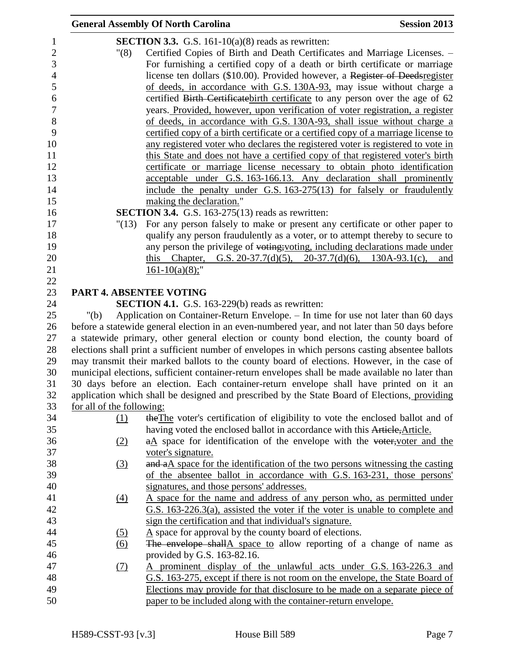|                           | <b>General Assembly Of North Carolina</b>                                                        | <b>Session 2013</b> |
|---------------------------|--------------------------------------------------------------------------------------------------|---------------------|
|                           | <b>SECTION 3.3.</b> G.S. 161-10(a)(8) reads as rewritten:                                        |                     |
| "(8)                      | Certified Copies of Birth and Death Certificates and Marriage Licenses. -                        |                     |
|                           | For furnishing a certified copy of a death or birth certificate or marriage                      |                     |
|                           | license ten dollars (\$10.00). Provided however, a Register of Deedsregister                     |                     |
|                           | of deeds, in accordance with G.S. 130A-93, may issue without charge a                            |                     |
|                           | certified Birth Certificate birth certificate to any person over the age of 62                   |                     |
|                           | years. Provided, however, upon verification of voter registration, a register                    |                     |
|                           | of deeds, in accordance with G.S. 130A-93, shall issue without charge a                          |                     |
|                           | certified copy of a birth certificate or a certified copy of a marriage license to               |                     |
|                           | any registered voter who declares the registered voter is registered to vote in                  |                     |
|                           | this State and does not have a certified copy of that registered voter's birth                   |                     |
|                           | certificate or marriage license necessary to obtain photo identification                         |                     |
|                           | acceptable under G.S. 163-166.13. Any declaration shall prominently                              |                     |
|                           | include the penalty under G.S. 163-275(13) for falsely or fraudulently                           |                     |
|                           | making the declaration."                                                                         |                     |
|                           | <b>SECTION 3.4.</b> G.S. 163-275(13) reads as rewritten:                                         |                     |
| "(13)                     | For any person falsely to make or present any certificate or other paper to                      |                     |
|                           | qualify any person fraudulently as a voter, or to attempt thereby to secure to                   |                     |
|                           | any person the privilege of voting; voting, including declarations made under                    |                     |
|                           | this Chapter, G.S. 20-37.7(d)(5), 20-37.7(d)(6), 130A-93.1(c),                                   | and                 |
|                           | $161-10(a)(8)$ ;"                                                                                |                     |
|                           |                                                                                                  |                     |
| PART 4. ABSENTEE VOTING   |                                                                                                  |                     |
|                           | <b>SECTION 4.1.</b> G.S. 163-229(b) reads as rewritten:                                          |                     |
| "(b)                      | Application on Container-Return Envelope. - In time for use not later than 60 days               |                     |
|                           | before a statewide general election in an even-numbered year, and not later than 50 days before  |                     |
|                           | a statewide primary, other general election or county bond election, the county board of         |                     |
|                           | elections shall print a sufficient number of envelopes in which persons casting absentee ballots |                     |
|                           | may transmit their marked ballots to the county board of elections. However, in the case of      |                     |
|                           | municipal elections, sufficient container-return envelopes shall be made available no later than |                     |
|                           | 30 days before an election. Each container-return envelope shall have printed on it an           |                     |
|                           | application which shall be designed and prescribed by the State Board of Elections, providing    |                     |
| for all of the following: |                                                                                                  |                     |
| $\Omega$                  | the The voter's certification of eligibility to vote the enclosed ballot and of                  |                     |
|                           | having voted the enclosed ballot in accordance with this Article, Article.                       |                     |
| (2)                       | $a\Delta$ space for identification of the envelope with the voter, voter and the                 |                     |
|                           | voter's signature.                                                                               |                     |
| $\left(3\right)$          | and aA space for the identification of the two persons witnessing the casting                    |                     |
|                           | of the absentee ballot in accordance with G.S. 163-231, those persons'                           |                     |
|                           | signatures, and those persons' addresses.                                                        |                     |
| $\underline{(4)}$         | A space for the name and address of any person who, as permitted under                           |                     |
|                           | G.S. 163-226.3(a), assisted the voter if the voter is unable to complete and                     |                     |
|                           | sign the certification and that individual's signature.                                          |                     |
| <u>(5)</u>                | $\underline{A}$ space for approval by the county board of elections.                             |                     |
| (6)                       | The envelope shallA space to allow reporting of a change of name as                              |                     |
|                           | provided by G.S. 163-82.16.                                                                      |                     |
| (7)                       | A prominent display of the unlawful acts under G.S. 163-226.3 and                                |                     |
|                           | G.S. 163-275, except if there is not room on the envelope, the State Board of                    |                     |
|                           | Elections may provide for that disclosure to be made on a separate piece of                      |                     |
|                           | paper to be included along with the container-return envelope.                                   |                     |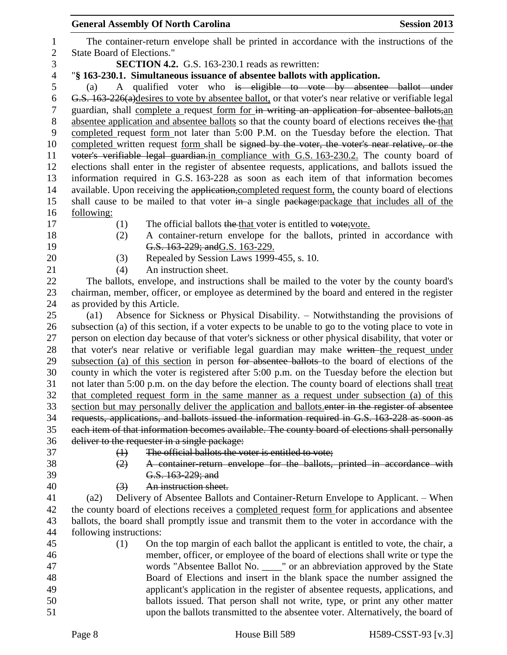The container-return envelope shall be printed in accordance with the instructions of the State Board of Elections." **SECTION 4.2.** G.S. 163-230.1 reads as rewritten:

# "**§ 163-230.1. Simultaneous issuance of absentee ballots with application.**

 (a) A qualified voter who is eligible to vote by absentee ballot under G.S. 163-226(a)desires to vote by absentee ballot, or that voter's near relative or verifiable legal guardian, shall complete a request form for in writing an application for absentee ballots,an 8 absentee application and absentee ballots so that the county board of elections receives the that completed request form not later than 5:00 P.M. on the Tuesday before the election. That 10 completed written request form shall be signed by the voter, the voter's near relative, or the voter's verifiable legal guardian.in compliance with G.S. 163-230.2. The county board of elections shall enter in the register of absentee requests, applications, and ballots issued the information required in G.S. 163-228 as soon as each item of that information becomes 14 available. Upon receiving the application, completed request form, the county board of elections 15 shall cause to be mailed to that voter in a single package: package that includes all of the following:

- 
- 
- 
- 17 (1) The official ballots the that voter is entitled to vote; vote.
- 
- (2) A container-return envelope for the ballots, printed in accordance with **G.S. 163-229; and G.S. 163-229.**
- (3) Repealed by Session Laws 1999-455, s. 10.
- (4) An instruction sheet.

 The ballots, envelope, and instructions shall be mailed to the voter by the county board's chairman, member, officer, or employee as determined by the board and entered in the register as provided by this Article.

 (a1) Absence for Sickness or Physical Disability. – Notwithstanding the provisions of subsection (a) of this section, if a voter expects to be unable to go to the voting place to vote in person on election day because of that voter's sickness or other physical disability, that voter or 28 that voter's near relative or verifiable legal guardian may make written the request under subsection (a) of this section in person for absentee ballots to the board of elections of the county in which the voter is registered after 5:00 p.m. on the Tuesday before the election but not later than 5:00 p.m. on the day before the election. The county board of elections shall treat that completed request form in the same manner as a request under subsection (a) of this section but may personally deliver the application and ballots.enter in the register of absentee requests, applications, and ballots issued the information required in G.S. 163-228 as soon as each item of that information becomes available. The county board of elections shall personally deliver to the requester in a single package:

- 
- 
- (1) The official ballots the voter is entitled to vote;
- 
- 
- (2) A container-return envelope for the ballots, printed in accordance with G.S. 163-229; and
- (3) An instruction sheet.

 (a2) Delivery of Absentee Ballots and Container-Return Envelope to Applicant. – When the county board of elections receives a completed request form for applications and absentee ballots, the board shall promptly issue and transmit them to the voter in accordance with the following instructions:

 (1) On the top margin of each ballot the applicant is entitled to vote, the chair, a member, officer, or employee of the board of elections shall write or type the words "Absentee Ballot No. \_\_\_\_" or an abbreviation approved by the State Board of Elections and insert in the blank space the number assigned the applicant's application in the register of absentee requests, applications, and ballots issued. That person shall not write, type, or print any other matter upon the ballots transmitted to the absentee voter. Alternatively, the board of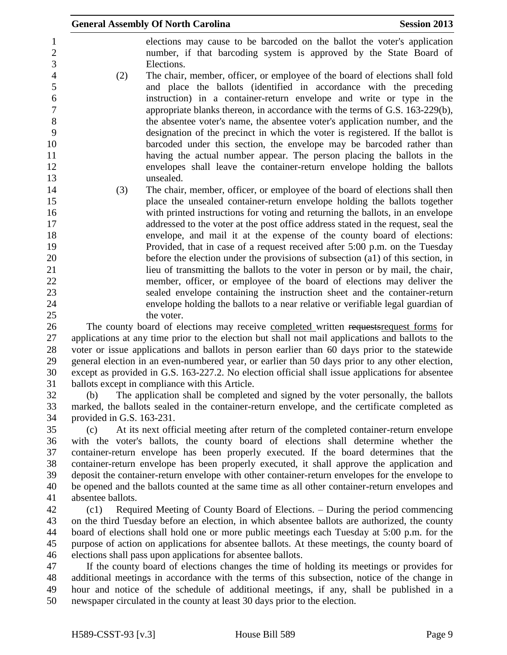|                                              |                           | <b>General Assembly Of North Carolina</b>                                                                                                                                                                                                                                                                  | <b>Session 2013</b> |
|----------------------------------------------|---------------------------|------------------------------------------------------------------------------------------------------------------------------------------------------------------------------------------------------------------------------------------------------------------------------------------------------------|---------------------|
| $\mathbf{1}$<br>$\overline{2}$<br>3          |                           | elections may cause to be barcoded on the ballot the voter's application<br>number, if that barcoding system is approved by the State Board of<br>Elections.                                                                                                                                               |                     |
| $\overline{4}$<br>5<br>6<br>$\boldsymbol{7}$ | (2)                       | The chair, member, officer, or employee of the board of elections shall fold<br>and place the ballots (identified in accordance with the preceding<br>instruction) in a container-return envelope and write or type in the<br>appropriate blanks thereon, in accordance with the terms of G.S. 163-229(b), |                     |
| 8                                            |                           | the absentee voter's name, the absentee voter's application number, and the                                                                                                                                                                                                                                |                     |
| 9                                            |                           | designation of the precinct in which the voter is registered. If the ballot is                                                                                                                                                                                                                             |                     |
| 10                                           |                           | barcoded under this section, the envelope may be barcoded rather than                                                                                                                                                                                                                                      |                     |
| 11<br>12                                     |                           | having the actual number appear. The person placing the ballots in the<br>envelopes shall leave the container-return envelope holding the ballots                                                                                                                                                          |                     |
| 13                                           |                           | unsealed.                                                                                                                                                                                                                                                                                                  |                     |
| 14                                           | (3)                       | The chair, member, officer, or employee of the board of elections shall then                                                                                                                                                                                                                               |                     |
| 15                                           |                           | place the unsealed container-return envelope holding the ballots together                                                                                                                                                                                                                                  |                     |
| 16                                           |                           | with printed instructions for voting and returning the ballots, in an envelope                                                                                                                                                                                                                             |                     |
| 17                                           |                           | addressed to the voter at the post office address stated in the request, seal the                                                                                                                                                                                                                          |                     |
| 18                                           |                           | envelope, and mail it at the expense of the county board of elections:                                                                                                                                                                                                                                     |                     |
| 19<br>20                                     |                           | Provided, that in case of a request received after 5:00 p.m. on the Tuesday<br>before the election under the provisions of subsection (a1) of this section, in                                                                                                                                             |                     |
| 21                                           |                           | lieu of transmitting the ballots to the voter in person or by mail, the chair,                                                                                                                                                                                                                             |                     |
| 22                                           |                           | member, officer, or employee of the board of elections may deliver the                                                                                                                                                                                                                                     |                     |
| 23                                           |                           | sealed envelope containing the instruction sheet and the container-return                                                                                                                                                                                                                                  |                     |
| 24                                           |                           | envelope holding the ballots to a near relative or verifiable legal guardian of                                                                                                                                                                                                                            |                     |
| 25                                           |                           | the voter.                                                                                                                                                                                                                                                                                                 |                     |
| 26                                           |                           | The county board of elections may receive completed written requestsrequest forms for                                                                                                                                                                                                                      |                     |
| 27                                           |                           | applications at any time prior to the election but shall not mail applications and ballots to the                                                                                                                                                                                                          |                     |
| 28                                           |                           | voter or issue applications and ballots in person earlier than 60 days prior to the statewide                                                                                                                                                                                                              |                     |
| 29<br>30                                     |                           | general election in an even-numbered year, or earlier than 50 days prior to any other election,<br>except as provided in G.S. 163-227.2. No election official shall issue applications for absentee                                                                                                        |                     |
| 31                                           |                           | ballots except in compliance with this Article.                                                                                                                                                                                                                                                            |                     |
| 32                                           | (b)                       | The application shall be completed and signed by the voter personally, the ballots                                                                                                                                                                                                                         |                     |
| 33                                           |                           | marked, the ballots sealed in the container-return envelope, and the certificate completed as                                                                                                                                                                                                              |                     |
| 34                                           | provided in G.S. 163-231. |                                                                                                                                                                                                                                                                                                            |                     |

 (c) At its next official meeting after return of the completed container-return envelope with the voter's ballots, the county board of elections shall determine whether the container-return envelope has been properly executed. If the board determines that the container-return envelope has been properly executed, it shall approve the application and deposit the container-return envelope with other container-return envelopes for the envelope to be opened and the ballots counted at the same time as all other container-return envelopes and absentee ballots.

 (c1) Required Meeting of County Board of Elections. – During the period commencing on the third Tuesday before an election, in which absentee ballots are authorized, the county board of elections shall hold one or more public meetings each Tuesday at 5:00 p.m. for the purpose of action on applications for absentee ballots. At these meetings, the county board of elections shall pass upon applications for absentee ballots.

 If the county board of elections changes the time of holding its meetings or provides for additional meetings in accordance with the terms of this subsection, notice of the change in hour and notice of the schedule of additional meetings, if any, shall be published in a newspaper circulated in the county at least 30 days prior to the election.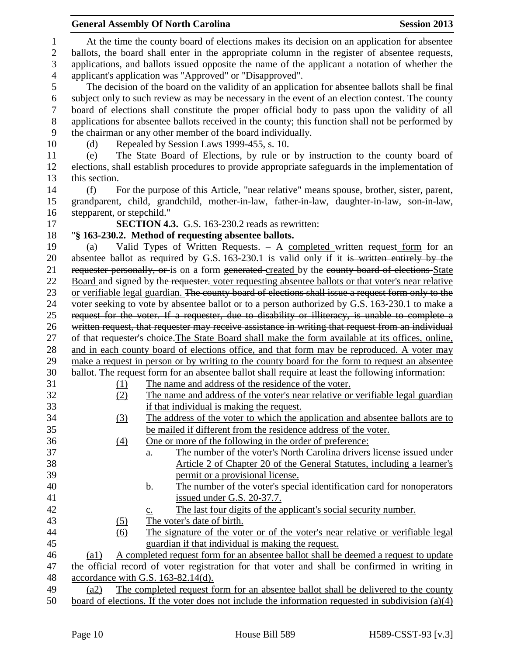|                  |                            | <b>General Assembly Of North Carolina</b>                                                                                              | <b>Session 2013</b> |
|------------------|----------------------------|----------------------------------------------------------------------------------------------------------------------------------------|---------------------|
| $\mathbf{1}$     |                            | At the time the county board of elections makes its decision on an application for absentee                                            |                     |
| $\overline{2}$   |                            | ballots, the board shall enter in the appropriate column in the register of absentee requests,                                         |                     |
| 3                |                            | applications, and ballots issued opposite the name of the applicant a notation of whether the                                          |                     |
| $\overline{4}$   |                            | applicant's application was "Approved" or "Disapproved".                                                                               |                     |
| 5                |                            | The decision of the board on the validity of an application for absentee ballots shall be final                                        |                     |
| 6                |                            | subject only to such review as may be necessary in the event of an election contest. The county                                        |                     |
| $\boldsymbol{7}$ |                            | board of elections shall constitute the proper official body to pass upon the validity of all                                          |                     |
| 8                |                            | applications for absentee ballots received in the county; this function shall not be performed by                                      |                     |
| 9                |                            | the chairman or any other member of the board individually.                                                                            |                     |
| 10               | (d)                        | Repealed by Session Laws 1999-455, s. 10.                                                                                              |                     |
| 11               | (e)                        | The State Board of Elections, by rule or by instruction to the county board of                                                         |                     |
| 12               |                            | elections, shall establish procedures to provide appropriate safeguards in the implementation of                                       |                     |
| 13               | this section.              |                                                                                                                                        |                     |
| 14               | (f)                        | For the purpose of this Article, "near relative" means spouse, brother, sister, parent,                                                |                     |
| 15               |                            | grandparent, child, grandchild, mother-in-law, father-in-law, daughter-in-law, son-in-law,                                             |                     |
| 16               | stepparent, or stepchild." |                                                                                                                                        |                     |
| 17               |                            | <b>SECTION 4.3.</b> G.S. 163-230.2 reads as rewritten:                                                                                 |                     |
| 18               |                            | "§ 163-230.2. Method of requesting absentee ballots.                                                                                   |                     |
| 19               | (a)                        | Valid Types of Written Requests. $-$ A completed written request form for an                                                           |                     |
| 20               |                            | absentee ballot as required by G.S. 163-230.1 is valid only if it is written entirely by the                                           |                     |
| 21               |                            | requester personally, or is on a form generated created by the county board of elections State                                         |                     |
| 22               |                            | Board and signed by the requester. voter requesting absentee ballots or that voter's near relative                                     |                     |
| 23               |                            | or verifiable legal guardian. The county board of elections shall issue a request form only to the                                     |                     |
| 24               |                            | voter seeking to vote by absentee ballot or to a person authorized by G.S. 163-230.1 to make a                                         |                     |
| 25               |                            | request for the voter. If a requester, due to disability or illiteracy, is unable to complete a                                        |                     |
| 26               |                            | written request, that requester may receive assistance in writing that request from an individual                                      |                     |
| 27               |                            | of that requester's choice. The State Board shall make the form available at its offices, online,                                      |                     |
| 28               |                            | and in each county board of elections office, and that form may be reproduced. A voter may                                             |                     |
| 29               |                            | make a request in person or by writing to the county board for the form to request an absentee                                         |                     |
| 30               |                            | ballot. The request form for an absentee ballot shall require at least the following information:                                      |                     |
| 31               | (1)                        | The name and address of the residence of the voter.                                                                                    |                     |
| 32               | (2)                        | The name and address of the voter's near relative or verifiable legal guardian                                                         |                     |
| 33               |                            | if that individual is making the request.                                                                                              |                     |
| 34               | $\left(3\right)$           | The address of the voter to which the application and absentee ballots are to                                                          |                     |
| 35               |                            | be mailed if different from the residence address of the voter.                                                                        |                     |
| 36               | (4)                        | One or more of the following in the order of preference:                                                                               |                     |
| 37               |                            | The number of the voter's North Carolina drivers license issued under<br>$a_{\cdot}$                                                   |                     |
| 38               |                            | Article 2 of Chapter 20 of the General Statutes, including a learner's                                                                 |                     |
| 39               |                            | permit or a provisional license.                                                                                                       |                     |
| 40               |                            | The number of the voter's special identification card for nonoperators<br><u>b.</u>                                                    |                     |
| 41               |                            | issued under G.S. 20-37.7.                                                                                                             |                     |
| 42               |                            | The last four digits of the applicant's social security number.<br>$\underline{c}$ .                                                   |                     |
| 43               | (5)                        | The voter's date of birth.                                                                                                             |                     |
| 44               | $\overline{(6)}$           | The signature of the voter or of the voter's near relative or verifiable legal                                                         |                     |
| 45               |                            | guardian if that individual is making the request.                                                                                     |                     |
| 46<br>47         | $\left( a1\right)$         | A completed request form for an absentee ballot shall be deemed a request to update                                                    |                     |
| 48               |                            | the official record of voter registration for that voter and shall be confirmed in writing in<br>accordance with G.S. $163-82.14(d)$ . |                     |
| 49               | (a2)                       | The completed request form for an absentee ballot shall be delivered to the county                                                     |                     |
| 50               |                            | board of elections. If the voter does not include the information requested in subdivision $(a)(4)$                                    |                     |
|                  |                            |                                                                                                                                        |                     |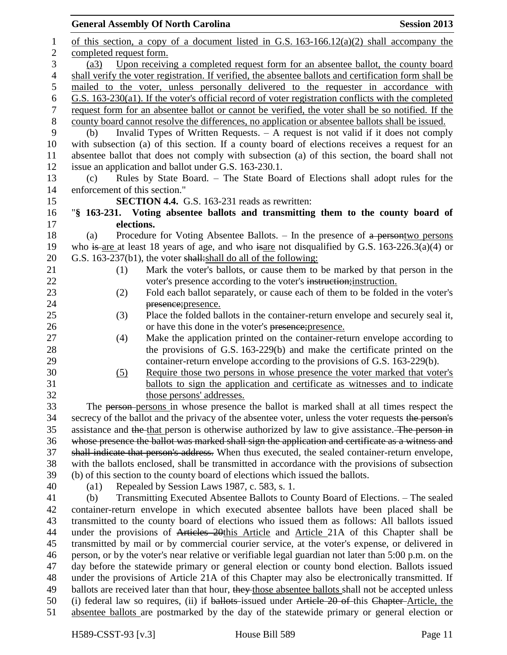| of this section, a copy of a document listed in G.S. $163-166.12(a)(2)$ shall accompany the<br>1<br>$\mathbf{2}$<br>completed request form.<br>3<br>Upon receiving a completed request form for an absentee ballot, the county board<br>(a3)<br>$\overline{4}$<br>shall verify the voter registration. If verified, the absentee ballots and certification form shall be<br>mailed to the voter, unless personally delivered to the requester in accordance with<br>5<br>G.S. 163-230(a1). If the voter's official record of voter registration conflicts with the completed<br>6<br>$\tau$<br>request form for an absentee ballot or cannot be verified, the voter shall be so notified. If the<br>8<br>county board cannot resolve the differences, no application or absentee ballots shall be issued.<br>Invalid Types of Written Requests. $-$ A request is not valid if it does not comply<br>9<br>(b)<br>with subsection (a) of this section. If a county board of elections receives a request for an<br>10<br>absentee ballot that does not comply with subsection (a) of this section, the board shall not<br>11<br>12<br>issue an application and ballot under G.S. 163-230.1.<br>13<br>Rules by State Board. - The State Board of Elections shall adopt rules for the<br>(c)<br>enforcement of this section."<br>14<br><b>SECTION 4.4.</b> G.S. 163-231 reads as rewritten:<br>15<br>"§ 163-231. Voting absentee ballots and transmitting them to the county board of<br>16<br>elections.<br>17<br>18<br>Procedure for Voting Absentee Ballots. $-$ In the presence of $a$ persontwo persons<br>(a)<br>who is are at least 18 years of age, and who is are not disqualified by G.S. $163-226.3(a)(4)$ or<br>19<br>20<br>G.S. 163-237(b1), the voter shall: shall do all of the following:<br>21<br>Mark the voter's ballots, or cause them to be marked by that person in the<br>(1)<br>22<br>voter's presence according to the voter's instruction; instruction.<br>23<br>Fold each ballot separately, or cause each of them to be folded in the voter's<br>(2)<br>24<br>presence; presence.<br>25<br>(3)<br>Place the folded ballots in the container-return envelope and securely seal it,<br>26<br>or have this done in the voter's presence; presence.<br>27<br>Make the application printed on the container-return envelope according to<br>(4)<br>28<br>the provisions of G.S. 163-229(b) and make the certificate printed on the<br>29<br>container-return envelope according to the provisions of G.S. 163-229(b).<br>30<br>Require those two persons in whose presence the voter marked that voter's<br>(5)<br>31<br>ballots to sign the application and certificate as witnesses and to indicate<br>32<br>those persons' addresses.<br>33<br>The person-persons in whose presence the ballot is marked shall at all times respect the<br>secrecy of the ballot and the privacy of the absentee voter, unless the voter requests the person's<br>34<br>35<br>assistance and the that person is otherwise authorized by law to give assistance. The person in<br>whose presence the ballot was marked shall sign the application and certificate as a witness and<br>36 | <b>General Assembly Of North Carolina</b><br><b>Session 2013</b> |  |  |
|-----------------------------------------------------------------------------------------------------------------------------------------------------------------------------------------------------------------------------------------------------------------------------------------------------------------------------------------------------------------------------------------------------------------------------------------------------------------------------------------------------------------------------------------------------------------------------------------------------------------------------------------------------------------------------------------------------------------------------------------------------------------------------------------------------------------------------------------------------------------------------------------------------------------------------------------------------------------------------------------------------------------------------------------------------------------------------------------------------------------------------------------------------------------------------------------------------------------------------------------------------------------------------------------------------------------------------------------------------------------------------------------------------------------------------------------------------------------------------------------------------------------------------------------------------------------------------------------------------------------------------------------------------------------------------------------------------------------------------------------------------------------------------------------------------------------------------------------------------------------------------------------------------------------------------------------------------------------------------------------------------------------------------------------------------------------------------------------------------------------------------------------------------------------------------------------------------------------------------------------------------------------------------------------------------------------------------------------------------------------------------------------------------------------------------------------------------------------------------------------------------------------------------------------------------------------------------------------------------------------------------------------------------------------------------------------------------------------------------------------------------------------------------------------------------------------------------------------------------------------------------------------------------------------------------------------------------------------------------------------------------------------------------------------------------------------------------------------------------------------------------------------------------------------------------------------------|------------------------------------------------------------------|--|--|
|                                                                                                                                                                                                                                                                                                                                                                                                                                                                                                                                                                                                                                                                                                                                                                                                                                                                                                                                                                                                                                                                                                                                                                                                                                                                                                                                                                                                                                                                                                                                                                                                                                                                                                                                                                                                                                                                                                                                                                                                                                                                                                                                                                                                                                                                                                                                                                                                                                                                                                                                                                                                                                                                                                                                                                                                                                                                                                                                                                                                                                                                                                                                                                                               |                                                                  |  |  |
|                                                                                                                                                                                                                                                                                                                                                                                                                                                                                                                                                                                                                                                                                                                                                                                                                                                                                                                                                                                                                                                                                                                                                                                                                                                                                                                                                                                                                                                                                                                                                                                                                                                                                                                                                                                                                                                                                                                                                                                                                                                                                                                                                                                                                                                                                                                                                                                                                                                                                                                                                                                                                                                                                                                                                                                                                                                                                                                                                                                                                                                                                                                                                                                               |                                                                  |  |  |
|                                                                                                                                                                                                                                                                                                                                                                                                                                                                                                                                                                                                                                                                                                                                                                                                                                                                                                                                                                                                                                                                                                                                                                                                                                                                                                                                                                                                                                                                                                                                                                                                                                                                                                                                                                                                                                                                                                                                                                                                                                                                                                                                                                                                                                                                                                                                                                                                                                                                                                                                                                                                                                                                                                                                                                                                                                                                                                                                                                                                                                                                                                                                                                                               |                                                                  |  |  |
|                                                                                                                                                                                                                                                                                                                                                                                                                                                                                                                                                                                                                                                                                                                                                                                                                                                                                                                                                                                                                                                                                                                                                                                                                                                                                                                                                                                                                                                                                                                                                                                                                                                                                                                                                                                                                                                                                                                                                                                                                                                                                                                                                                                                                                                                                                                                                                                                                                                                                                                                                                                                                                                                                                                                                                                                                                                                                                                                                                                                                                                                                                                                                                                               |                                                                  |  |  |
|                                                                                                                                                                                                                                                                                                                                                                                                                                                                                                                                                                                                                                                                                                                                                                                                                                                                                                                                                                                                                                                                                                                                                                                                                                                                                                                                                                                                                                                                                                                                                                                                                                                                                                                                                                                                                                                                                                                                                                                                                                                                                                                                                                                                                                                                                                                                                                                                                                                                                                                                                                                                                                                                                                                                                                                                                                                                                                                                                                                                                                                                                                                                                                                               |                                                                  |  |  |
|                                                                                                                                                                                                                                                                                                                                                                                                                                                                                                                                                                                                                                                                                                                                                                                                                                                                                                                                                                                                                                                                                                                                                                                                                                                                                                                                                                                                                                                                                                                                                                                                                                                                                                                                                                                                                                                                                                                                                                                                                                                                                                                                                                                                                                                                                                                                                                                                                                                                                                                                                                                                                                                                                                                                                                                                                                                                                                                                                                                                                                                                                                                                                                                               |                                                                  |  |  |
|                                                                                                                                                                                                                                                                                                                                                                                                                                                                                                                                                                                                                                                                                                                                                                                                                                                                                                                                                                                                                                                                                                                                                                                                                                                                                                                                                                                                                                                                                                                                                                                                                                                                                                                                                                                                                                                                                                                                                                                                                                                                                                                                                                                                                                                                                                                                                                                                                                                                                                                                                                                                                                                                                                                                                                                                                                                                                                                                                                                                                                                                                                                                                                                               |                                                                  |  |  |
|                                                                                                                                                                                                                                                                                                                                                                                                                                                                                                                                                                                                                                                                                                                                                                                                                                                                                                                                                                                                                                                                                                                                                                                                                                                                                                                                                                                                                                                                                                                                                                                                                                                                                                                                                                                                                                                                                                                                                                                                                                                                                                                                                                                                                                                                                                                                                                                                                                                                                                                                                                                                                                                                                                                                                                                                                                                                                                                                                                                                                                                                                                                                                                                               |                                                                  |  |  |
|                                                                                                                                                                                                                                                                                                                                                                                                                                                                                                                                                                                                                                                                                                                                                                                                                                                                                                                                                                                                                                                                                                                                                                                                                                                                                                                                                                                                                                                                                                                                                                                                                                                                                                                                                                                                                                                                                                                                                                                                                                                                                                                                                                                                                                                                                                                                                                                                                                                                                                                                                                                                                                                                                                                                                                                                                                                                                                                                                                                                                                                                                                                                                                                               |                                                                  |  |  |
|                                                                                                                                                                                                                                                                                                                                                                                                                                                                                                                                                                                                                                                                                                                                                                                                                                                                                                                                                                                                                                                                                                                                                                                                                                                                                                                                                                                                                                                                                                                                                                                                                                                                                                                                                                                                                                                                                                                                                                                                                                                                                                                                                                                                                                                                                                                                                                                                                                                                                                                                                                                                                                                                                                                                                                                                                                                                                                                                                                                                                                                                                                                                                                                               |                                                                  |  |  |
|                                                                                                                                                                                                                                                                                                                                                                                                                                                                                                                                                                                                                                                                                                                                                                                                                                                                                                                                                                                                                                                                                                                                                                                                                                                                                                                                                                                                                                                                                                                                                                                                                                                                                                                                                                                                                                                                                                                                                                                                                                                                                                                                                                                                                                                                                                                                                                                                                                                                                                                                                                                                                                                                                                                                                                                                                                                                                                                                                                                                                                                                                                                                                                                               |                                                                  |  |  |
|                                                                                                                                                                                                                                                                                                                                                                                                                                                                                                                                                                                                                                                                                                                                                                                                                                                                                                                                                                                                                                                                                                                                                                                                                                                                                                                                                                                                                                                                                                                                                                                                                                                                                                                                                                                                                                                                                                                                                                                                                                                                                                                                                                                                                                                                                                                                                                                                                                                                                                                                                                                                                                                                                                                                                                                                                                                                                                                                                                                                                                                                                                                                                                                               |                                                                  |  |  |
|                                                                                                                                                                                                                                                                                                                                                                                                                                                                                                                                                                                                                                                                                                                                                                                                                                                                                                                                                                                                                                                                                                                                                                                                                                                                                                                                                                                                                                                                                                                                                                                                                                                                                                                                                                                                                                                                                                                                                                                                                                                                                                                                                                                                                                                                                                                                                                                                                                                                                                                                                                                                                                                                                                                                                                                                                                                                                                                                                                                                                                                                                                                                                                                               |                                                                  |  |  |
|                                                                                                                                                                                                                                                                                                                                                                                                                                                                                                                                                                                                                                                                                                                                                                                                                                                                                                                                                                                                                                                                                                                                                                                                                                                                                                                                                                                                                                                                                                                                                                                                                                                                                                                                                                                                                                                                                                                                                                                                                                                                                                                                                                                                                                                                                                                                                                                                                                                                                                                                                                                                                                                                                                                                                                                                                                                                                                                                                                                                                                                                                                                                                                                               |                                                                  |  |  |
|                                                                                                                                                                                                                                                                                                                                                                                                                                                                                                                                                                                                                                                                                                                                                                                                                                                                                                                                                                                                                                                                                                                                                                                                                                                                                                                                                                                                                                                                                                                                                                                                                                                                                                                                                                                                                                                                                                                                                                                                                                                                                                                                                                                                                                                                                                                                                                                                                                                                                                                                                                                                                                                                                                                                                                                                                                                                                                                                                                                                                                                                                                                                                                                               |                                                                  |  |  |
|                                                                                                                                                                                                                                                                                                                                                                                                                                                                                                                                                                                                                                                                                                                                                                                                                                                                                                                                                                                                                                                                                                                                                                                                                                                                                                                                                                                                                                                                                                                                                                                                                                                                                                                                                                                                                                                                                                                                                                                                                                                                                                                                                                                                                                                                                                                                                                                                                                                                                                                                                                                                                                                                                                                                                                                                                                                                                                                                                                                                                                                                                                                                                                                               |                                                                  |  |  |
|                                                                                                                                                                                                                                                                                                                                                                                                                                                                                                                                                                                                                                                                                                                                                                                                                                                                                                                                                                                                                                                                                                                                                                                                                                                                                                                                                                                                                                                                                                                                                                                                                                                                                                                                                                                                                                                                                                                                                                                                                                                                                                                                                                                                                                                                                                                                                                                                                                                                                                                                                                                                                                                                                                                                                                                                                                                                                                                                                                                                                                                                                                                                                                                               |                                                                  |  |  |
|                                                                                                                                                                                                                                                                                                                                                                                                                                                                                                                                                                                                                                                                                                                                                                                                                                                                                                                                                                                                                                                                                                                                                                                                                                                                                                                                                                                                                                                                                                                                                                                                                                                                                                                                                                                                                                                                                                                                                                                                                                                                                                                                                                                                                                                                                                                                                                                                                                                                                                                                                                                                                                                                                                                                                                                                                                                                                                                                                                                                                                                                                                                                                                                               |                                                                  |  |  |
|                                                                                                                                                                                                                                                                                                                                                                                                                                                                                                                                                                                                                                                                                                                                                                                                                                                                                                                                                                                                                                                                                                                                                                                                                                                                                                                                                                                                                                                                                                                                                                                                                                                                                                                                                                                                                                                                                                                                                                                                                                                                                                                                                                                                                                                                                                                                                                                                                                                                                                                                                                                                                                                                                                                                                                                                                                                                                                                                                                                                                                                                                                                                                                                               |                                                                  |  |  |
|                                                                                                                                                                                                                                                                                                                                                                                                                                                                                                                                                                                                                                                                                                                                                                                                                                                                                                                                                                                                                                                                                                                                                                                                                                                                                                                                                                                                                                                                                                                                                                                                                                                                                                                                                                                                                                                                                                                                                                                                                                                                                                                                                                                                                                                                                                                                                                                                                                                                                                                                                                                                                                                                                                                                                                                                                                                                                                                                                                                                                                                                                                                                                                                               |                                                                  |  |  |
|                                                                                                                                                                                                                                                                                                                                                                                                                                                                                                                                                                                                                                                                                                                                                                                                                                                                                                                                                                                                                                                                                                                                                                                                                                                                                                                                                                                                                                                                                                                                                                                                                                                                                                                                                                                                                                                                                                                                                                                                                                                                                                                                                                                                                                                                                                                                                                                                                                                                                                                                                                                                                                                                                                                                                                                                                                                                                                                                                                                                                                                                                                                                                                                               |                                                                  |  |  |
|                                                                                                                                                                                                                                                                                                                                                                                                                                                                                                                                                                                                                                                                                                                                                                                                                                                                                                                                                                                                                                                                                                                                                                                                                                                                                                                                                                                                                                                                                                                                                                                                                                                                                                                                                                                                                                                                                                                                                                                                                                                                                                                                                                                                                                                                                                                                                                                                                                                                                                                                                                                                                                                                                                                                                                                                                                                                                                                                                                                                                                                                                                                                                                                               |                                                                  |  |  |
|                                                                                                                                                                                                                                                                                                                                                                                                                                                                                                                                                                                                                                                                                                                                                                                                                                                                                                                                                                                                                                                                                                                                                                                                                                                                                                                                                                                                                                                                                                                                                                                                                                                                                                                                                                                                                                                                                                                                                                                                                                                                                                                                                                                                                                                                                                                                                                                                                                                                                                                                                                                                                                                                                                                                                                                                                                                                                                                                                                                                                                                                                                                                                                                               |                                                                  |  |  |
|                                                                                                                                                                                                                                                                                                                                                                                                                                                                                                                                                                                                                                                                                                                                                                                                                                                                                                                                                                                                                                                                                                                                                                                                                                                                                                                                                                                                                                                                                                                                                                                                                                                                                                                                                                                                                                                                                                                                                                                                                                                                                                                                                                                                                                                                                                                                                                                                                                                                                                                                                                                                                                                                                                                                                                                                                                                                                                                                                                                                                                                                                                                                                                                               |                                                                  |  |  |
|                                                                                                                                                                                                                                                                                                                                                                                                                                                                                                                                                                                                                                                                                                                                                                                                                                                                                                                                                                                                                                                                                                                                                                                                                                                                                                                                                                                                                                                                                                                                                                                                                                                                                                                                                                                                                                                                                                                                                                                                                                                                                                                                                                                                                                                                                                                                                                                                                                                                                                                                                                                                                                                                                                                                                                                                                                                                                                                                                                                                                                                                                                                                                                                               |                                                                  |  |  |
|                                                                                                                                                                                                                                                                                                                                                                                                                                                                                                                                                                                                                                                                                                                                                                                                                                                                                                                                                                                                                                                                                                                                                                                                                                                                                                                                                                                                                                                                                                                                                                                                                                                                                                                                                                                                                                                                                                                                                                                                                                                                                                                                                                                                                                                                                                                                                                                                                                                                                                                                                                                                                                                                                                                                                                                                                                                                                                                                                                                                                                                                                                                                                                                               |                                                                  |  |  |
|                                                                                                                                                                                                                                                                                                                                                                                                                                                                                                                                                                                                                                                                                                                                                                                                                                                                                                                                                                                                                                                                                                                                                                                                                                                                                                                                                                                                                                                                                                                                                                                                                                                                                                                                                                                                                                                                                                                                                                                                                                                                                                                                                                                                                                                                                                                                                                                                                                                                                                                                                                                                                                                                                                                                                                                                                                                                                                                                                                                                                                                                                                                                                                                               |                                                                  |  |  |
|                                                                                                                                                                                                                                                                                                                                                                                                                                                                                                                                                                                                                                                                                                                                                                                                                                                                                                                                                                                                                                                                                                                                                                                                                                                                                                                                                                                                                                                                                                                                                                                                                                                                                                                                                                                                                                                                                                                                                                                                                                                                                                                                                                                                                                                                                                                                                                                                                                                                                                                                                                                                                                                                                                                                                                                                                                                                                                                                                                                                                                                                                                                                                                                               |                                                                  |  |  |
|                                                                                                                                                                                                                                                                                                                                                                                                                                                                                                                                                                                                                                                                                                                                                                                                                                                                                                                                                                                                                                                                                                                                                                                                                                                                                                                                                                                                                                                                                                                                                                                                                                                                                                                                                                                                                                                                                                                                                                                                                                                                                                                                                                                                                                                                                                                                                                                                                                                                                                                                                                                                                                                                                                                                                                                                                                                                                                                                                                                                                                                                                                                                                                                               |                                                                  |  |  |
|                                                                                                                                                                                                                                                                                                                                                                                                                                                                                                                                                                                                                                                                                                                                                                                                                                                                                                                                                                                                                                                                                                                                                                                                                                                                                                                                                                                                                                                                                                                                                                                                                                                                                                                                                                                                                                                                                                                                                                                                                                                                                                                                                                                                                                                                                                                                                                                                                                                                                                                                                                                                                                                                                                                                                                                                                                                                                                                                                                                                                                                                                                                                                                                               |                                                                  |  |  |
|                                                                                                                                                                                                                                                                                                                                                                                                                                                                                                                                                                                                                                                                                                                                                                                                                                                                                                                                                                                                                                                                                                                                                                                                                                                                                                                                                                                                                                                                                                                                                                                                                                                                                                                                                                                                                                                                                                                                                                                                                                                                                                                                                                                                                                                                                                                                                                                                                                                                                                                                                                                                                                                                                                                                                                                                                                                                                                                                                                                                                                                                                                                                                                                               |                                                                  |  |  |
|                                                                                                                                                                                                                                                                                                                                                                                                                                                                                                                                                                                                                                                                                                                                                                                                                                                                                                                                                                                                                                                                                                                                                                                                                                                                                                                                                                                                                                                                                                                                                                                                                                                                                                                                                                                                                                                                                                                                                                                                                                                                                                                                                                                                                                                                                                                                                                                                                                                                                                                                                                                                                                                                                                                                                                                                                                                                                                                                                                                                                                                                                                                                                                                               |                                                                  |  |  |
|                                                                                                                                                                                                                                                                                                                                                                                                                                                                                                                                                                                                                                                                                                                                                                                                                                                                                                                                                                                                                                                                                                                                                                                                                                                                                                                                                                                                                                                                                                                                                                                                                                                                                                                                                                                                                                                                                                                                                                                                                                                                                                                                                                                                                                                                                                                                                                                                                                                                                                                                                                                                                                                                                                                                                                                                                                                                                                                                                                                                                                                                                                                                                                                               |                                                                  |  |  |
|                                                                                                                                                                                                                                                                                                                                                                                                                                                                                                                                                                                                                                                                                                                                                                                                                                                                                                                                                                                                                                                                                                                                                                                                                                                                                                                                                                                                                                                                                                                                                                                                                                                                                                                                                                                                                                                                                                                                                                                                                                                                                                                                                                                                                                                                                                                                                                                                                                                                                                                                                                                                                                                                                                                                                                                                                                                                                                                                                                                                                                                                                                                                                                                               |                                                                  |  |  |
|                                                                                                                                                                                                                                                                                                                                                                                                                                                                                                                                                                                                                                                                                                                                                                                                                                                                                                                                                                                                                                                                                                                                                                                                                                                                                                                                                                                                                                                                                                                                                                                                                                                                                                                                                                                                                                                                                                                                                                                                                                                                                                                                                                                                                                                                                                                                                                                                                                                                                                                                                                                                                                                                                                                                                                                                                                                                                                                                                                                                                                                                                                                                                                                               |                                                                  |  |  |
| 37                                                                                                                                                                                                                                                                                                                                                                                                                                                                                                                                                                                                                                                                                                                                                                                                                                                                                                                                                                                                                                                                                                                                                                                                                                                                                                                                                                                                                                                                                                                                                                                                                                                                                                                                                                                                                                                                                                                                                                                                                                                                                                                                                                                                                                                                                                                                                                                                                                                                                                                                                                                                                                                                                                                                                                                                                                                                                                                                                                                                                                                                                                                                                                                            |                                                                  |  |  |
| shall indicate that person's address. When thus executed, the sealed container-return envelope,<br>38<br>with the ballots enclosed, shall be transmitted in accordance with the provisions of subsection                                                                                                                                                                                                                                                                                                                                                                                                                                                                                                                                                                                                                                                                                                                                                                                                                                                                                                                                                                                                                                                                                                                                                                                                                                                                                                                                                                                                                                                                                                                                                                                                                                                                                                                                                                                                                                                                                                                                                                                                                                                                                                                                                                                                                                                                                                                                                                                                                                                                                                                                                                                                                                                                                                                                                                                                                                                                                                                                                                                      |                                                                  |  |  |
| (b) of this section to the county board of elections which issued the ballots.<br>39                                                                                                                                                                                                                                                                                                                                                                                                                                                                                                                                                                                                                                                                                                                                                                                                                                                                                                                                                                                                                                                                                                                                                                                                                                                                                                                                                                                                                                                                                                                                                                                                                                                                                                                                                                                                                                                                                                                                                                                                                                                                                                                                                                                                                                                                                                                                                                                                                                                                                                                                                                                                                                                                                                                                                                                                                                                                                                                                                                                                                                                                                                          |                                                                  |  |  |
| 40<br>Repealed by Session Laws 1987, c. 583, s. 1.<br>$\left( \text{a1}\right)$                                                                                                                                                                                                                                                                                                                                                                                                                                                                                                                                                                                                                                                                                                                                                                                                                                                                                                                                                                                                                                                                                                                                                                                                                                                                                                                                                                                                                                                                                                                                                                                                                                                                                                                                                                                                                                                                                                                                                                                                                                                                                                                                                                                                                                                                                                                                                                                                                                                                                                                                                                                                                                                                                                                                                                                                                                                                                                                                                                                                                                                                                                               |                                                                  |  |  |

 (b) Transmitting Executed Absentee Ballots to County Board of Elections. – The sealed container-return envelope in which executed absentee ballots have been placed shall be transmitted to the county board of elections who issued them as follows: All ballots issued under the provisions of Articles 20this Article and Article 21A of this Chapter shall be transmitted by mail or by commercial courier service, at the voter's expense, or delivered in person, or by the voter's near relative or verifiable legal guardian not later than 5:00 p.m. on the day before the statewide primary or general election or county bond election. Ballots issued under the provisions of Article 21A of this Chapter may also be electronically transmitted. If 49 ballots are received later than that hour, they those absentee ballots shall not be accepted unless (i) federal law so requires, (ii) if ballots issued under Article 20 of this Chapter Article, the absentee ballots are postmarked by the day of the statewide primary or general election or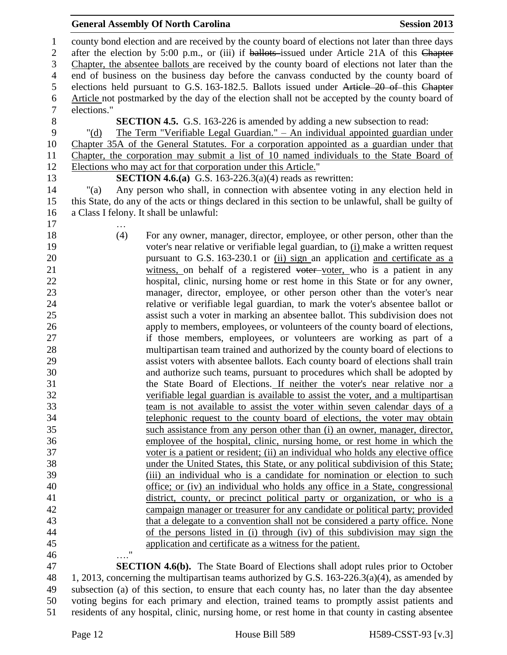| $\mathbf{1}$   | county bond election and are received by the county board of elections not later than three days     |
|----------------|------------------------------------------------------------------------------------------------------|
| $\mathbf{2}$   | after the election by 5:00 p.m., or (iii) if ballots-issued under Article 21A of this Chapter        |
| 3              | Chapter, the absentee ballots are received by the county board of elections not later than the       |
| $\overline{4}$ | end of business on the business day before the canvass conducted by the county board of              |
| 5              | elections held pursuant to G.S. 163-182.5. Ballots issued under Article 20 of this Chapter           |
| 6              | Article not postmarked by the day of the election shall not be accepted by the county board of       |
| $\tau$         | elections."                                                                                          |
| $\, 8$         | <b>SECTION 4.5.</b> G.S. 163-226 is amended by adding a new subsection to read:                      |
| 9              | <u> The Term "Verifiable Legal Guardian." – An individual appointed guardian under</u><br>" $(d)$    |
| 10             | Chapter 35A of the General Statutes. For a corporation appointed as a guardian under that            |
| 11             | Chapter, the corporation may submit a list of 10 named individuals to the State Board of             |
| 12             | Elections who may act for that corporation under this Article."                                      |
| 13             | <b>SECTION 4.6.(a)</b> G.S. 163-226.3(a)(4) reads as rewritten:                                      |
| 14             | Any person who shall, in connection with absentee voting in any election held in<br>"(a)             |
| 15             | this State, do any of the acts or things declared in this section to be unlawful, shall be guilty of |
| 16             | a Class I felony. It shall be unlawful:                                                              |
| 17             |                                                                                                      |
| 18             | (4)<br>For any owner, manager, director, employee, or other person, other than the                   |
| 19             | voter's near relative or verifiable legal guardian, to (i) make a written request                    |
| 20             | pursuant to G.S. 163-230.1 or (ii) sign an application and certificate as a                          |
| 21             | witness, on behalf of a registered voter-voter, who is a patient in any                              |
| 22             | hospital, clinic, nursing home or rest home in this State or for any owner,                          |
| 23             | manager, director, employee, or other person other than the voter's near                             |
| 24             |                                                                                                      |
| 25             | relative or verifiable legal guardian, to mark the voter's absentee ballot or                        |
|                | assist such a voter in marking an absentee ballot. This subdivision does not                         |
| 26             | apply to members, employees, or volunteers of the county board of elections,                         |
| 27             | if those members, employees, or volunteers are working as part of a                                  |
| 28             | multipartisan team trained and authorized by the county board of elections to                        |
| 29             | assist voters with absentee ballots. Each county board of elections shall train                      |
| 30             | and authorize such teams, pursuant to procedures which shall be adopted by                           |
| 31             | the State Board of Elections. If neither the voter's near relative nor a                             |
| 32             | verifiable legal guardian is available to assist the voter, and a multipartisan                      |
| 33             | team is not available to assist the voter within seven calendar days of a                            |
| 34             | telephonic request to the county board of elections, the voter may obtain                            |
| 35             | such assistance from any person other than (i) an owner, manager, director,                          |
| 36             | employee of the hospital, clinic, nursing home, or rest home in which the                            |
| 37             | voter is a patient or resident; (ii) an individual who holds any elective office                     |
| 38             | under the United States, this State, or any political subdivision of this State;                     |
| 39             | (iii) an individual who is a candidate for nomination or election to such                            |
| 40             | office; or (iv) an individual who holds any office in a State, congressional                         |
| 41             | district, county, or precinct political party or organization, or who is a                           |
| 42             | campaign manager or treasurer for any candidate or political party; provided                         |
| 43             | that a delegate to a convention shall not be considered a party office. None                         |
| 44             | of the persons listed in (i) through (iv) of this subdivision may sign the                           |
| 45             | application and certificate as a witness for the patient.                                            |
| 46             | 11                                                                                                   |
| $\overline{A}$ |                                                                                                      |

 **SECTION 4.6(b).** The State Board of Elections shall adopt rules prior to October 1, 2013, concerning the multipartisan teams authorized by G.S. 163-226.3(a)(4), as amended by subsection (a) of this section, to ensure that each county has, no later than the day absentee voting begins for each primary and election, trained teams to promptly assist patients and residents of any hospital, clinic, nursing home, or rest home in that county in casting absentee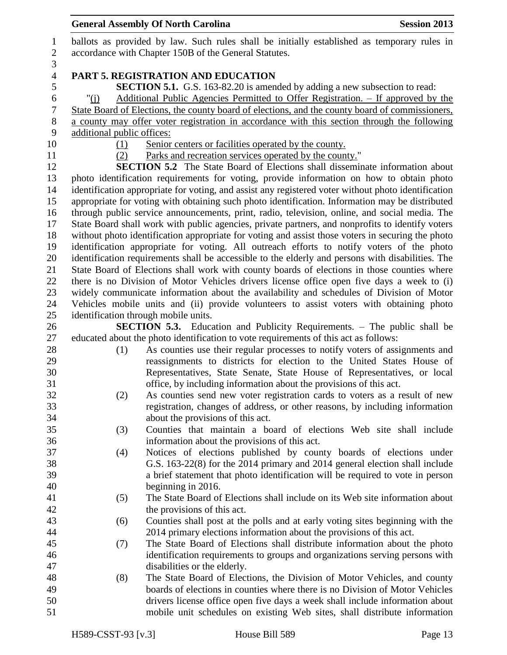|                  |                                                       | <b>General Assembly Of North Carolina</b><br><b>Session 2013</b>                                                                                                                               |  |
|------------------|-------------------------------------------------------|------------------------------------------------------------------------------------------------------------------------------------------------------------------------------------------------|--|
| $\mathbf{1}$     |                                                       | ballots as provided by law. Such rules shall be initially established as temporary rules in                                                                                                    |  |
| $\mathbf{2}$     | accordance with Chapter 150B of the General Statutes. |                                                                                                                                                                                                |  |
| 3                |                                                       |                                                                                                                                                                                                |  |
| $\overline{4}$   |                                                       | PART 5. REGISTRATION AND EDUCATION                                                                                                                                                             |  |
| 5                |                                                       | <b>SECTION 5.1.</b> G.S. 163-82.20 is amended by adding a new subsection to read:                                                                                                              |  |
| 6                | " $(i)$                                               | <u>Additional Public Agencies Permitted to Offer Registration. – If approved by the</u>                                                                                                        |  |
| $\boldsymbol{7}$ |                                                       | State Board of Elections, the county board of elections, and the county board of commissioners,                                                                                                |  |
| $8\,$            |                                                       | a county may offer voter registration in accordance with this section through the following                                                                                                    |  |
| 9                | additional public offices:                            |                                                                                                                                                                                                |  |
| 10               | (1)                                                   | Senior centers or facilities operated by the county.                                                                                                                                           |  |
| 11               | (2)                                                   | Parks and recreation services operated by the county."                                                                                                                                         |  |
| 12               |                                                       | <b>SECTION 5.2</b> The State Board of Elections shall disseminate information about                                                                                                            |  |
| 13               |                                                       | photo identification requirements for voting, provide information on how to obtain photo                                                                                                       |  |
| 14               |                                                       | identification appropriate for voting, and assist any registered voter without photo identification                                                                                            |  |
| 15               |                                                       | appropriate for voting with obtaining such photo identification. Information may be distributed                                                                                                |  |
| 16               |                                                       | through public service announcements, print, radio, television, online, and social media. The                                                                                                  |  |
| 17<br>18         |                                                       | State Board shall work with public agencies, private partners, and nonprofits to identify voters                                                                                               |  |
| 19               |                                                       | without photo identification appropriate for voting and assist those voters in securing the photo<br>identification appropriate for voting. All outreach efforts to notify voters of the photo |  |
| 20               |                                                       | identification requirements shall be accessible to the elderly and persons with disabilities. The                                                                                              |  |
| 21               |                                                       | State Board of Elections shall work with county boards of elections in those counties where                                                                                                    |  |
| 22               |                                                       | there is no Division of Motor Vehicles drivers license office open five days a week to (i)                                                                                                     |  |
| 23               |                                                       | widely communicate information about the availability and schedules of Division of Motor                                                                                                       |  |
| 24               |                                                       | Vehicles mobile units and (ii) provide volunteers to assist voters with obtaining photo                                                                                                        |  |
| 25               |                                                       | identification through mobile units.                                                                                                                                                           |  |
| 26               |                                                       | <b>SECTION 5.3.</b> Education and Publicity Requirements. – The public shall be                                                                                                                |  |
| 27               |                                                       | educated about the photo identification to vote requirements of this act as follows:                                                                                                           |  |
| 28               | (1)                                                   | As counties use their regular processes to notify voters of assignments and                                                                                                                    |  |
| 29               |                                                       | reassignments to districts for election to the United States House of                                                                                                                          |  |
| 30               |                                                       | Representatives, State Senate, State House of Representatives, or local                                                                                                                        |  |
| 31               |                                                       | office, by including information about the provisions of this act.                                                                                                                             |  |
| 32               | (2)                                                   | As counties send new voter registration cards to voters as a result of new                                                                                                                     |  |
| 33               |                                                       | registration, changes of address, or other reasons, by including information                                                                                                                   |  |
| 34               |                                                       | about the provisions of this act.                                                                                                                                                              |  |
| 35               | (3)                                                   | Counties that maintain a board of elections Web site shall include                                                                                                                             |  |
| 36               |                                                       | information about the provisions of this act.                                                                                                                                                  |  |
| 37               | (4)                                                   | Notices of elections published by county boards of elections under                                                                                                                             |  |
| 38               |                                                       | G.S. 163-22(8) for the 2014 primary and 2014 general election shall include                                                                                                                    |  |
| 39               |                                                       | a brief statement that photo identification will be required to vote in person                                                                                                                 |  |
| 40               |                                                       | beginning in 2016.                                                                                                                                                                             |  |
| 41               | (5)                                                   | The State Board of Elections shall include on its Web site information about                                                                                                                   |  |
| 42               |                                                       | the provisions of this act.                                                                                                                                                                    |  |
| 43               | (6)                                                   | Counties shall post at the polls and at early voting sites beginning with the                                                                                                                  |  |
| 44               |                                                       | 2014 primary elections information about the provisions of this act.                                                                                                                           |  |
| 45               | (7)                                                   | The State Board of Elections shall distribute information about the photo                                                                                                                      |  |
| 46               |                                                       | identification requirements to groups and organizations serving persons with                                                                                                                   |  |
| 47               |                                                       | disabilities or the elderly.                                                                                                                                                                   |  |
| 48               | (8)                                                   | The State Board of Elections, the Division of Motor Vehicles, and county                                                                                                                       |  |
| 49<br>50         |                                                       | boards of elections in counties where there is no Division of Motor Vehicles<br>drivers license office open five days a week shall include information about                                   |  |
| 51               |                                                       | mobile unit schedules on existing Web sites, shall distribute information                                                                                                                      |  |
|                  |                                                       |                                                                                                                                                                                                |  |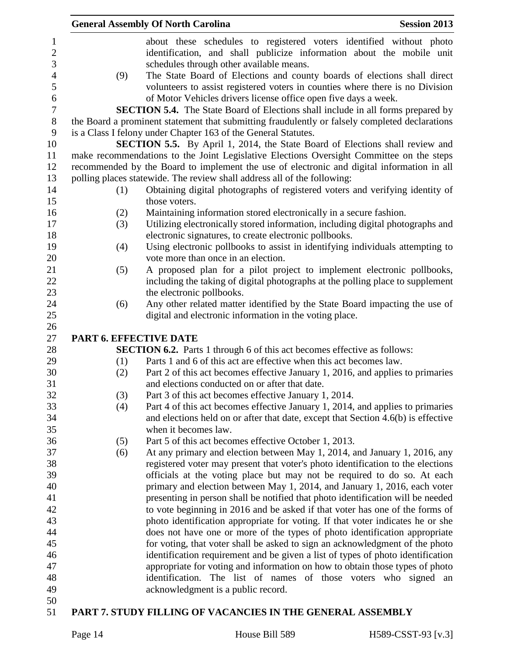|                        | <b>General Assembly Of North Carolina</b>                                                                                              | <b>Session 2013</b> |
|------------------------|----------------------------------------------------------------------------------------------------------------------------------------|---------------------|
|                        | about these schedules to registered voters identified without photo                                                                    |                     |
|                        | identification, and shall publicize information about the mobile unit                                                                  |                     |
|                        | schedules through other available means.                                                                                               |                     |
| (9)                    | The State Board of Elections and county boards of elections shall direct                                                               |                     |
|                        | volunteers to assist registered voters in counties where there is no Division                                                          |                     |
|                        | of Motor Vehicles drivers license office open five days a week.                                                                        |                     |
|                        | <b>SECTION 5.4.</b> The State Board of Elections shall include in all forms prepared by                                                |                     |
|                        | the Board a prominent statement that submitting fraudulently or falsely completed declarations                                         |                     |
|                        | is a Class I felony under Chapter 163 of the General Statutes.                                                                         |                     |
|                        | <b>SECTION 5.5.</b> By April 1, 2014, the State Board of Elections shall review and                                                    |                     |
|                        | make recommendations to the Joint Legislative Elections Oversight Committee on the steps                                               |                     |
|                        | recommended by the Board to implement the use of electronic and digital information in all                                             |                     |
|                        | polling places statewide. The review shall address all of the following:                                                               |                     |
| (1)                    | Obtaining digital photographs of registered voters and verifying identity of                                                           |                     |
|                        | those voters.                                                                                                                          |                     |
|                        |                                                                                                                                        |                     |
| (2)                    | Maintaining information stored electronically in a secure fashion.                                                                     |                     |
| (3)                    | Utilizing electronically stored information, including digital photographs and                                                         |                     |
|                        | electronic signatures, to create electronic pollbooks.                                                                                 |                     |
| (4)                    | Using electronic pollbooks to assist in identifying individuals attempting to<br>vote more than once in an election.                   |                     |
|                        |                                                                                                                                        |                     |
| (5)                    | A proposed plan for a pilot project to implement electronic pollbooks,                                                                 |                     |
|                        | including the taking of digital photographs at the polling place to supplement                                                         |                     |
|                        | the electronic pollbooks.                                                                                                              |                     |
| (6)                    | Any other related matter identified by the State Board impacting the use of<br>digital and electronic information in the voting place. |                     |
|                        |                                                                                                                                        |                     |
| PART 6. EFFECTIVE DATE |                                                                                                                                        |                     |
|                        | <b>SECTION 6.2.</b> Parts 1 through 6 of this act becomes effective as follows:                                                        |                     |
| (1)                    | Parts 1 and 6 of this act are effective when this act becomes law.                                                                     |                     |
| (2)                    | Part 2 of this act becomes effective January 1, 2016, and applies to primaries                                                         |                     |
|                        | and elections conducted on or after that date.                                                                                         |                     |
| (3)                    | Part 3 of this act becomes effective January 1, 2014.                                                                                  |                     |
| (4)                    | Part 4 of this act becomes effective January 1, 2014, and applies to primaries                                                         |                     |
|                        | and elections held on or after that date, except that Section 4.6(b) is effective                                                      |                     |
|                        | when it becomes law.                                                                                                                   |                     |
| (5)                    | Part 5 of this act becomes effective October 1, 2013.                                                                                  |                     |
| (6)                    | At any primary and election between May 1, 2014, and January 1, 2016, any                                                              |                     |
|                        | registered voter may present that voter's photo identification to the elections                                                        |                     |
|                        | officials at the voting place but may not be required to do so. At each                                                                |                     |
|                        | primary and election between May 1, 2014, and January 1, 2016, each voter                                                              |                     |
|                        | presenting in person shall be notified that photo identification will be needed                                                        |                     |
|                        | to vote beginning in 2016 and be asked if that voter has one of the forms of                                                           |                     |
|                        | photo identification appropriate for voting. If that voter indicates he or she                                                         |                     |
|                        | does not have one or more of the types of photo identification appropriate                                                             |                     |
|                        | for voting, that voter shall be asked to sign an acknowledgment of the photo                                                           |                     |
|                        | identification requirement and be given a list of types of photo identification                                                        |                     |
|                        | appropriate for voting and information on how to obtain those types of photo                                                           |                     |
|                        | identification. The list of names of those voters who signed an                                                                        |                     |
|                        | acknowledgment is a public record.                                                                                                     |                     |
|                        |                                                                                                                                        |                     |
|                        |                                                                                                                                        |                     |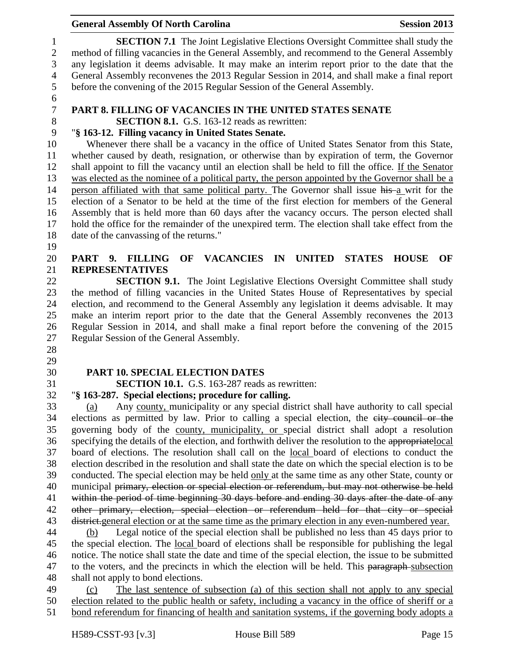**SECTION 7.1** The Joint Legislative Elections Oversight Committee shall study the method of filling vacancies in the General Assembly, and recommend to the General Assembly any legislation it deems advisable. It may make an interim report prior to the date that the General Assembly reconvenes the 2013 Regular Session in 2014, and shall make a final report before the convening of the 2015 Regular Session of the General Assembly.

# **PART 8. FILLING OF VACANCIES IN THE UNITED STATES SENATE**

# **SECTION 8.1.** G.S. 163-12 reads as rewritten:

# "**§ 163-12. Filling vacancy in United States Senate.**

 Whenever there shall be a vacancy in the office of United States Senator from this State, whether caused by death, resignation, or otherwise than by expiration of term, the Governor shall appoint to fill the vacancy until an election shall be held to fill the office. If the Senator was elected as the nominee of a political party, the person appointed by the Governor shall be a person affiliated with that same political party. The Governor shall issue his a writ for the election of a Senator to be held at the time of the first election for members of the General Assembly that is held more than 60 days after the vacancy occurs. The person elected shall hold the office for the remainder of the unexpired term. The election shall take effect from the date of the canvassing of the returns."

# **PART 9. FILLING OF VACANCIES IN UNITED STATES HOUSE OF REPRESENTATIVES**

 **SECTION 9.1.** The Joint Legislative Elections Oversight Committee shall study the method of filling vacancies in the United States House of Representatives by special election, and recommend to the General Assembly any legislation it deems advisable. It may make an interim report prior to the date that the General Assembly reconvenes the 2013 Regular Session in 2014, and shall make a final report before the convening of the 2015 Regular Session of the General Assembly.

# 

# **PART 10. SPECIAL ELECTION DATES**

**SECTION 10.1.** G.S. 163-287 reads as rewritten:

# "**§ 163-287. Special elections; procedure for calling.**

 (a) Any county, municipality or any special district shall have authority to call special elections as permitted by law. Prior to calling a special election, the city council or the governing body of the county, municipality, or special district shall adopt a resolution specifying the details of the election, and forthwith deliver the resolution to the appropriatelocal board of elections. The resolution shall call on the local board of elections to conduct the election described in the resolution and shall state the date on which the special election is to be conducted. The special election may be held only at the same time as any other State, county or 40 municipal primary, election or special election or referendum, but may not otherwise be held 41 within the period of time beginning 30 days before and ending 30 days after the date of any other primary, election, special election or referendum held for that city or special 43 <del>district.</del> general election or at the same time as the primary election in any even-numbered year.

 (b) Legal notice of the special election shall be published no less than 45 days prior to the special election. The local board of elections shall be responsible for publishing the legal notice. The notice shall state the date and time of the special election, the issue to be submitted 47 to the voters, and the precincts in which the election will be held. This paragraph-subsection shall not apply to bond elections.

 (c) The last sentence of subsection (a) of this section shall not apply to any special election related to the public health or safety, including a vacancy in the office of sheriff or a bond referendum for financing of health and sanitation systems, if the governing body adopts a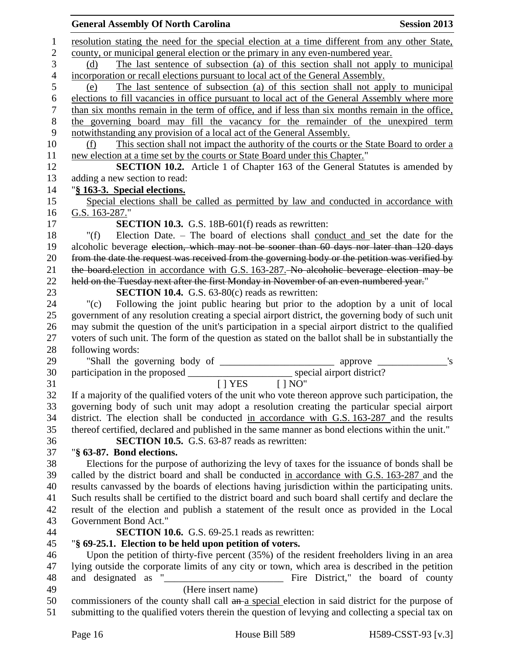|                | <b>General Assembly Of North Carolina</b><br><b>Session 2013</b>                                                        |
|----------------|-------------------------------------------------------------------------------------------------------------------------|
| 1              | resolution stating the need for the special election at a time different from any other State,                          |
| $\overline{2}$ | county, or municipal general election or the primary in any even-numbered year.                                         |
| 3              | The last sentence of subsection (a) of this section shall not apply to municipal<br>(d)                                 |
| $\overline{4}$ | incorporation or recall elections pursuant to local act of the General Assembly.                                        |
| 5              | The last sentence of subsection (a) of this section shall not apply to municipal<br>(e)                                 |
| 6              | elections to fill vacancies in office pursuant to local act of the General Assembly where more                          |
| 7              | than six months remain in the term of office, and if less than six months remain in the office,                         |
| $8\phantom{1}$ | the governing board may fill the vacancy for the remainder of the unexpired term                                        |
| 9              | notwithstanding any provision of a local act of the General Assembly.                                                   |
| 10             | This section shall not impact the authority of the courts or the State Board to order a<br>(f)                          |
| 11             | new election at a time set by the courts or State Board under this Chapter."                                            |
| 12             | <b>SECTION 10.2.</b> Article 1 of Chapter 163 of the General Statutes is amended by                                     |
| 13             | adding a new section to read:                                                                                           |
| 14             | "§ 163-3. Special elections.                                                                                            |
| 15             | Special elections shall be called as permitted by law and conducted in accordance with                                  |
| 16             | G.S. 163-287."                                                                                                          |
| 17             | <b>SECTION 10.3.</b> G.S. 18B-601(f) reads as rewritten:                                                                |
| 18             | Election Date. – The board of elections shall conduct and set the date for the<br>" $(f)$                               |
| 19             | alcoholic beverage election, which may not be sooner than 60 days nor later than 120 days                               |
| 20             | from the date the request was received from the governing body or the petition was verified by                          |
| 21             | the board-election in accordance with G.S. 163-287. No alcoholic beverage election may be                               |
| 22             | held on the Tuesday next after the first Monday in November of an even-numbered year."                                  |
| 23             | <b>SECTION 10.4.</b> G.S. 63-80(c) reads as rewritten:                                                                  |
| 24             | Following the joint public hearing but prior to the adoption by a unit of local<br>"(c)                                 |
| 25             | government of any resolution creating a special airport district, the governing body of such unit                       |
| 26             | may submit the question of the unit's participation in a special airport district to the qualified                      |
| 27<br>28       | voters of such unit. The form of the question as stated on the ballot shall be in substantially the<br>following words: |
| 29             |                                                                                                                         |
| 30             |                                                                                                                         |
| 31             | $[$ $]$ NO"<br>$[$   YES                                                                                                |
| 32             | If a majority of the qualified voters of the unit who vote thereon approve such participation, the                      |
| 33             | governing body of such unit may adopt a resolution creating the particular special airport                              |
| 34             | district. The election shall be conducted in accordance with G.S. 163-287 and the results                               |
| 35             | thereof certified, declared and published in the same manner as bond elections within the unit."                        |
| 36             | <b>SECTION 10.5.</b> G.S. 63-87 reads as rewritten:                                                                     |
| 37             | "§ 63-87. Bond elections.                                                                                               |
| 38             | Elections for the purpose of authorizing the levy of taxes for the issuance of bonds shall be                           |
| 39             | called by the district board and shall be conducted in accordance with G.S. 163-287 and the                             |
| 40             | results canvassed by the boards of elections having jurisdiction within the participating units.                        |
| 41             | Such results shall be certified to the district board and such board shall certify and declare the                      |
| 42             | result of the election and publish a statement of the result once as provided in the Local                              |
| 43             | Government Bond Act."                                                                                                   |
| 44             | <b>SECTION 10.6.</b> G.S. 69-25.1 reads as rewritten:                                                                   |
| 45             | "§ 69-25.1. Election to be held upon petition of voters.                                                                |
| 46             | Upon the petition of thirty-five percent (35%) of the resident freeholders living in an area                            |
| 47             | lying outside the corporate limits of any city or town, which area is described in the petition                         |
| 48             | Fire District," the board of county                                                                                     |
| 49<br>50       | (Here insert name)<br>commissioners of the county shall call an a special election in said district for the purpose of  |
| 51             | submitting to the qualified voters therein the question of levying and collecting a special tax on                      |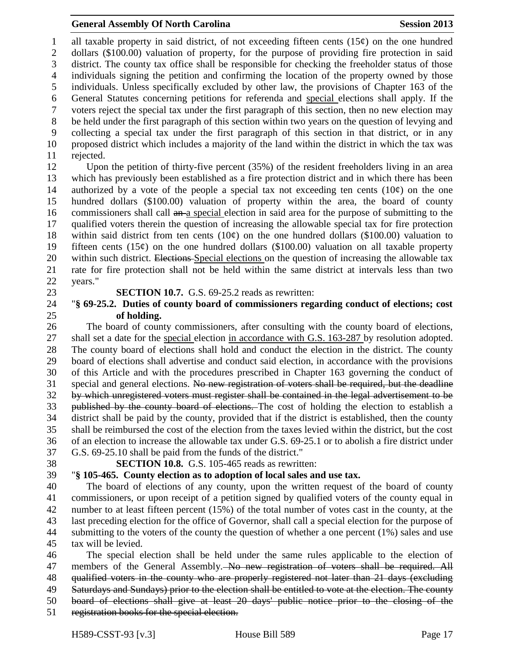1 all taxable property in said district, of not exceeding fifteen cents  $(15¢)$  on the one hundred dollars (\$100.00) valuation of property, for the purpose of providing fire protection in said district. The county tax office shall be responsible for checking the freeholder status of those individuals signing the petition and confirming the location of the property owned by those individuals. Unless specifically excluded by other law, the provisions of Chapter 163 of the General Statutes concerning petitions for referenda and special elections shall apply. If the voters reject the special tax under the first paragraph of this section, then no new election may be held under the first paragraph of this section within two years on the question of levying and collecting a special tax under the first paragraph of this section in that district, or in any proposed district which includes a majority of the land within the district in which the tax was rejected.

 Upon the petition of thirty-five percent (35%) of the resident freeholders living in an area which has previously been established as a fire protection district and in which there has been 14 authorized by a vote of the people a special tax not exceeding ten cents  $(10¢)$  on the one hundred dollars (\$100.00) valuation of property within the area, the board of county 16 commissioners shall call an a special election in said area for the purpose of submitting to the qualified voters therein the question of increasing the allowable special tax for fire protection 18 within said district from ten cents  $(10¢)$  on the one hundred dollars (\$100.00) valuation to 19 fifteen cents  $(15¢)$  on the one hundred dollars  $(\$100.00)$  valuation on all taxable property 20 within such district. Elections-Special elections on the question of increasing the allowable tax rate for fire protection shall not be held within the same district at intervals less than two years."

**SECTION 10.7.** G.S. 69-25.2 reads as rewritten:

#### "**§ 69-25.2. Duties of county board of commissioners regarding conduct of elections; cost of holding.**

 The board of county commissioners, after consulting with the county board of elections, shall set a date for the special election in accordance with G.S. 163-287 by resolution adopted. The county board of elections shall hold and conduct the election in the district. The county board of elections shall advertise and conduct said election, in accordance with the provisions of this Article and with the procedures prescribed in Chapter 163 governing the conduct of special and general elections. No new registration of voters shall be required, but the deadline by which unregistered voters must register shall be contained in the legal advertisement to be 33 published by the county board of elections. The cost of holding the election to establish a district shall be paid by the county, provided that if the district is established, then the county shall be reimbursed the cost of the election from the taxes levied within the district, but the cost of an election to increase the allowable tax under G.S. 69-25.1 or to abolish a fire district under G.S. 69-25.10 shall be paid from the funds of the district."

## **SECTION 10.8.** G.S. 105-465 reads as rewritten:

### "**§ 105-465. County election as to adoption of local sales and use tax.**

 The board of elections of any county, upon the written request of the board of county commissioners, or upon receipt of a petition signed by qualified voters of the county equal in number to at least fifteen percent (15%) of the total number of votes cast in the county, at the last preceding election for the office of Governor, shall call a special election for the purpose of submitting to the voters of the county the question of whether a one percent (1%) sales and use tax will be levied.

 The special election shall be held under the same rules applicable to the election of 47 members of the General Assembly. No new registration of voters shall be required. All qualified voters in the county who are properly registered not later than 21 days (excluding 49 Saturdays and Sundays) prior to the election shall be entitled to vote at the election. The county board of elections shall give at least 20 days' public notice prior to the closing of the registration books for the special election.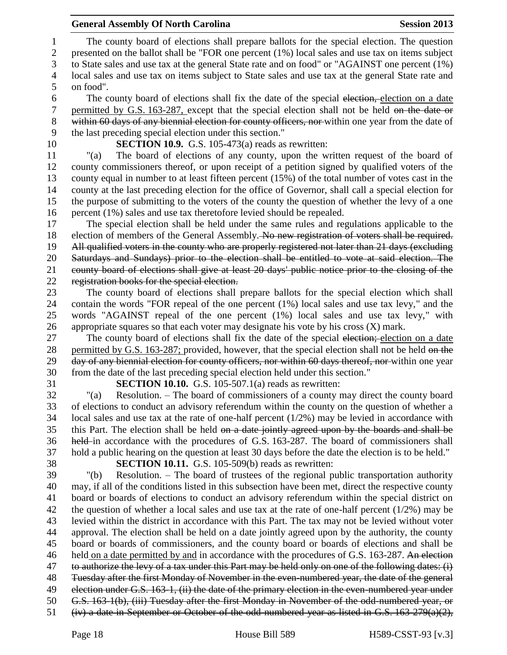The county board of elections shall prepare ballots for the special election. The question presented on the ballot shall be "FOR one percent (1%) local sales and use tax on items subject to State sales and use tax at the general State rate and on food" or "AGAINST one percent (1%) local sales and use tax on items subject to State sales and use tax at the general State rate and on food".

6 The county board of elections shall fix the date of the special election, election on a date 7 permitted by G.S. 163-287, except that the special election shall not be held on the date or within 60 days of any biennial election for county officers, nor within one year from the date of the last preceding special election under this section."

**SECTION 10.9.** G.S. 105-473(a) reads as rewritten:

 "(a) The board of elections of any county, upon the written request of the board of county commissioners thereof, or upon receipt of a petition signed by qualified voters of the county equal in number to at least fifteen percent (15%) of the total number of votes cast in the county at the last preceding election for the office of Governor, shall call a special election for the purpose of submitting to the voters of the county the question of whether the levy of a one percent (1%) sales and use tax theretofore levied should be repealed.

 The special election shall be held under the same rules and regulations applicable to the 18 election of members of the General Assembly. No new registration of voters shall be required. All qualified voters in the county who are properly registered not later than 21 days (excluding Saturdays and Sundays) prior to the election shall be entitled to vote at said election. The county board of elections shall give at least 20 days' public notice prior to the closing of the registration books for the special election.

 The county board of elections shall prepare ballots for the special election which shall contain the words "FOR repeal of the one percent (1%) local sales and use tax levy," and the words "AGAINST repeal of the one percent (1%) local sales and use tax levy," with appropriate squares so that each voter may designate his vote by his cross (X) mark.

27 The county board of elections shall fix the date of the special election; election on a date 28 permitted by G.S. 163-287; provided, however, that the special election shall not be held on the 29 day of any biennial election for county officers, nor within 60 days thereof, nor within one year from the date of the last preceding special election held under this section."

**SECTION 10.10.** G.S. 105-507.1(a) reads as rewritten:

 "(a) Resolution. – The board of commissioners of a county may direct the county board of elections to conduct an advisory referendum within the county on the question of whether a local sales and use tax at the rate of one-half percent (1/2%) may be levied in accordance with 35 this Part. The election shall be held on a date jointly agreed upon by the boards and shall be held in accordance with the procedures of G.S. 163-287. The board of commissioners shall hold a public hearing on the question at least 30 days before the date the election is to be held."

**SECTION 10.11.** G.S. 105-509(b) reads as rewritten:

 "(b) Resolution. – The board of trustees of the regional public transportation authority may, if all of the conditions listed in this subsection have been met, direct the respective county board or boards of elections to conduct an advisory referendum within the special district on the question of whether a local sales and use tax at the rate of one-half percent (1/2%) may be levied within the district in accordance with this Part. The tax may not be levied without voter approval. The election shall be held on a date jointly agreed upon by the authority, the county board or boards of commissioners, and the county board or boards of elections and shall be 46 held on a date permitted by and in accordance with the procedures of G.S. 163-287. An election to authorize the levy of a tax under this Part may be held only on one of the following dates: (i) Tuesday after the first Monday of November in the even-numbered year, the date of the general 49 election under G.S. 163-1, (ii) the date of the primary election in the even-numbered year under G.S. 163-1(b), (iii) Tuesday after the first Monday in November of the odd-numbered year, or (iv) a date in September or October of the odd-numbered year as listed in G.S. 163-279(a)(2),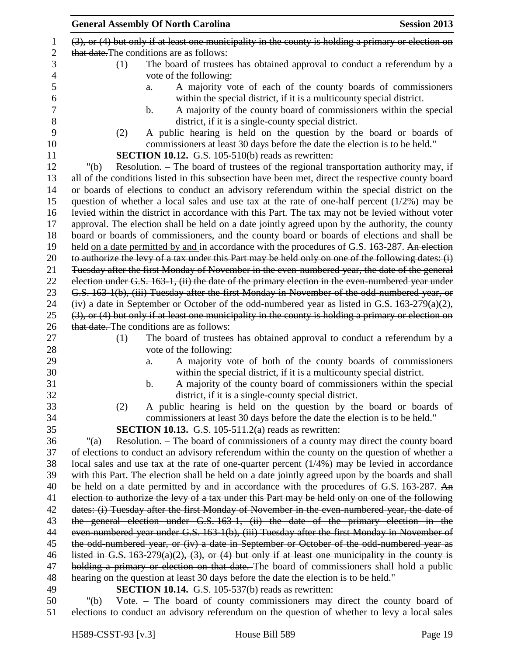|                | <b>General Assembly Of North Carolina</b><br><b>Session 2013</b>                                         |
|----------------|----------------------------------------------------------------------------------------------------------|
| 1              | $(3)$ , or $(4)$ but only if at least one municipality in the county is holding a primary or election on |
| $\overline{2}$ | that date. The conditions are as follows:                                                                |
| 3              | The board of trustees has obtained approval to conduct a referendum by a<br>(1)                          |
| $\overline{4}$ | vote of the following:                                                                                   |
| 5              | A majority vote of each of the county boards of commissioners<br>a.                                      |
| 6              | within the special district, if it is a multicounty special district.                                    |
| $\tau$         | A majority of the county board of commissioners within the special<br>b.                                 |
| $8\,$          | district, if it is a single-county special district.                                                     |
| 9              | A public hearing is held on the question by the board or boards of<br>(2)                                |
| 10             | commissioners at least 30 days before the date the election is to be held."                              |
| 11             | <b>SECTION 10.12.</b> G.S. 105-510(b) reads as rewritten:                                                |
| 12             | Resolution. – The board of trustees of the regional transportation authority may, if<br>" $(b)$          |
| 13             | all of the conditions listed in this subsection have been met, direct the respective county board        |
| 14             | or boards of elections to conduct an advisory referendum within the special district on the              |
| 15             | question of whether a local sales and use tax at the rate of one-half percent $(1/2%)$ may be            |
| 16             | levied within the district in accordance with this Part. The tax may not be levied without voter         |
| 17             | approval. The election shall be held on a date jointly agreed upon by the authority, the county          |
| 18             | board or boards of commissioners, and the county board or boards of elections and shall be               |
| 19             | held on a date permitted by and in accordance with the procedures of G.S. 163-287. An election           |
| 20             | to authorize the levy of a tax under this Part may be held only on one of the following dates: (i)       |
| 21             | Tuesday after the first Monday of November in the even-numbered year, the date of the general            |
| 22             | election under G.S. 163-1, (ii) the date of the primary election in the even-numbered year under         |
| 23             | G.S. 163-1(b), (iii) Tuesday after the first Monday in November of the odd-numbered year, or             |
| 24             | $(iv)$ a date in September or October of the odd-numbered year as listed in G.S. 163-279(a)(2),          |
| 25             | (3), or (4) but only if at least one municipality in the county is holding a primary or election on      |
| 26             | that date. The conditions are as follows:                                                                |
| 27             | The board of trustees has obtained approval to conduct a referendum by a<br>(1)                          |
| 28             | vote of the following:                                                                                   |
| 29             | A majority vote of both of the county boards of commissioners<br>a.                                      |
| 30             | within the special district, if it is a multicounty special district.                                    |
| 31             | A majority of the county board of commissioners within the special<br>b.                                 |
| 32             | district, if it is a single-county special district.                                                     |
| 33             | A public hearing is held on the question by the board or boards of<br>(2)                                |
| 34             | commissioners at least 30 days before the date the election is to be held."                              |
| 35             | <b>SECTION 10.13.</b> G.S. 105-511.2(a) reads as rewritten:                                              |
| 36             | Resolution. – The board of commissioners of a county may direct the county board<br>" $(a)$              |
| 37             | of elections to conduct an advisory referendum within the county on the question of whether a            |
| 38             | local sales and use tax at the rate of one-quarter percent $(1/4%)$ may be levied in accordance          |
| 39             | with this Part. The election shall be held on a date jointly agreed upon by the boards and shall         |
| 40             | be held on a date permitted by and in accordance with the procedures of G.S. 163-287. An                 |
| 41             | election to authorize the levy of a tax under this Part may be held only on one of the following         |
| 42             | dates: (i) Tuesday after the first Monday of November in the even numbered year, the date of             |
| 43             | the general election under G.S. 163-1, (ii) the date of the primary election in the                      |
| 44             | even-numbered year under G.S. 163-1(b), (iii) Tuesday after the first Monday in November of              |
| 45             | the odd numbered year, or (iv) a date in September or October of the odd numbered year as                |
| 46             | listed in G.S. $163-279(a)(2)$ , $(3)$ , or $(4)$ but only if at least one municipality in the county is |
| 47             | holding a primary or election on that date. The board of commissioners shall hold a public               |
| 48             | hearing on the question at least 30 days before the date the election is to be held."                    |
| 49             | <b>SECTION 10.14.</b> G.S. 105-537(b) reads as rewritten:                                                |
| 50             | Vote. – The board of county commissioners may direct the county board of<br>" $(b)$                      |
| 51             | elections to conduct an advisory referendum on the question of whether to levy a local sales             |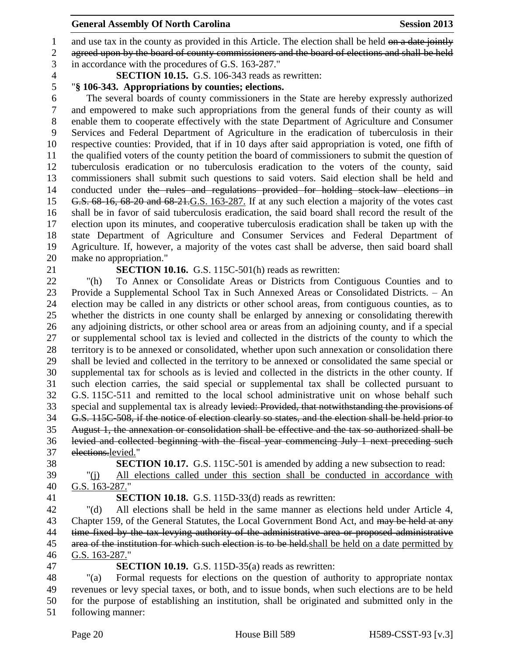1 and use tax in the county as provided in this Article. The election shall be held on a date jointly agreed upon by the board of county commissioners and the board of elections and shall be held

in accordance with the procedures of G.S. 163-287."

**SECTION 10.15.** G.S. 106-343 reads as rewritten:

# "**§ 106-343. Appropriations by counties; elections.**

 The several boards of county commissioners in the State are hereby expressly authorized and empowered to make such appropriations from the general funds of their county as will enable them to cooperate effectively with the state Department of Agriculture and Consumer Services and Federal Department of Agriculture in the eradication of tuberculosis in their respective counties: Provided, that if in 10 days after said appropriation is voted, one fifth of the qualified voters of the county petition the board of commissioners to submit the question of tuberculosis eradication or no tuberculosis eradication to the voters of the county, said commissioners shall submit such questions to said voters. Said election shall be held and 14 conducted under the rules and regulations provided for holding stock-law elections in G.S. 68-16, 68-20 and 68-21.G.S. 163-287. If at any such election a majority of the votes cast shall be in favor of said tuberculosis eradication, the said board shall record the result of the election upon its minutes, and cooperative tuberculosis eradication shall be taken up with the state Department of Agriculture and Consumer Services and Federal Department of Agriculture. If, however, a majority of the votes cast shall be adverse, then said board shall make no appropriation."

# **SECTION 10.16.** G.S. 115C-501(h) reads as rewritten:

 "(h) To Annex or Consolidate Areas or Districts from Contiguous Counties and to Provide a Supplemental School Tax in Such Annexed Areas or Consolidated Districts. – An election may be called in any districts or other school areas, from contiguous counties, as to whether the districts in one county shall be enlarged by annexing or consolidating therewith any adjoining districts, or other school area or areas from an adjoining county, and if a special or supplemental school tax is levied and collected in the districts of the county to which the territory is to be annexed or consolidated, whether upon such annexation or consolidation there shall be levied and collected in the territory to be annexed or consolidated the same special or supplemental tax for schools as is levied and collected in the districts in the other county. If such election carries, the said special or supplemental tax shall be collected pursuant to G.S. 115C-511 and remitted to the local school administrative unit on whose behalf such 33 special and supplemental tax is already levied: Provided, that not with standing the provisions of G.S. 115C-508, if the notice of election clearly so states, and the election shall be held prior to August 1, the annexation or consolidation shall be effective and the tax so authorized shall be levied and collected beginning with the fiscal year commencing July 1 next preceding such elections.levied."

- "(j) All elections called under this section shall be conducted in accordance with
- 
- 

G.S. 163-287."

**SECTION 10.17.** G.S. 115C-501 is amended by adding a new subsection to read:

**SECTION 10.18.** G.S. 115D-33(d) reads as rewritten:

 "(d) All elections shall be held in the same manner as elections held under Article 4, 43 Chapter 159, of the General Statutes, the Local Government Bond Act, and may be held at any time fixed by the tax-levying authority of the administrative area or proposed administrative 45 area of the institution for which such election is to be held. shall be held on a date permitted by G.S. 163-287."

**SECTION 10.19.** G.S. 115D-35(a) reads as rewritten:

 "(a) Formal requests for elections on the question of authority to appropriate nontax revenues or levy special taxes, or both, and to issue bonds, when such elections are to be held for the purpose of establishing an institution, shall be originated and submitted only in the following manner: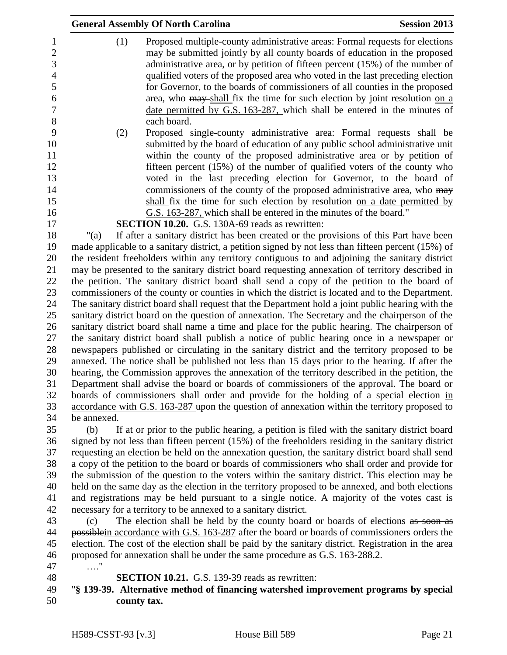|             | <b>Session 2013</b><br><b>General Assembly Of North Carolina</b>                                    |
|-------------|-----------------------------------------------------------------------------------------------------|
| (1)         | Proposed multiple-county administrative areas: Formal requests for elections                        |
|             | may be submitted jointly by all county boards of education in the proposed                          |
|             | administrative area, or by petition of fifteen percent (15%) of the number of                       |
|             | qualified voters of the proposed area who voted in the last preceding election                      |
|             | for Governor, to the boards of commissioners of all counties in the proposed                        |
|             | area, who may shall fix the time for such election by joint resolution on a                         |
|             | date permitted by G.S. 163-287, which shall be entered in the minutes of                            |
|             | each board.                                                                                         |
| (2)         | Proposed single-county administrative area: Formal requests shall be                                |
|             | submitted by the board of education of any public school administrative unit                        |
|             | within the county of the proposed administrative area or by petition of                             |
|             | fifteen percent $(15%)$ of the number of qualified voters of the county who                         |
|             | voted in the last preceding election for Governor, to the board of                                  |
|             | commissioners of the county of the proposed administrative area, who may                            |
|             | shall fix the time for such election by resolution on a date permitted by                           |
|             | G.S. 163-287, which shall be entered in the minutes of the board."                                  |
|             | <b>SECTION 10.20.</b> G.S. 130A-69 reads as rewritten:                                              |
| " $(a)$     | If after a sanitary district has been created or the provisions of this Part have been              |
|             | made applicable to a sanitary district, a petition signed by not less than fifteen percent (15%) of |
|             | the resident freeholders within any territory contiguous to and adjoining the sanitary district     |
|             | may be presented to the sanitary district board requesting annexation of territory described in     |
|             | the petition. The sanitary district board shall send a copy of the petition to the board of         |
|             | commissioners of the county or counties in which the district is located and to the Department.     |
|             | The sanitary district board shall request that the Department hold a joint public hearing with the  |
|             | sanitary district board on the question of annexation. The Secretary and the chairperson of the     |
|             | sanitary district board shall name a time and place for the public hearing. The chairperson of      |
|             | the sanitary district board shall publish a notice of public hearing once in a newspaper or         |
|             | newspapers published or circulating in the sanitary district and the territory proposed to be       |
|             | annexed. The notice shall be published not less than 15 days prior to the hearing. If after the     |
|             | hearing, the Commission approves the annexation of the territory described in the petition, the     |
|             | Department shall advise the board or boards of commissioners of the approval. The board or          |
|             | boards of commissioners shall order and provide for the holding of a special election in            |
|             | accordance with G.S. 163-287 upon the question of annexation within the territory proposed to       |
| be annexed. |                                                                                                     |
| (b)         | If at or prior to the public hearing, a petition is filed with the sanitary district board          |
|             | signed by not less than fifteen percent (15%) of the freeholders residing in the sanitary district  |
|             | requesting an election be held on the annexation question, the sanitary district board shall send   |
|             | a copy of the petition to the board or boards of commissioners who shall order and provide for      |
|             | the submission of the question to the voters within the sanitary district. This election may be     |
|             | held on the same day as the election in the territory proposed to be annexed, and both elections    |
|             | and registrations may be held pursuant to a single notice. A majority of the votes cast is          |

necessary for a territory to be annexed to a sanitary district.

 (c) The election shall be held by the county board or boards of elections as soon as 44 possible in accordance with G.S. 163-287 after the board or boards of commissioners orders the election. The cost of the election shall be paid by the sanitary district. Registration in the area proposed for annexation shall be under the same procedure as G.S. 163-288.2.

- …."
- 

**SECTION 10.21.** G.S. 139-39 reads as rewritten:

# "**§ 139-39. Alternative method of financing watershed improvement programs by special county tax.**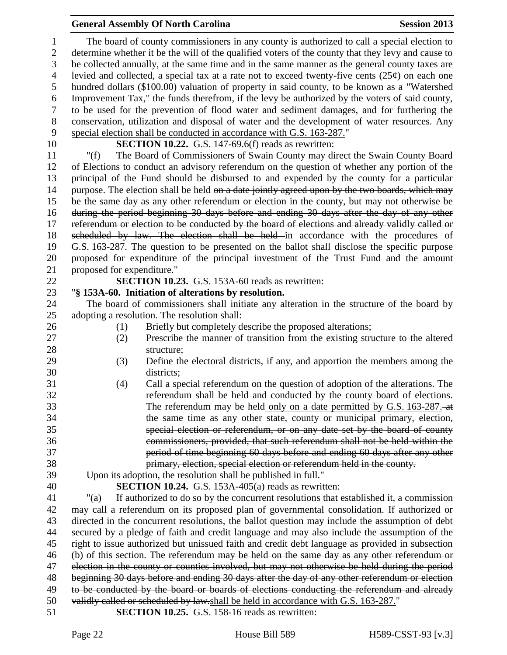The board of county commissioners in any county is authorized to call a special election to determine whether it be the will of the qualified voters of the county that they levy and cause to be collected annually, at the same time and in the same manner as the general county taxes are 4 levied and collected, a special tax at a rate not to exceed twenty-five cents  $(25¢)$  on each one hundred dollars (\$100.00) valuation of property in said county, to be known as a "Watershed Improvement Tax," the funds therefrom, if the levy be authorized by the voters of said county, to be used for the prevention of flood water and sediment damages, and for furthering the conservation, utilization and disposal of water and the development of water resources. Any special election shall be conducted in accordance with G.S. 163-287."

**SECTION 10.22.** G.S. 147-69.6(f) reads as rewritten:

 "(f) The Board of Commissioners of Swain County may direct the Swain County Board of Elections to conduct an advisory referendum on the question of whether any portion of the principal of the Fund should be disbursed to and expended by the county for a particular 14 purpose. The election shall be held on a date jointly agreed upon by the two boards, which may be the same day as any other referendum or election in the county, but may not otherwise be during the period beginning 30 days before and ending 30 days after the day of any other referendum or election to be conducted by the board of elections and already validly called or scheduled by law. The election shall be held in accordance with the procedures of G.S. 163-287. The question to be presented on the ballot shall disclose the specific purpose proposed for expenditure of the principal investment of the Trust Fund and the amount proposed for expenditure."

**SECTION 10.23.** G.S. 153A-60 reads as rewritten:

# "**§ 153A-60. Initiation of alterations by resolution.**

 The board of commissioners shall initiate any alteration in the structure of the board by adopting a resolution. The resolution shall:

- 26 (1) Briefly but completely describe the proposed alterations;
- (2) Prescribe the manner of transition from the existing structure to the altered 28 structure:
- (3) Define the electoral districts, if any, and apportion the members among the districts;
- (4) Call a special referendum on the question of adoption of the alterations. The referendum shall be held and conducted by the county board of elections. 33 The referendum may be held only on a date permitted by G.S. 163-287. the same time as any other state, county or municipal primary, election, special election or referendum, or on any date set by the board of county commissioners, provided, that such referendum shall not be held within the period of time beginning 60 days before and ending 60 days after any other primary, election, special election or referendum held in the county.
- Upon its adoption, the resolution shall be published in full."
- **SECTION 10.24.** G.S. 153A-405(a) reads as rewritten:

 "(a) If authorized to do so by the concurrent resolutions that established it, a commission may call a referendum on its proposed plan of governmental consolidation. If authorized or directed in the concurrent resolutions, the ballot question may include the assumption of debt secured by a pledge of faith and credit language and may also include the assumption of the right to issue authorized but unissued faith and credit debt language as provided in subsection 46 (b) of this section. The referendum may be held on the same day as any other referendum or election in the county or counties involved, but may not otherwise be held during the period beginning 30 days before and ending 30 days after the day of any other referendum or election 49 to be conducted by the board or boards of elections conducting the referendum and already validly called or scheduled by law.shall be held in accordance with G.S. 163-287."

**SECTION 10.25.** G.S. 158-16 reads as rewritten: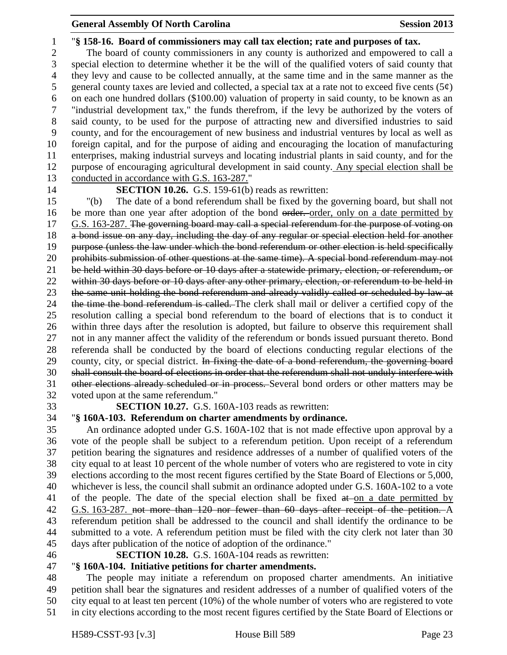"**§ 158-16. Board of commissioners may call tax election; rate and purposes of tax.** The board of county commissioners in any county is authorized and empowered to call a special election to determine whether it be the will of the qualified voters of said county that they levy and cause to be collected annually, at the same time and in the same manner as the 5 general county taxes are levied and collected, a special tax at a rate not to exceed five cents  $(5\phi)$  on each one hundred dollars (\$100.00) valuation of property in said county, to be known as an "industrial development tax," the funds therefrom, if the levy be authorized by the voters of said county, to be used for the purpose of attracting new and diversified industries to said county, and for the encouragement of new business and industrial ventures by local as well as foreign capital, and for the purpose of aiding and encouraging the location of manufacturing enterprises, making industrial surveys and locating industrial plants in said county, and for the purpose of encouraging agricultural development in said county. Any special election shall be conducted in accordance with G.S. 163-287." **SECTION 10.26.** G.S. 159-61(b) reads as rewritten:

 "(b) The date of a bond referendum shall be fixed by the governing board, but shall not 16 be more than one year after adoption of the bond order. order, only on a date permitted by G.S. 163-287. The governing board may call a special referendum for the purpose of voting on a bond issue on any day, including the day of any regular or special election held for another purpose (unless the law under which the bond referendum or other election is held specifically 20 prohibits submission of other questions at the same time). A special bond referendum may not be held within 30 days before or 10 days after a statewide primary, election, or referendum, or 22 within 30 days before or 10 days after any other primary, election, or referendum to be held in 23 the same unit holding the bond referendum and already validly called or scheduled by law at 24 the time the bond referendum is called. The clerk shall mail or deliver a certified copy of the resolution calling a special bond referendum to the board of elections that is to conduct it within three days after the resolution is adopted, but failure to observe this requirement shall not in any manner affect the validity of the referendum or bonds issued pursuant thereto. Bond referenda shall be conducted by the board of elections conducting regular elections of the 29 county, city, or special district. In fixing the date of a bond referendum, the governing board shall consult the board of elections in order that the referendum shall not unduly interfere with other elections already scheduled or in process. Several bond orders or other matters may be voted upon at the same referendum."

**SECTION 10.27.** G.S. 160A-103 reads as rewritten:

# "**§ 160A-103. Referendum on charter amendments by ordinance.**

 An ordinance adopted under G.S. 160A-102 that is not made effective upon approval by a vote of the people shall be subject to a referendum petition. Upon receipt of a referendum petition bearing the signatures and residence addresses of a number of qualified voters of the city equal to at least 10 percent of the whole number of voters who are registered to vote in city elections according to the most recent figures certified by the State Board of Elections or 5,000, whichever is less, the council shall submit an ordinance adopted under G.S. 160A-102 to a vote 41 of the people. The date of the special election shall be fixed at on a date permitted by G.S. 163-287. not more than 120 nor fewer than 60 days after receipt of the petition. A referendum petition shall be addressed to the council and shall identify the ordinance to be submitted to a vote. A referendum petition must be filed with the city clerk not later than 30 days after publication of the notice of adoption of the ordinance."

## **SECTION 10.28.** G.S. 160A-104 reads as rewritten:

# "**§ 160A-104. Initiative petitions for charter amendments.**

 The people may initiate a referendum on proposed charter amendments. An initiative petition shall bear the signatures and resident addresses of a number of qualified voters of the city equal to at least ten percent (10%) of the whole number of voters who are registered to vote in city elections according to the most recent figures certified by the State Board of Elections or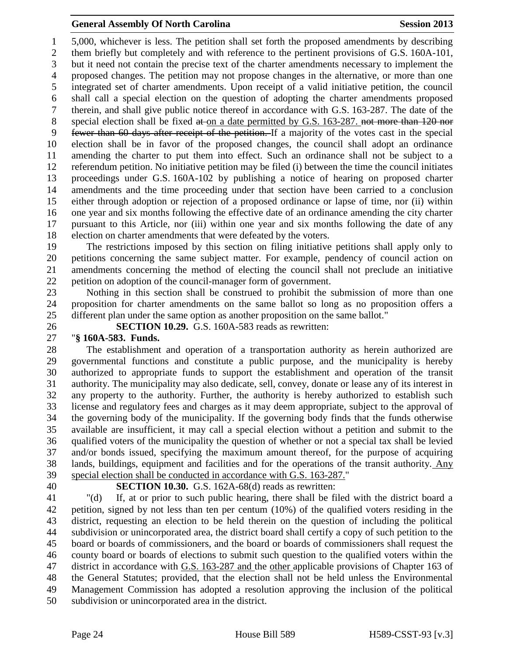5,000, whichever is less. The petition shall set forth the proposed amendments by describing them briefly but completely and with reference to the pertinent provisions of G.S. 160A-101, but it need not contain the precise text of the charter amendments necessary to implement the proposed changes. The petition may not propose changes in the alternative, or more than one integrated set of charter amendments. Upon receipt of a valid initiative petition, the council shall call a special election on the question of adopting the charter amendments proposed therein, and shall give public notice thereof in accordance with G.S. 163-287. The date of the 8 special election shall be fixed at on a date permitted by G.S. 163-287. not more than 120 nor fewer than 60 days after receipt of the petition. If a majority of the votes cast in the special election shall be in favor of the proposed changes, the council shall adopt an ordinance amending the charter to put them into effect. Such an ordinance shall not be subject to a referendum petition. No initiative petition may be filed (i) between the time the council initiates proceedings under G.S. 160A-102 by publishing a notice of hearing on proposed charter amendments and the time proceeding under that section have been carried to a conclusion either through adoption or rejection of a proposed ordinance or lapse of time, nor (ii) within one year and six months following the effective date of an ordinance amending the city charter pursuant to this Article, nor (iii) within one year and six months following the date of any election on charter amendments that were defeated by the voters.

 The restrictions imposed by this section on filing initiative petitions shall apply only to petitions concerning the same subject matter. For example, pendency of council action on amendments concerning the method of electing the council shall not preclude an initiative petition on adoption of the council-manager form of government.

 Nothing in this section shall be construed to prohibit the submission of more than one proposition for charter amendments on the same ballot so long as no proposition offers a different plan under the same option as another proposition on the same ballot."

**SECTION 10.29.** G.S. 160A-583 reads as rewritten:

### "**§ 160A-583. Funds.**

 The establishment and operation of a transportation authority as herein authorized are governmental functions and constitute a public purpose, and the municipality is hereby authorized to appropriate funds to support the establishment and operation of the transit authority. The municipality may also dedicate, sell, convey, donate or lease any of its interest in any property to the authority. Further, the authority is hereby authorized to establish such license and regulatory fees and charges as it may deem appropriate, subject to the approval of the governing body of the municipality. If the governing body finds that the funds otherwise available are insufficient, it may call a special election without a petition and submit to the qualified voters of the municipality the question of whether or not a special tax shall be levied and/or bonds issued, specifying the maximum amount thereof, for the purpose of acquiring lands, buildings, equipment and facilities and for the operations of the transit authority. Any special election shall be conducted in accordance with G.S. 163-287."

**SECTION 10.30.** G.S. 162A-68(d) reads as rewritten:

 "(d) If, at or prior to such public hearing, there shall be filed with the district board a petition, signed by not less than ten per centum (10%) of the qualified voters residing in the district, requesting an election to be held therein on the question of including the political subdivision or unincorporated area, the district board shall certify a copy of such petition to the board or boards of commissioners, and the board or boards of commissioners shall request the county board or boards of elections to submit such question to the qualified voters within the district in accordance with G.S. 163-287 and the other applicable provisions of Chapter 163 of the General Statutes; provided, that the election shall not be held unless the Environmental Management Commission has adopted a resolution approving the inclusion of the political subdivision or unincorporated area in the district.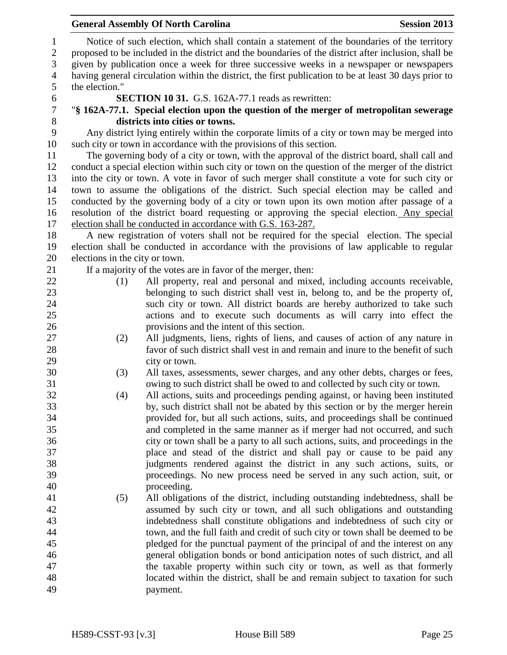|                | <b>General Assembly Of North Carolina</b>                                                                                                                                                           | <b>Session 2013</b> |
|----------------|-----------------------------------------------------------------------------------------------------------------------------------------------------------------------------------------------------|---------------------|
|                | Notice of such election, which shall contain a statement of the boundaries of the territory<br>proposed to be included in the district and the boundaries of the district after inclusion, shall be |                     |
|                | given by publication once a week for three successive weeks in a newspaper or newspapers                                                                                                            |                     |
|                | having general circulation within the district, the first publication to be at least 30 days prior to                                                                                               |                     |
| the election." |                                                                                                                                                                                                     |                     |
|                | SECTION 10 31. G.S. 162A-77.1 reads as rewritten:                                                                                                                                                   |                     |
|                | "\\$ 162A-77.1. Special election upon the question of the merger of metropolitan sewerage                                                                                                           |                     |
|                | districts into cities or towns.                                                                                                                                                                     |                     |
|                | Any district lying entirely within the corporate limits of a city or town may be merged into                                                                                                        |                     |
|                | such city or town in accordance with the provisions of this section.                                                                                                                                |                     |
|                | The governing body of a city or town, with the approval of the district board, shall call and                                                                                                       |                     |
|                | conduct a special election within such city or town on the question of the merger of the district                                                                                                   |                     |
|                | into the city or town. A vote in favor of such merger shall constitute a vote for such city or                                                                                                      |                     |
|                | town to assume the obligations of the district. Such special election may be called and                                                                                                             |                     |
|                | conducted by the governing body of a city or town upon its own motion after passage of a                                                                                                            |                     |
|                | resolution of the district board requesting or approving the special election. Any special                                                                                                          |                     |
|                | election shall be conducted in accordance with G.S. 163-287.                                                                                                                                        |                     |
|                | A new registration of voters shall not be required for the special election. The special                                                                                                            |                     |
|                | election shall be conducted in accordance with the provisions of law applicable to regular                                                                                                          |                     |
|                | elections in the city or town.                                                                                                                                                                      |                     |
|                | If a majority of the votes are in favor of the merger, then:                                                                                                                                        |                     |
| (1)            | All property, real and personal and mixed, including accounts receivable,                                                                                                                           |                     |
|                | belonging to such district shall vest in, belong to, and be the property of,                                                                                                                        |                     |
|                | such city or town. All district boards are hereby authorized to take such                                                                                                                           |                     |
|                | actions and to execute such documents as will carry into effect the                                                                                                                                 |                     |
|                | provisions and the intent of this section.                                                                                                                                                          |                     |
| (2)            | All judgments, liens, rights of liens, and causes of action of any nature in                                                                                                                        |                     |
|                | favor of such district shall vest in and remain and inure to the benefit of such                                                                                                                    |                     |
|                | city or town.                                                                                                                                                                                       |                     |
| (3)            | All taxes, assessments, sewer charges, and any other debts, charges or fees,                                                                                                                        |                     |
|                | owing to such district shall be owed to and collected by such city or town.                                                                                                                         |                     |
| (4)            | All actions, suits and proceedings pending against, or having been instituted                                                                                                                       |                     |
|                | by, such district shall not be abated by this section or by the merger herein                                                                                                                       |                     |
|                | provided for, but all such actions, suits, and proceedings shall be continued                                                                                                                       |                     |
|                | and completed in the same manner as if merger had not occurred, and such                                                                                                                            |                     |
|                | city or town shall be a party to all such actions, suits, and proceedings in the                                                                                                                    |                     |
|                | place and stead of the district and shall pay or cause to be paid any                                                                                                                               |                     |
|                | judgments rendered against the district in any such actions, suits, or                                                                                                                              |                     |
|                | proceedings. No new process need be served in any such action, suit, or                                                                                                                             |                     |
|                | proceeding.                                                                                                                                                                                         |                     |
| (5)            | All obligations of the district, including outstanding indebtedness, shall be                                                                                                                       |                     |
|                | assumed by such city or town, and all such obligations and outstanding                                                                                                                              |                     |
|                | indebtedness shall constitute obligations and indebtedness of such city or                                                                                                                          |                     |
|                | town, and the full faith and credit of such city or town shall be deemed to be                                                                                                                      |                     |
|                | pledged for the punctual payment of the principal of and the interest on any                                                                                                                        |                     |
|                | general obligation bonds or bond anticipation notes of such district, and all                                                                                                                       |                     |
|                | the taxable property within such city or town, as well as that formerly                                                                                                                             |                     |
|                | located within the district, shall be and remain subject to taxation for such                                                                                                                       |                     |
|                | payment.                                                                                                                                                                                            |                     |
|                |                                                                                                                                                                                                     |                     |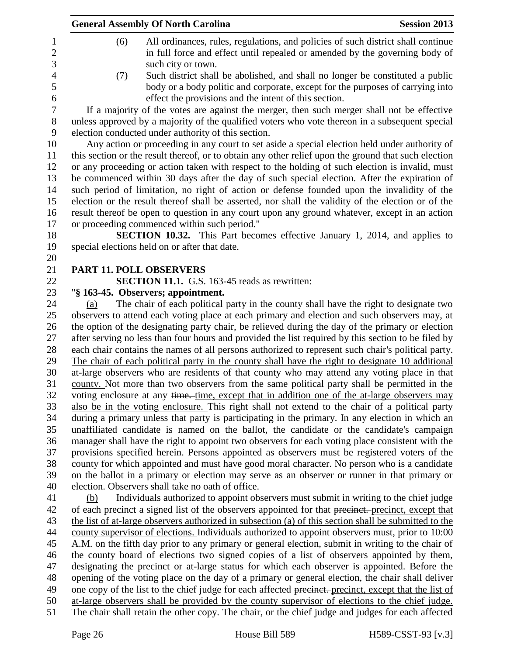| <b>General Assembly Of North Carolina</b>           |                                                       | <b>Session 2013</b>                                                                                                                                                                            |
|-----------------------------------------------------|-------------------------------------------------------|------------------------------------------------------------------------------------------------------------------------------------------------------------------------------------------------|
| (6)                                                 | such city or town.                                    | All ordinances, rules, regulations, and policies of such district shall continue<br>in full force and effect until repealed or amended by the governing body of                                |
| (7)                                                 | effect the provisions and the intent of this section. | Such district shall be abolished, and shall no longer be constituted a public<br>body or a body politic and corporate, except for the purposes of carrying into                                |
|                                                     |                                                       | If a majority of the votes are against the merger, then such merger shall not be effective                                                                                                     |
| election conducted under authority of this section. |                                                       | unless approved by a majority of the qualified voters who vote thereon in a subsequent special                                                                                                 |
|                                                     |                                                       | Any action or proceeding in any court to set aside a special election held under authority of                                                                                                  |
|                                                     |                                                       | this section or the result thereof, or to obtain any other relief upon the ground that such election                                                                                           |
|                                                     |                                                       | or any proceeding or action taken with respect to the holding of such election is invalid, must                                                                                                |
|                                                     |                                                       | be commenced within 30 days after the day of such special election. After the expiration of                                                                                                    |
|                                                     |                                                       | such period of limitation, no right of action or defense founded upon the invalidity of the                                                                                                    |
|                                                     |                                                       | election or the result thereof shall be asserted, nor shall the validity of the election or of the                                                                                             |
|                                                     |                                                       | result thereof be open to question in any court upon any ground whatever, except in an action                                                                                                  |
| or proceeding commenced within such period."        |                                                       |                                                                                                                                                                                                |
|                                                     |                                                       | <b>SECTION 10.32.</b> This Part becomes effective January 1, 2014, and applies to                                                                                                              |
| special elections held on or after that date.       |                                                       |                                                                                                                                                                                                |
|                                                     |                                                       |                                                                                                                                                                                                |
| <b>PART 11. POLL OBSERVERS</b>                      |                                                       |                                                                                                                                                                                                |
|                                                     | SECTION 11.1. G.S. 163-45 reads as rewritten:         |                                                                                                                                                                                                |
| "§ 163-45. Observers; appointment.                  |                                                       |                                                                                                                                                                                                |
| (a)                                                 |                                                       | The chair of each political party in the county shall have the right to designate two                                                                                                          |
|                                                     |                                                       | observers to attend each voting place at each primary and election and such observers may, at                                                                                                  |
|                                                     |                                                       | the option of the designating party chair, be relieved during the day of the primary or election                                                                                               |
|                                                     |                                                       | after serving no less than four hours and provided the list required by this section to be filed by                                                                                            |
|                                                     |                                                       | each chair contains the names of all persons authorized to represent such chair's political party.                                                                                             |
|                                                     |                                                       | The chair of each political party in the county shall have the right to designate 10 additional<br>at-large observers who are residents of that county who may attend any voting place in that |
|                                                     |                                                       | county. Not more than two observers from the same political party shall be permitted in the                                                                                                    |
|                                                     |                                                       | voting enclosure at any time. time, except that in addition one of the at-large observers may                                                                                                  |
|                                                     |                                                       | also be in the voting enclosure. This right shall not extend to the chair of a political party                                                                                                 |
|                                                     |                                                       | during a primary unless that party is participating in the primary. In any election in which an                                                                                                |
|                                                     |                                                       | unaffiliated candidate is named on the ballot, the candidate or the candidate's campaign                                                                                                       |
|                                                     |                                                       | manager shall have the right to appoint two observers for each voting place consistent with the                                                                                                |
|                                                     |                                                       | provisions specified herein. Persons appointed as observers must be registered voters of the                                                                                                   |
|                                                     |                                                       | county for which appointed and must have good moral character. No person who is a candidate                                                                                                    |
|                                                     |                                                       | on the ballot in a primary or election may serve as an observer or runner in that primary or                                                                                                   |
| election. Observers shall take no oath of office.   |                                                       |                                                                                                                                                                                                |
| (b)                                                 |                                                       | Individuals authorized to appoint observers must submit in writing to the chief judge                                                                                                          |
|                                                     |                                                       | of each precinct a signed list of the observers appointed for that precinct. precinct, except that                                                                                             |
|                                                     |                                                       | the list of at-large observers authorized in subsection (a) of this section shall be submitted to the                                                                                          |
|                                                     |                                                       | county supervisor of elections. Individuals authorized to appoint observers must, prior to 10:00                                                                                               |
|                                                     |                                                       | A.M. on the fifth day prior to any primary or general election, submit in writing to the chair of                                                                                              |
|                                                     |                                                       | the county board of elections two signed copies of a list of observers appointed by them,                                                                                                      |
|                                                     |                                                       | designating the precinct or at-large status for which each observer is appointed. Before the                                                                                                   |

48 opening of the voting place on the day of a primary or general election, the chair shall deliver<br>49 one copy of the list to the chief judge for each affected precinet, precinct, except that the list of one copy of the list to the chief judge for each affected precinct. precinct, except that the list of

at-large observers shall be provided by the county supervisor of elections to the chief judge.

51 The chair shall retain the other copy. The chair, or the chief judge and judges for each affected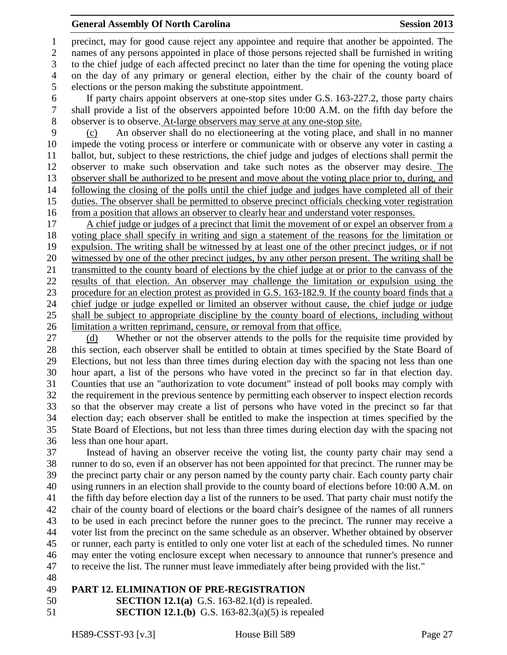precinct, may for good cause reject any appointee and require that another be appointed. The names of any persons appointed in place of those persons rejected shall be furnished in writing to the chief judge of each affected precinct no later than the time for opening the voting place on the day of any primary or general election, either by the chair of the county board of elections or the person making the substitute appointment.

 If party chairs appoint observers at one-stop sites under G.S. 163-227.2, those party chairs shall provide a list of the observers appointed before 10:00 A.M. on the fifth day before the observer is to observe. At-large observers may serve at any one-stop site.

 (c) An observer shall do no electioneering at the voting place, and shall in no manner impede the voting process or interfere or communicate with or observe any voter in casting a ballot, but, subject to these restrictions, the chief judge and judges of elections shall permit the observer to make such observation and take such notes as the observer may desire. The observer shall be authorized to be present and move about the voting place prior to, during, and following the closing of the polls until the chief judge and judges have completed all of their duties. The observer shall be permitted to observe precinct officials checking voter registration from a position that allows an observer to clearly hear and understand voter responses.

 A chief judge or judges of a precinct that limit the movement of or expel an observer from a voting place shall specify in writing and sign a statement of the reasons for the limitation or expulsion. The writing shall be witnessed by at least one of the other precinct judges, or if not witnessed by one of the other precinct judges, by any other person present. The writing shall be transmitted to the county board of elections by the chief judge at or prior to the canvass of the results of that election. An observer may challenge the limitation or expulsion using the procedure for an election protest as provided in G.S. 163-182.9. If the county board finds that a chief judge or judge expelled or limited an observer without cause, the chief judge or judge shall be subject to appropriate discipline by the county board of elections, including without limitation a written reprimand, censure, or removal from that office.

27 (d) Whether or not the observer attends to the polls for the requisite time provided by this section, each observer shall be entitled to obtain at times specified by the State Board of Elections, but not less than three times during election day with the spacing not less than one hour apart, a list of the persons who have voted in the precinct so far in that election day. Counties that use an "authorization to vote document" instead of poll books may comply with the requirement in the previous sentence by permitting each observer to inspect election records so that the observer may create a list of persons who have voted in the precinct so far that election day; each observer shall be entitled to make the inspection at times specified by the State Board of Elections, but not less than three times during election day with the spacing not less than one hour apart.

 Instead of having an observer receive the voting list, the county party chair may send a runner to do so, even if an observer has not been appointed for that precinct. The runner may be the precinct party chair or any person named by the county party chair. Each county party chair using runners in an election shall provide to the county board of elections before 10:00 A.M. on the fifth day before election day a list of the runners to be used. That party chair must notify the chair of the county board of elections or the board chair's designee of the names of all runners to be used in each precinct before the runner goes to the precinct. The runner may receive a voter list from the precinct on the same schedule as an observer. Whether obtained by observer or runner, each party is entitled to only one voter list at each of the scheduled times. No runner may enter the voting enclosure except when necessary to announce that runner's presence and to receive the list. The runner must leave immediately after being provided with the list."

- 
- **PART 12. ELIMINATION OF PRE-REGISTRATION**
- **SECTION 12.1(a)** G.S. 163-82.1(d) is repealed. **SECTION 12.1.(b)** G.S. 163-82.3(a)(5) is repealed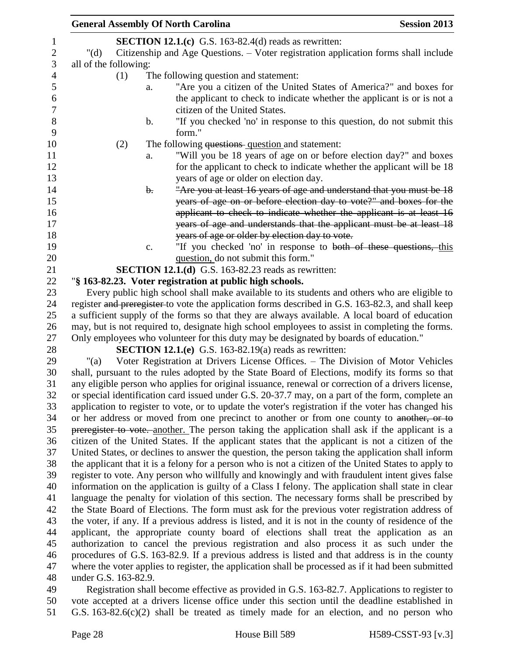|                       |     |                | <b>General Assembly Of North Carolina</b>                                                                                                                                                               | <b>Session 2013</b> |
|-----------------------|-----|----------------|---------------------------------------------------------------------------------------------------------------------------------------------------------------------------------------------------------|---------------------|
|                       |     |                | SECTION 12.1.(c) G.S. 163-82.4(d) reads as rewritten:                                                                                                                                                   |                     |
| " $(d)$               |     |                | Citizenship and Age Questions. - Voter registration application forms shall include                                                                                                                     |                     |
| all of the following: |     |                |                                                                                                                                                                                                         |                     |
|                       | (1) |                | The following question and statement:                                                                                                                                                                   |                     |
|                       |     | a.             | "Are you a citizen of the United States of America?" and boxes for                                                                                                                                      |                     |
|                       |     |                | the applicant to check to indicate whether the applicant is or is not a                                                                                                                                 |                     |
|                       |     |                | citizen of the United States.                                                                                                                                                                           |                     |
|                       |     | b.             | "If you checked 'no' in response to this question, do not submit this<br>form."                                                                                                                         |                     |
|                       | (2) |                | The following questions question and statement:                                                                                                                                                         |                     |
|                       |     | a.             | "Will you be 18 years of age on or before election day?" and boxes                                                                                                                                      |                     |
|                       |     |                | for the applicant to check to indicate whether the applicant will be 18                                                                                                                                 |                     |
|                       |     |                | years of age or older on election day.                                                                                                                                                                  |                     |
|                       |     | $\mathbf{b}$ . | "Are you at least 16 years of age and understand that you must be 18                                                                                                                                    |                     |
|                       |     |                | years of age on or before election day to vote?" and boxes for the                                                                                                                                      |                     |
|                       |     |                | applicant to check to indicate whether the applicant is at least 16                                                                                                                                     |                     |
|                       |     |                | years of age and understands that the applicant must be at least 18                                                                                                                                     |                     |
|                       |     |                | years of age or older by election day to vote.                                                                                                                                                          |                     |
|                       |     | c.             | "If you checked 'no' in response to both of these questions, this                                                                                                                                       |                     |
|                       |     |                | question, do not submit this form."                                                                                                                                                                     |                     |
|                       |     |                | <b>SECTION 12.1.(d)</b> G.S. 163-82.23 reads as rewritten:                                                                                                                                              |                     |
|                       |     |                | "§ 163-82.23. Voter registration at public high schools.                                                                                                                                                |                     |
|                       |     |                | Every public high school shall make available to its students and others who are eligible to                                                                                                            |                     |
|                       |     |                | register and preregister to vote the application forms described in G.S. 163-82.3, and shall keep                                                                                                       |                     |
|                       |     |                | a sufficient supply of the forms so that they are always available. A local board of education                                                                                                          |                     |
|                       |     |                | may, but is not required to, designate high school employees to assist in completing the forms.                                                                                                         |                     |
|                       |     |                | Only employees who volunteer for this duty may be designated by boards of education."                                                                                                                   |                     |
|                       |     |                | <b>SECTION 12.1.(e)</b> G.S. 163-82.19(a) reads as rewritten:                                                                                                                                           |                     |
| " $(a)$               |     |                | Voter Registration at Drivers License Offices. - The Division of Motor Vehicles                                                                                                                         |                     |
|                       |     |                | shall, pursuant to the rules adopted by the State Board of Elections, modify its forms so that                                                                                                          |                     |
|                       |     |                | any eligible person who applies for original issuance, renewal or correction of a drivers license,                                                                                                      |                     |
|                       |     |                | or special identification card issued under G.S. 20-37.7 may, on a part of the form, complete an<br>application to register to vote, or to update the voter's registration if the voter has changed his |                     |
|                       |     |                | or her address or moved from one precinct to another or from one county to another, or to                                                                                                               |                     |
|                       |     |                | preregister to vote. another. The person taking the application shall ask if the applicant is a                                                                                                         |                     |
|                       |     |                | citizen of the United States. If the applicant states that the applicant is not a citizen of the                                                                                                        |                     |
|                       |     |                | United States, or declines to answer the question, the person taking the application shall inform                                                                                                       |                     |
|                       |     |                | the applicant that it is a felony for a person who is not a citizen of the United States to apply to                                                                                                    |                     |
|                       |     |                | register to vote. Any person who willfully and knowingly and with fraudulent intent gives false                                                                                                         |                     |
|                       |     |                | information on the application is guilty of a Class I felony. The application shall state in clear                                                                                                      |                     |
|                       |     |                | language the penalty for violation of this section. The necessary forms shall be prescribed by                                                                                                          |                     |
|                       |     |                | the State Board of Elections. The form must ask for the previous voter registration address of                                                                                                          |                     |
|                       |     |                | the voter, if any. If a previous address is listed, and it is not in the county of residence of the                                                                                                     |                     |
|                       |     |                | applicant, the appropriate county board of elections shall treat the application as an                                                                                                                  |                     |
|                       |     |                | authorization to cancel the previous registration and also process it as such under the                                                                                                                 |                     |
|                       |     |                | procedures of G.S. 163-82.9. If a previous address is listed and that address is in the county                                                                                                          |                     |
|                       |     |                | where the voter applies to register, the application shall be processed as if it had been submitted                                                                                                     |                     |
| under G.S. 163-82.9.  |     |                |                                                                                                                                                                                                         |                     |
|                       |     |                | Registration shall become effective as provided in G.S. 163-82.7. Applications to register to                                                                                                           |                     |

 vote accepted at a drivers license office under this section until the deadline established in G.S. 163-82.6(c)(2) shall be treated as timely made for an election, and no person who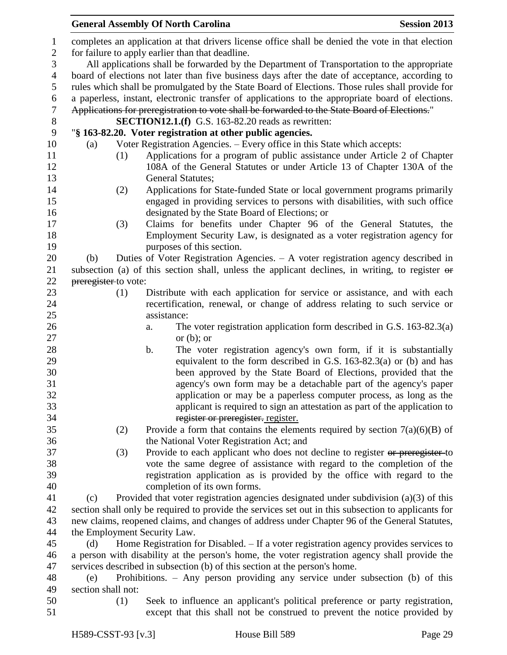|                |                                                                                                |     | <b>General Assembly Of North Carolina</b>                                                           | <b>Session 2013</b> |  |  |
|----------------|------------------------------------------------------------------------------------------------|-----|-----------------------------------------------------------------------------------------------------|---------------------|--|--|
| $\mathbf{1}$   |                                                                                                |     | completes an application at that drivers license office shall be denied the vote in that election   |                     |  |  |
| $\overline{2}$ | for failure to apply earlier than that deadline.                                               |     |                                                                                                     |                     |  |  |
| 3              |                                                                                                |     | All applications shall be forwarded by the Department of Transportation to the appropriate          |                     |  |  |
| $\overline{4}$ |                                                                                                |     | board of elections not later than five business days after the date of acceptance, according to     |                     |  |  |
| 5              |                                                                                                |     | rules which shall be promulgated by the State Board of Elections. Those rules shall provide for     |                     |  |  |
| 6              |                                                                                                |     | a paperless, instant, electronic transfer of applications to the appropriate board of elections.    |                     |  |  |
| $\tau$         |                                                                                                |     | Applications for preregistration to vote shall be forwarded to the State Board of Elections."       |                     |  |  |
| $8\phantom{1}$ |                                                                                                |     | <b>SECTION12.1.(f)</b> G.S. 163-82.20 reads as rewritten:                                           |                     |  |  |
| 9              |                                                                                                |     | "§ 163-82.20. Voter registration at other public agencies.                                          |                     |  |  |
| 10             | (a)                                                                                            |     | Voter Registration Agencies. - Every office in this State which accepts:                            |                     |  |  |
| 11             |                                                                                                | (1) | Applications for a program of public assistance under Article 2 of Chapter                          |                     |  |  |
| 12             |                                                                                                |     | 108A of the General Statutes or under Article 13 of Chapter 130A of the                             |                     |  |  |
| 13             |                                                                                                |     | <b>General Statutes;</b>                                                                            |                     |  |  |
| 14             |                                                                                                | (2) | Applications for State-funded State or local government programs primarily                          |                     |  |  |
| 15             |                                                                                                |     | engaged in providing services to persons with disabilities, with such office                        |                     |  |  |
| 16             |                                                                                                |     | designated by the State Board of Elections; or                                                      |                     |  |  |
| 17             |                                                                                                | (3) | Claims for benefits under Chapter 96 of the General Statutes, the                                   |                     |  |  |
| 18             |                                                                                                |     | Employment Security Law, is designated as a voter registration agency for                           |                     |  |  |
| 19             |                                                                                                |     | purposes of this section.                                                                           |                     |  |  |
| 20             | (b)                                                                                            |     | Duties of Voter Registration Agencies. – A voter registration agency described in                   |                     |  |  |
| 21             |                                                                                                |     | subsection (a) of this section shall, unless the applicant declines, in writing, to register or     |                     |  |  |
| 22             | preregister to vote:                                                                           |     |                                                                                                     |                     |  |  |
| 23             |                                                                                                | (1) | Distribute with each application for service or assistance, and with each                           |                     |  |  |
| 24             |                                                                                                |     | recertification, renewal, or change of address relating to such service or                          |                     |  |  |
| 25             |                                                                                                |     | assistance:                                                                                         |                     |  |  |
| 26             |                                                                                                |     | The voter registration application form described in G.S. $163-82.3(a)$<br>a.                       |                     |  |  |
| 27             |                                                                                                |     | or $(b)$ ; or                                                                                       |                     |  |  |
| 28             |                                                                                                |     | b.<br>The voter registration agency's own form, if it is substantially                              |                     |  |  |
| 29             |                                                                                                |     | equivalent to the form described in G.S. $163-82.3(a)$ or (b) and has                               |                     |  |  |
| 30             |                                                                                                |     | been approved by the State Board of Elections, provided that the                                    |                     |  |  |
| 31             |                                                                                                |     | agency's own form may be a detachable part of the agency's paper                                    |                     |  |  |
| 32             |                                                                                                |     | application or may be a paperless computer process, as long as the                                  |                     |  |  |
| 33             |                                                                                                |     | applicant is required to sign an attestation as part of the application to                          |                     |  |  |
| 34             |                                                                                                |     | register or preregister. register.                                                                  |                     |  |  |
| 35             |                                                                                                | (2) | Provide a form that contains the elements required by section $7(a)(6)(B)$ of                       |                     |  |  |
| 36             |                                                                                                |     | the National Voter Registration Act; and                                                            |                     |  |  |
| 37             |                                                                                                | (3) | Provide to each applicant who does not decline to register or preregister to                        |                     |  |  |
| 38             |                                                                                                |     | vote the same degree of assistance with regard to the completion of the                             |                     |  |  |
| 39             |                                                                                                |     | registration application as is provided by the office with regard to the                            |                     |  |  |
| 40             |                                                                                                |     | completion of its own forms.                                                                        |                     |  |  |
| 41             | (c)                                                                                            |     | Provided that voter registration agencies designated under subdivision $(a)(3)$ of this             |                     |  |  |
| 42             |                                                                                                |     | section shall only be required to provide the services set out in this subsection to applicants for |                     |  |  |
| 43             |                                                                                                |     | new claims, reopened claims, and changes of address under Chapter 96 of the General Statutes,       |                     |  |  |
| 44             |                                                                                                |     | the Employment Security Law.                                                                        |                     |  |  |
| 45             | (d)                                                                                            |     | Home Registration for Disabled. – If a voter registration agency provides services to               |                     |  |  |
| 46             | a person with disability at the person's home, the voter registration agency shall provide the |     |                                                                                                     |                     |  |  |
| 47             | services described in subsection (b) of this section at the person's home.                     |     |                                                                                                     |                     |  |  |
| 48             | Prohibitions. $-$ Any person providing any service under subsection (b) of this<br>(e)         |     |                                                                                                     |                     |  |  |
| 49             | section shall not:                                                                             |     |                                                                                                     |                     |  |  |
| 50             |                                                                                                | (1) | Seek to influence an applicant's political preference or party registration,                        |                     |  |  |
| 51             |                                                                                                |     | except that this shall not be construed to prevent the notice provided by                           |                     |  |  |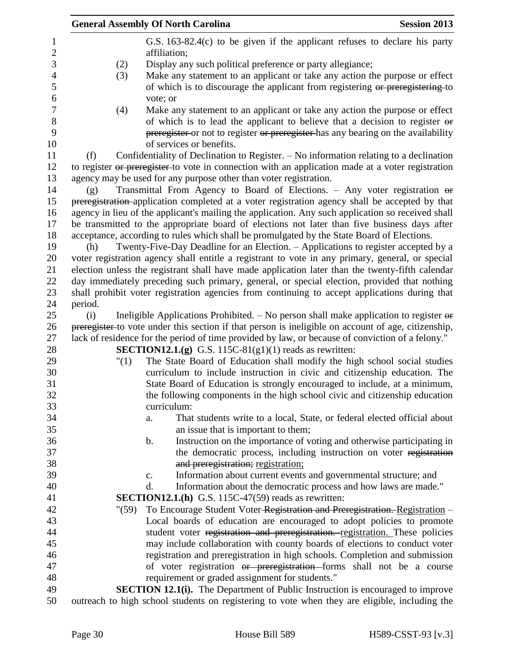|         | <b>General Assembly Of North Carolina</b>                                                                                                                          | <b>Session 2013</b> |
|---------|--------------------------------------------------------------------------------------------------------------------------------------------------------------------|---------------------|
|         | G.S. $163-82.4(c)$ to be given if the applicant refuses to declare his party<br>affiliation;                                                                       |                     |
| (2)     | Display any such political preference or party allegiance;                                                                                                         |                     |
| (3)     | Make any statement to an applicant or take any action the purpose or effect                                                                                        |                     |
|         | of which is to discourage the applicant from registering or preregistering to                                                                                      |                     |
|         | vote; or                                                                                                                                                           |                     |
| (4)     | Make any statement to an applicant or take any action the purpose or effect                                                                                        |                     |
|         | of which is to lead the applicant to believe that a decision to register or                                                                                        |                     |
|         | preregister or not to register or preregister has any bearing on the availability<br>of services or benefits.                                                      |                     |
| (f)     | Confidentiality of Declination to Register. – No information relating to a declination                                                                             |                     |
|         | to register or preregister to vote in connection with an application made at a voter registration                                                                  |                     |
|         | agency may be used for any purpose other than voter registration.                                                                                                  |                     |
| (g)     | Transmittal From Agency to Board of Elections. - Any voter registration $\theta$                                                                                   |                     |
|         | preregistration-application completed at a voter registration agency shall be accepted by that                                                                     |                     |
|         | agency in lieu of the applicant's mailing the application. Any such application so received shall                                                                  |                     |
|         | be transmitted to the appropriate board of elections not later than five business days after                                                                       |                     |
|         | acceptance, according to rules which shall be promulgated by the State Board of Elections.                                                                         |                     |
| (h)     | Twenty-Five-Day Deadline for an Election. – Applications to register accepted by a                                                                                 |                     |
|         | voter registration agency shall entitle a registrant to vote in any primary, general, or special                                                                   |                     |
|         | election unless the registrant shall have made application later than the twenty-fifth calendar                                                                    |                     |
|         | day immediately preceding such primary, general, or special election, provided that nothing                                                                        |                     |
|         | shall prohibit voter registration agencies from continuing to accept applications during that                                                                      |                     |
| period. |                                                                                                                                                                    |                     |
| (i)     | Ineligible Applications Prohibited. $-$ No person shall make application to register $\theta$                                                                      |                     |
|         | preregister to vote under this section if that person is ineligible on account of age, citizenship,                                                                |                     |
|         | lack of residence for the period of time provided by law, or because of conviction of a felony."<br><b>SECTION12.1.(g)</b> G.S. 115C-81(g1)(1) reads as rewritten: |                     |
| "(1)    | The State Board of Education shall modify the high school social studies                                                                                           |                     |
|         | curriculum to include instruction in civic and citizenship education. The                                                                                          |                     |
|         | State Board of Education is strongly encouraged to include, at a minimum,                                                                                          |                     |
|         | the following components in the high school civic and citizenship education                                                                                        |                     |
|         | curriculum:                                                                                                                                                        |                     |
|         | That students write to a local, State, or federal elected official about<br>a.                                                                                     |                     |
|         | an issue that is important to them;                                                                                                                                |                     |
|         | Instruction on the importance of voting and otherwise participating in<br>b.                                                                                       |                     |
|         | the democratic process, including instruction on voter registration                                                                                                |                     |
|         | and preregistration; registration;                                                                                                                                 |                     |
|         | Information about current events and governmental structure; and<br>c.                                                                                             |                     |
|         | Information about the democratic process and how laws are made."<br>d.                                                                                             |                     |
|         | <b>SECTION12.1.(h)</b> G.S. 115C-47(59) reads as rewritten:                                                                                                        |                     |
| " (59)  | To Encourage Student Voter-Registration and Preregistration. Registration -                                                                                        |                     |
|         | Local boards of education are encouraged to adopt policies to promote                                                                                              |                     |
|         | student voter registration and preregistration. registration. These policies                                                                                       |                     |
|         | may include collaboration with county boards of elections to conduct voter                                                                                         |                     |
|         | registration and preregistration in high schools. Completion and submission                                                                                        |                     |
|         | of voter registration or preregistration forms shall not be a course                                                                                               |                     |
|         | requirement or graded assignment for students."                                                                                                                    |                     |
|         | <b>SECTION 12.1(i).</b> The Department of Public Instruction is encouraged to improve                                                                              |                     |
|         | outreach to high school students on registering to vote when they are eligible, including the                                                                      |                     |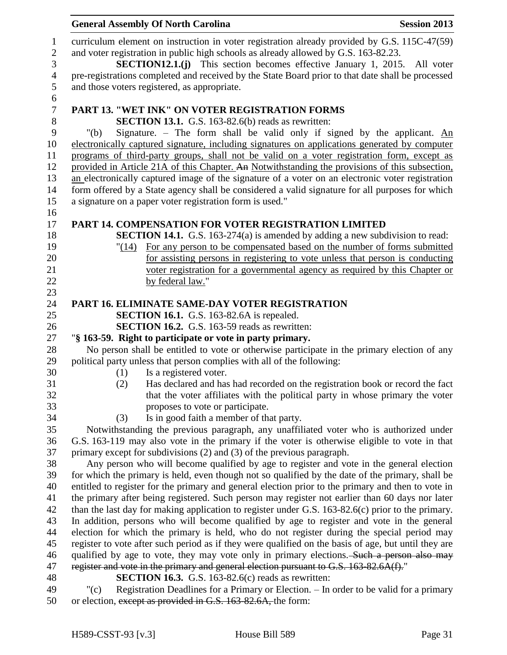|                  | <b>General Assembly Of North Carolina</b><br><b>Session 2013</b>                                     |
|------------------|------------------------------------------------------------------------------------------------------|
| $\mathbf{1}$     | curriculum element on instruction in voter registration already provided by G.S. 115C-47(59)         |
| $\sqrt{2}$       | and voter registration in public high schools as already allowed by G.S. 163-82.23.                  |
| 3                | <b>SECTION12.1.(j)</b> This section becomes effective January 1, 2015.<br>All voter                  |
| $\overline{4}$   | pre-registrations completed and received by the State Board prior to that date shall be processed    |
| 5                | and those voters registered, as appropriate.                                                         |
| 6                |                                                                                                      |
| $\boldsymbol{7}$ | <b>PART 13. "WET INK" ON VOTER REGISTRATION FORMS</b>                                                |
| $8\,$            | <b>SECTION 13.1.</b> G.S. 163-82.6(b) reads as rewritten:                                            |
| 9                | Signature. - The form shall be valid only if signed by the applicant. $\underline{An}$<br>" $(b)$    |
| 10               | electronically captured signature, including signatures on applications generated by computer        |
| 11               | programs of third-party groups, shall not be valid on a voter registration form, except as           |
| 12               | provided in Article 21A of this Chapter. An Notwithstanding the provisions of this subsection,       |
| 13               | an electronically captured image of the signature of a voter on an electronic voter registration     |
| 14               | form offered by a State agency shall be considered a valid signature for all purposes for which      |
| 15               | a signature on a paper voter registration form is used."                                             |
| 16               |                                                                                                      |
| 17               | PART 14. COMPENSATION FOR VOTER REGISTRATION LIMITED                                                 |
| 18               | <b>SECTION 14.1.</b> G.S. 163-274(a) is amended by adding a new subdivision to read:                 |
| 19               | "(14) For any person to be compensated based on the number of forms submitted                        |
| 20               | for assisting persons in registering to vote unless that person is conducting                        |
| 21               | voter registration for a governmental agency as required by this Chapter or                          |
| 22               | by federal law."                                                                                     |
| 23               |                                                                                                      |
| 24               | <b>PART 16. ELIMINATE SAME-DAY VOTER REGISTRATION</b>                                                |
| 25               | <b>SECTION 16.1.</b> G.S. 163-82.6A is repealed.                                                     |
| 26               | <b>SECTION 16.2.</b> G.S. 163-59 reads as rewritten:                                                 |
| 27               | "§ 163-59. Right to participate or vote in party primary.                                            |
| 28               | No person shall be entitled to vote or otherwise participate in the primary election of any          |
| 29               | political party unless that person complies with all of the following:                               |
| 30<br>31         | Is a registered voter.<br>(1)                                                                        |
| 32               | Has declared and has had recorded on the registration book or record the fact<br>(2)                 |
| 33               | that the voter affiliates with the political party in whose primary the voter                        |
| 34               | proposes to vote or participate.<br>Is in good faith a member of that party.<br>(3)                  |
| 35               | Notwithstanding the previous paragraph, any unaffiliated voter who is authorized under               |
| 36               | G.S. 163-119 may also vote in the primary if the voter is otherwise eligible to vote in that         |
| 37               | primary except for subdivisions (2) and (3) of the previous paragraph.                               |
| 38               | Any person who will become qualified by age to register and vote in the general election             |
| 39               | for which the primary is held, even though not so qualified by the date of the primary, shall be     |
| 40               | entitled to register for the primary and general election prior to the primary and then to vote in   |
| 41               | the primary after being registered. Such person may register not earlier than 60 days nor later      |
| 42               | than the last day for making application to register under G.S. 163-82.6(c) prior to the primary.    |
| 43               | In addition, persons who will become qualified by age to register and vote in the general            |
| 44               | election for which the primary is held, who do not register during the special period may            |
| 45               | register to vote after such period as if they were qualified on the basis of age, but until they are |
| 46               | qualified by age to vote, they may vote only in primary elections. Such a person also may            |
| 47               | register and vote in the primary and general election pursuant to G.S. 163-82.6A(f)."                |
| 48               | <b>SECTION 16.3.</b> G.S. 163-82.6(c) reads as rewritten:                                            |
| 49               | " $(c)$<br>Registration Deadlines for a Primary or Election. - In order to be valid for a primary    |
|                  |                                                                                                      |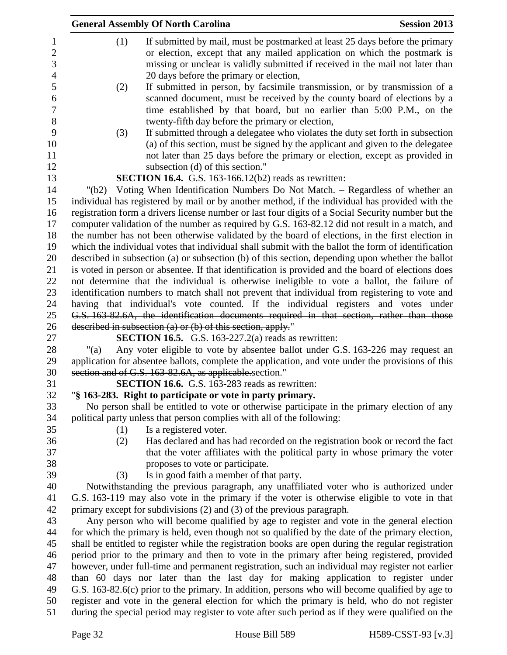|          | <b>General Assembly Of North Carolina</b>                                                           | <b>Session 2013</b> |
|----------|-----------------------------------------------------------------------------------------------------|---------------------|
| (1)      | If submitted by mail, must be postmarked at least 25 days before the primary                        |                     |
|          | or election, except that any mailed application on which the postmark is                            |                     |
|          | missing or unclear is validly submitted if received in the mail not later than                      |                     |
|          | 20 days before the primary or election,                                                             |                     |
| (2)      | If submitted in person, by facsimile transmission, or by transmission of a                          |                     |
|          | scanned document, must be received by the county board of elections by a                            |                     |
|          | time established by that board, but no earlier than 5:00 P.M., on the                               |                     |
|          | twenty-fifth day before the primary or election,                                                    |                     |
| (3)      | If submitted through a delegatee who violates the duty set forth in subsection                      |                     |
|          | (a) of this section, must be signed by the applicant and given to the delegatee                     |                     |
|          | not later than 25 days before the primary or election, except as provided in                        |                     |
|          | subsection (d) of this section."                                                                    |                     |
|          | <b>SECTION 16.4.</b> G.S. 163-166.12(b2) reads as rewritten:                                        |                     |
| " $(b2)$ | Voting When Identification Numbers Do Not Match. - Regardless of whether an                         |                     |
|          | individual has registered by mail or by another method, if the individual has provided with the     |                     |
|          | registration form a drivers license number or last four digits of a Social Security number but the  |                     |
|          | computer validation of the number as required by G.S. 163-82.12 did not result in a match, and      |                     |
|          | the number has not been otherwise validated by the board of elections, in the first election in     |                     |
|          | which the individual votes that individual shall submit with the ballot the form of identification  |                     |
|          | described in subsection (a) or subsection (b) of this section, depending upon whether the ballot    |                     |
|          | is voted in person or absentee. If that identification is provided and the board of elections does  |                     |
|          | not determine that the individual is otherwise ineligible to vote a ballot, the failure of          |                     |
|          | identification numbers to match shall not prevent that individual from registering to vote and      |                     |
|          | having that individual's vote counted. If the individual registers and votes under                  |                     |
|          | G.S. 163-82.6A, the identification documents required in that section, rather than those            |                     |
|          | described in subsection (a) or (b) of this section, apply."                                         |                     |
|          | <b>SECTION 16.5.</b> G.S. 163-227.2(a) reads as rewritten:                                          |                     |
| "(a)     | Any voter eligible to vote by absentee ballot under G.S. 163-226 may request an                     |                     |
|          | application for absentee ballots, complete the application, and vote under the provisions of this   |                     |
|          | section and of G.S. 163-82.6A, as applicable section."                                              |                     |
|          | <b>SECTION 16.6.</b> G.S. 163-283 reads as rewritten:                                               |                     |
|          | "§ 163-283. Right to participate or vote in party primary.                                          |                     |
|          | No person shall be entitled to vote or otherwise participate in the primary election of any         |                     |
|          | political party unless that person complies with all of the following:                              |                     |
| (1)      | Is a registered voter.                                                                              |                     |
| (2)      | Has declared and has had recorded on the registration book or record the fact                       |                     |
|          | that the voter affiliates with the political party in whose primary the voter                       |                     |
|          | proposes to vote or participate.                                                                    |                     |
| (3)      | Is in good faith a member of that party.                                                            |                     |
|          | Notwithstanding the previous paragraph, any unaffiliated voter who is authorized under              |                     |
|          | G.S. 163-119 may also vote in the primary if the voter is otherwise eligible to vote in that        |                     |
|          | primary except for subdivisions $(2)$ and $(3)$ of the previous paragraph.                          |                     |
|          | Any person who will become qualified by age to register and vote in the general election            |                     |
|          | for which the primary is held, even though not so qualified by the date of the primary election,    |                     |
|          | shall be entitled to register while the registration books are open during the regular registration |                     |
|          | period prior to the primary and then to vote in the primary after being registered, provided        |                     |
|          | however, under full-time and permanent registration, such an individual may register not earlier    |                     |
|          | than 60 days nor later than the last day for making application to register under                   |                     |
|          | G.S. 163-82.6(c) prior to the primary. In addition, persons who will become qualified by age to     |                     |
|          | register and vote in the general election for which the primary is held, who do not register        |                     |
|          | during the special period may register to vote after such period as if they were qualified on the   |                     |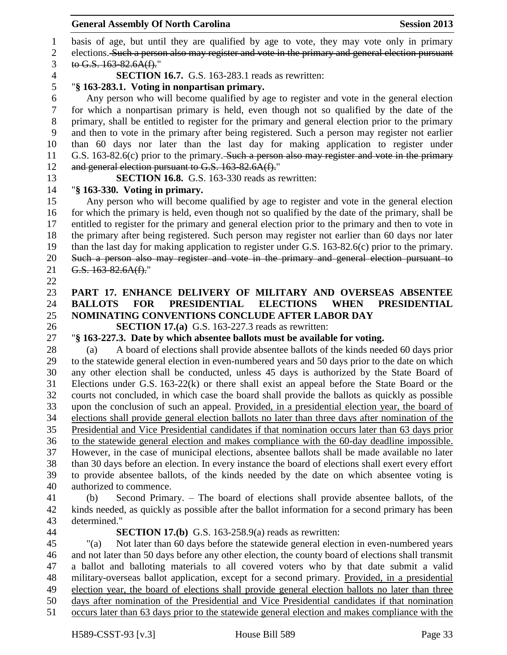basis of age, but until they are qualified by age to vote, they may vote only in primary elections. Such a person also may register and vote in the primary and general election pursuant to G.S.  $163-82.6A(f)$ ."

**SECTION 16.7.** G.S. 163-283.1 reads as rewritten:

# "**§ 163-283.1. Voting in nonpartisan primary.**

6 Any person who will become qualified by age to register and vote in the general election<br>
6 for which a nonpartisan primary is held, even though not so qualified by the date of the for which a nonpartisan primary is held, even though not so qualified by the date of the primary, shall be entitled to register for the primary and general election prior to the primary and then to vote in the primary after being registered. Such a person may register not earlier than 60 days nor later than the last day for making application to register under 11 G.S. 163-82.6(c) prior to the primary. Such a person also may register and vote in the primary 12 and general election pursuant to G.S. 163-82.6A(f)."

**SECTION 16.8.** G.S. 163-330 reads as rewritten:

# "**§ 163-330. Voting in primary.**

 Any person who will become qualified by age to register and vote in the general election 16 for which the primary is held, even though not so qualified by the date of the primary, shall be entitled to register for the primary and general election prior to the primary and then to vote in the primary after being registered. Such person may register not earlier than 60 days nor later than the last day for making application to register under G.S. 163-82.6(c) prior to the primary. Such a person also may register and vote in the primary and general election pursuant to 21 G.S. 163-82.6A(f)."

# **PART 17. ENHANCE DELIVERY OF MILITARY AND OVERSEAS ABSENTEE BALLOTS FOR PRESIDENTIAL ELECTIONS WHEN PRESIDENTIAL NOMINATING CONVENTIONS CONCLUDE AFTER LABOR DAY**

**SECTION 17.(a)** G.S. 163-227.3 reads as rewritten:

# "**§ 163-227.3. Date by which absentee ballots must be available for voting.**

 (a) A board of elections shall provide absentee ballots of the kinds needed 60 days prior to the statewide general election in even-numbered years and 50 days prior to the date on which any other election shall be conducted, unless 45 days is authorized by the State Board of Elections under G.S. 163-22(k) or there shall exist an appeal before the State Board or the courts not concluded, in which case the board shall provide the ballots as quickly as possible upon the conclusion of such an appeal. Provided, in a presidential election year, the board of elections shall provide general election ballots no later than three days after nomination of the Presidential and Vice Presidential candidates if that nomination occurs later than 63 days prior to the statewide general election and makes compliance with the 60-day deadline impossible. However, in the case of municipal elections, absentee ballots shall be made available no later than 30 days before an election. In every instance the board of elections shall exert every effort to provide absentee ballots, of the kinds needed by the date on which absentee voting is authorized to commence.

 (b) Second Primary. – The board of elections shall provide absentee ballots, of the kinds needed, as quickly as possible after the ballot information for a second primary has been determined."

### **SECTION 17.(b)** G.S. 163-258.9(a) reads as rewritten:

 "(a) Not later than 60 days before the statewide general election in even-numbered years and not later than 50 days before any other election, the county board of elections shall transmit a ballot and balloting materials to all covered voters who by that date submit a valid military-overseas ballot application, except for a second primary. Provided, in a presidential election year, the board of elections shall provide general election ballots no later than three days after nomination of the Presidential and Vice Presidential candidates if that nomination occurs later than 63 days prior to the statewide general election and makes compliance with the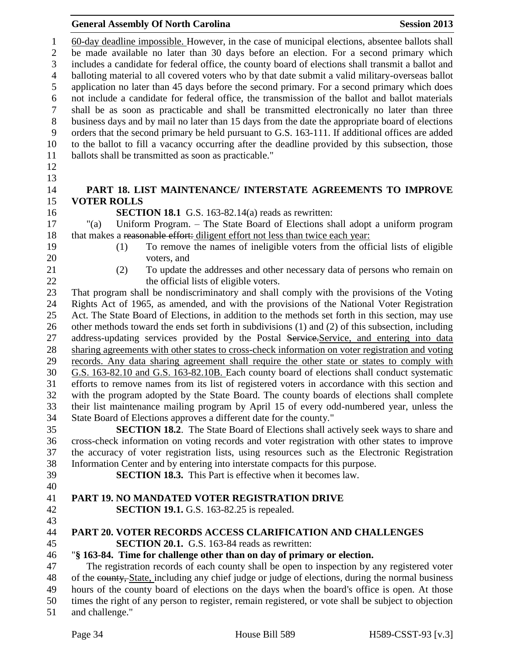60-day deadline impossible. However, in the case of municipal elections, absentee ballots shall be made available no later than 30 days before an election. For a second primary which includes a candidate for federal office, the county board of elections shall transmit a ballot and balloting material to all covered voters who by that date submit a valid military-overseas ballot application no later than 45 days before the second primary. For a second primary which does not include a candidate for federal office, the transmission of the ballot and ballot materials shall be as soon as practicable and shall be transmitted electronically no later than three business days and by mail no later than 15 days from the date the appropriate board of elections orders that the second primary be held pursuant to G.S. 163-111. If additional offices are added to the ballot to fill a vacancy occurring after the deadline provided by this subsection, those ballots shall be transmitted as soon as practicable." **PART 18. LIST MAINTENANCE/ INTERSTATE AGREEMENTS TO IMPROVE VOTER ROLLS SECTION 18.1** G.S. 163-82.14(a) reads as rewritten: "(a) Uniform Program. – The State Board of Elections shall adopt a uniform program 18 that makes a reasonable effort: diligent effort not less than twice each year: (1) To remove the names of ineligible voters from the official lists of eligible voters, and (2) To update the addresses and other necessary data of persons who remain on 22 the official lists of eligible voters. That program shall be nondiscriminatory and shall comply with the provisions of the Voting Rights Act of 1965, as amended, and with the provisions of the National Voter Registration Act. The State Board of Elections, in addition to the methods set forth in this section, may use other methods toward the ends set forth in subdivisions (1) and (2) of this subsection, including 27 address-updating services provided by the Postal Service.Service, and entering into data sharing agreements with other states to cross-check information on voter registration and voting records. Any data sharing agreement shall require the other state or states to comply with G.S. 163-82.10 and G.S. 163-82.10B. Each county board of elections shall conduct systematic efforts to remove names from its list of registered voters in accordance with this section and with the program adopted by the State Board. The county boards of elections shall complete their list maintenance mailing program by April 15 of every odd-numbered year, unless the State Board of Elections approves a different date for the county." **SECTION 18.2**. The State Board of Elections shall actively seek ways to share and cross-check information on voting records and voter registration with other states to improve the accuracy of voter registration lists, using resources such as the Electronic Registration Information Center and by entering into interstate compacts for this purpose. **SECTION 18.3.** This Part is effective when it becomes law. **PART 19. NO MANDATED VOTER REGISTRATION DRIVE SECTION 19.1.** G.S. 163-82.25 is repealed. **PART 20. VOTER RECORDS ACCESS CLARIFICATION AND CHALLENGES SECTION 20.1.** G.S. 163-84 reads as rewritten: "**§ 163-84. Time for challenge other than on day of primary or election.** The registration records of each county shall be open to inspection by any registered voter 48 of the county, State, including any chief judge or judge of elections, during the normal business hours of the county board of elections on the days when the board's office is open. At those times the right of any person to register, remain registered, or vote shall be subject to objection and challenge."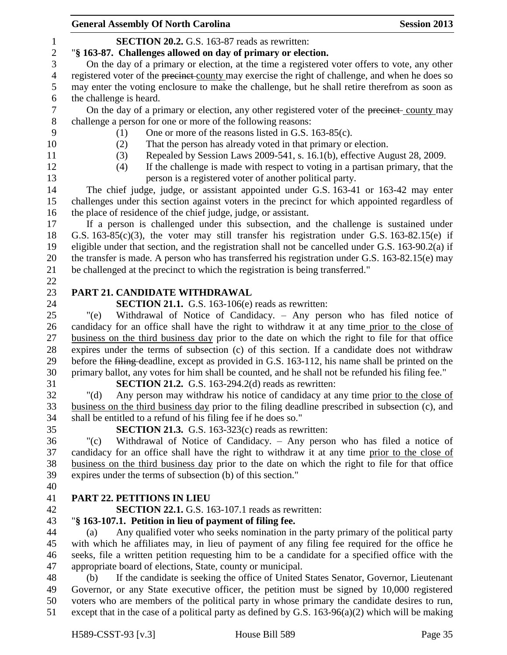|                | <b>General Assembly Of North Carolina</b>                                                           | <b>Session 2013</b> |
|----------------|-----------------------------------------------------------------------------------------------------|---------------------|
| 1              | <b>SECTION 20.2.</b> G.S. 163-87 reads as rewritten:                                                |                     |
| $\overline{c}$ | "§ 163-87. Challenges allowed on day of primary or election.                                        |                     |
| $\mathfrak{Z}$ | On the day of a primary or election, at the time a registered voter offers to vote, any other       |                     |
| $\overline{4}$ | registered voter of the precinct county may exercise the right of challenge, and when he does so    |                     |
| 5              | may enter the voting enclosure to make the challenge, but he shall retire therefrom as soon as      |                     |
| 6              | the challenge is heard.                                                                             |                     |
| $\tau$         | On the day of a primary or election, any other registered voter of the precinct-county may          |                     |
| $8\,$          | challenge a person for one or more of the following reasons:                                        |                     |
| 9              | One or more of the reasons listed in G.S. 163-85(c).<br>(1)                                         |                     |
| 10             | That the person has already voted in that primary or election.<br>(2)                               |                     |
| 11             | Repealed by Session Laws 2009-541, s. 16.1(b), effective August 28, 2009.<br>(3)                    |                     |
| 12             | If the challenge is made with respect to voting in a partisan primary, that the<br>(4)              |                     |
| 13             | person is a registered voter of another political party.                                            |                     |
| 14             | The chief judge, judge, or assistant appointed under G.S. 163-41 or 163-42 may enter                |                     |
| 15             | challenges under this section against voters in the precinct for which appointed regardless of      |                     |
| 16             | the place of residence of the chief judge, judge, or assistant.                                     |                     |
| 17             | If a person is challenged under this subsection, and the challenge is sustained under               |                     |
| 18             | G.S. $163-85(c)(3)$ , the voter may still transfer his registration under G.S. $163-82.15(e)$ if    |                     |
| 19             | eligible under that section, and the registration shall not be cancelled under G.S. 163-90.2(a) if  |                     |
| 20             | the transfer is made. A person who has transferred his registration under G.S. 163-82.15(e) may     |                     |
| 21             | be challenged at the precinct to which the registration is being transferred."                      |                     |
| 22             |                                                                                                     |                     |
| 23             | PART 21. CANDIDATE WITHDRAWAL                                                                       |                     |
| 24             | <b>SECTION 21.1.</b> G.S. 163-106(e) reads as rewritten:                                            |                     |
| 25             | Withdrawal of Notice of Candidacy. - Any person who has filed notice of<br>"(e)                     |                     |
| 26             | candidacy for an office shall have the right to withdraw it at any time prior to the close of       |                     |
| 27             | business on the third business day prior to the date on which the right to file for that office     |                     |
| 28             | expires under the terms of subsection (c) of this section. If a candidate does not withdraw         |                     |
| 29             | before the filing-deadline, except as provided in G.S. 163-112, his name shall be printed on the    |                     |
| 30             | primary ballot, any votes for him shall be counted, and he shall not be refunded his filing fee."   |                     |
| 31             | <b>SECTION 21.2.</b> G.S. 163-294.2(d) reads as rewritten:                                          |                     |
| 32             | Any person may withdraw his notice of candidacy at any time prior to the close of<br>" $(d)$        |                     |
| 33             | business on the third business day prior to the filing deadline prescribed in subsection (c), and   |                     |
| 34             | shall be entitled to a refund of his filing fee if he does so."                                     |                     |
| 35             | <b>SECTION 21.3.</b> G.S. 163-323 $(c)$ reads as rewritten:                                         |                     |
| 36             | Withdrawal of Notice of Candidacy. - Any person who has filed a notice of<br>" $(c)$                |                     |
| 37             | candidacy for an office shall have the right to withdraw it at any time prior to the close of       |                     |
| 38             | business on the third business day prior to the date on which the right to file for that office     |                     |
| 39             | expires under the terms of subsection (b) of this section."                                         |                     |
| 40             |                                                                                                     |                     |
| 41             | <b>PART 22. PETITIONS IN LIEU</b>                                                                   |                     |
| 42             | <b>SECTION 22.1.</b> G.S. 163-107.1 reads as rewritten:                                             |                     |
| 43             | "§ 163-107.1. Petition in lieu of payment of filing fee.                                            |                     |
| 44             | Any qualified voter who seeks nomination in the party primary of the political party<br>(a)         |                     |
| 45             | with which he affiliates may, in lieu of payment of any filing fee required for the office he       |                     |
| 46             | seeks, file a written petition requesting him to be a candidate for a specified office with the     |                     |
| 47             | appropriate board of elections, State, county or municipal.                                         |                     |
| 48             | If the candidate is seeking the office of United States Senator, Governor, Lieutenant<br>(b)        |                     |
| 49             | Governor, or any State executive officer, the petition must be signed by 10,000 registered          |                     |
| 50             | voters who are members of the political party in whose primary the candidate desires to run,        |                     |
| 51             | except that in the case of a political party as defined by G.S. $163-96(a)(2)$ which will be making |                     |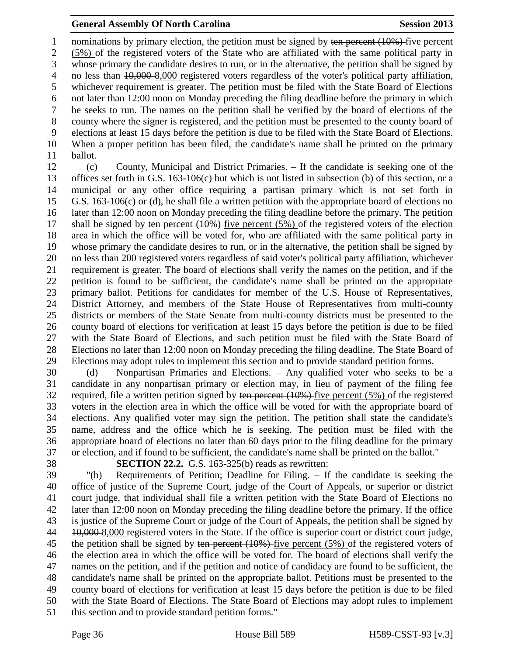1 nominations by primary election, the petition must be signed by ten percent (10%) five percent (5%) of the registered voters of the State who are affiliated with the same political party in whose primary the candidate desires to run, or in the alternative, the petition shall be signed by 4 no less than  $10,000$  8,000 registered voters regardless of the voter's political party affiliation, whichever requirement is greater. The petition must be filed with the State Board of Elections not later than 12:00 noon on Monday preceding the filing deadline before the primary in which he seeks to run. The names on the petition shall be verified by the board of elections of the county where the signer is registered, and the petition must be presented to the county board of elections at least 15 days before the petition is due to be filed with the State Board of Elections. When a proper petition has been filed, the candidate's name shall be printed on the primary ballot.

 (c) County, Municipal and District Primaries. – If the candidate is seeking one of the offices set forth in G.S. 163-106(c) but which is not listed in subsection (b) of this section, or a municipal or any other office requiring a partisan primary which is not set forth in G.S. 163-106(c) or (d), he shall file a written petition with the appropriate board of elections no later than 12:00 noon on Monday preceding the filing deadline before the primary. The petition 17 shall be signed by ten percent (10%) five percent (5%) of the registered voters of the election area in which the office will be voted for, who are affiliated with the same political party in whose primary the candidate desires to run, or in the alternative, the petition shall be signed by no less than 200 registered voters regardless of said voter's political party affiliation, whichever requirement is greater. The board of elections shall verify the names on the petition, and if the petition is found to be sufficient, the candidate's name shall be printed on the appropriate primary ballot. Petitions for candidates for member of the U.S. House of Representatives, District Attorney, and members of the State House of Representatives from multi-county districts or members of the State Senate from multi-county districts must be presented to the county board of elections for verification at least 15 days before the petition is due to be filed with the State Board of Elections, and such petition must be filed with the State Board of Elections no later than 12:00 noon on Monday preceding the filing deadline. The State Board of Elections may adopt rules to implement this section and to provide standard petition forms.

 (d) Nonpartisan Primaries and Elections. – Any qualified voter who seeks to be a candidate in any nonpartisan primary or election may, in lieu of payment of the filing fee 32 required, file a written petition signed by ten percent (10%) five percent (5%) of the registered voters in the election area in which the office will be voted for with the appropriate board of elections. Any qualified voter may sign the petition. The petition shall state the candidate's name, address and the office which he is seeking. The petition must be filed with the appropriate board of elections no later than 60 days prior to the filing deadline for the primary or election, and if found to be sufficient, the candidate's name shall be printed on the ballot."

**SECTION 22.2.** G.S. 163-325(b) reads as rewritten:

 "(b) Requirements of Petition; Deadline for Filing. – If the candidate is seeking the office of justice of the Supreme Court, judge of the Court of Appeals, or superior or district court judge, that individual shall file a written petition with the State Board of Elections no later than 12:00 noon on Monday preceding the filing deadline before the primary. If the office is justice of the Supreme Court or judge of the Court of Appeals, the petition shall be signed by 44 10,000 8,000 registered voters in the State. If the office is superior court or district court judge, 45 the petition shall be signed by ten percent  $(10\%)$ -five percent (5%) of the registered voters of the election area in which the office will be voted for. The board of elections shall verify the names on the petition, and if the petition and notice of candidacy are found to be sufficient, the candidate's name shall be printed on the appropriate ballot. Petitions must be presented to the county board of elections for verification at least 15 days before the petition is due to be filed with the State Board of Elections. The State Board of Elections may adopt rules to implement this section and to provide standard petition forms."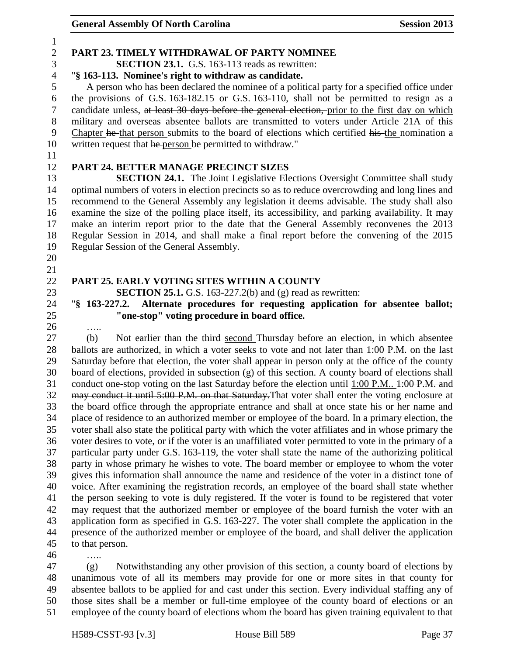### **PART 23. TIMELY WITHDRAWAL OF PARTY NOMINEE SECTION 23.1.** G.S. 163-113 reads as rewritten: "**§ 163-113. Nominee's right to withdraw as candidate.** A person who has been declared the nominee of a political party for a specified office under the provisions of G.S. 163-182.15 or G.S. 163-110, shall not be permitted to resign as a candidate unless, at least 30 days before the general election, prior to the first day on which military and overseas absentee ballots are transmitted to voters under Article 21A of this Chapter he that person submits to the board of elections which certified his the nomination a 10 written request that he person be permitted to withdraw." **PART 24. BETTER MANAGE PRECINCT SIZES SECTION 24.1.** The Joint Legislative Elections Oversight Committee shall study optimal numbers of voters in election precincts so as to reduce overcrowding and long lines and recommend to the General Assembly any legislation it deems advisable. The study shall also examine the size of the polling place itself, its accessibility, and parking availability. It may make an interim report prior to the date that the General Assembly reconvenes the 2013 Regular Session in 2014, and shall make a final report before the convening of the 2015 Regular Session of the General Assembly. **PART 25. EARLY VOTING SITES WITHIN A COUNTY SECTION 25.1.** G.S. 163-227.2(b) and (g) read as rewritten: "**§ 163-227.2. Alternate procedures for requesting application for absentee ballot; "one-stop" voting procedure in board office.** ….. (b) Not earlier than the third second Thursday before an election, in which absentee ballots are authorized, in which a voter seeks to vote and not later than 1:00 P.M. on the last Saturday before that election, the voter shall appear in person only at the office of the county board of elections, provided in subsection (g) of this section. A county board of elections shall 31 conduct one-stop voting on the last Saturday before the election until 1:00 P.M.. 1:00 P.M. and 32 may conduct it until 5:00 P.M. on that Saturday. That voter shall enter the voting enclosure at the board office through the appropriate entrance and shall at once state his or her name and place of residence to an authorized member or employee of the board. In a primary election, the voter shall also state the political party with which the voter affiliates and in whose primary the voter desires to vote, or if the voter is an unaffiliated voter permitted to vote in the primary of a particular party under G.S. 163-119, the voter shall state the name of the authorizing political party in whose primary he wishes to vote. The board member or employee to whom the voter gives this information shall announce the name and residence of the voter in a distinct tone of voice. After examining the registration records, an employee of the board shall state whether the person seeking to vote is duly registered. If the voter is found to be registered that voter may request that the authorized member or employee of the board furnish the voter with an

presence of the authorized member or employee of the board, and shall deliver the application

 to that person. …..

 (g) Notwithstanding any other provision of this section, a county board of elections by unanimous vote of all its members may provide for one or more sites in that county for absentee ballots to be applied for and cast under this section. Every individual staffing any of those sites shall be a member or full-time employee of the county board of elections or an employee of the county board of elections whom the board has given training equivalent to that

application form as specified in G.S. 163-227. The voter shall complete the application in the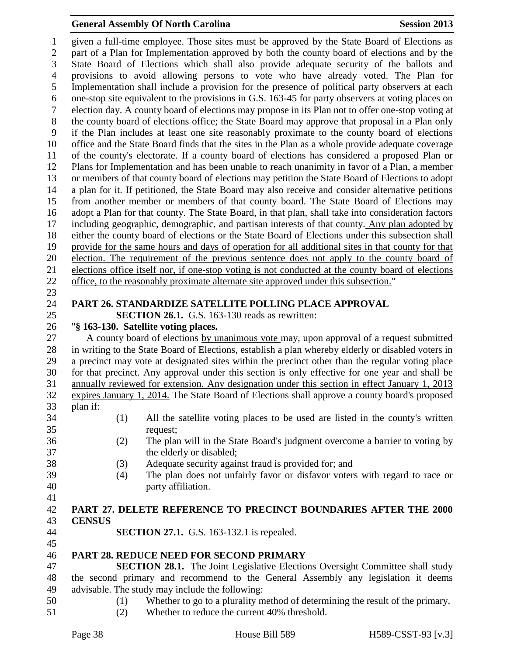given a full-time employee. Those sites must be approved by the State Board of Elections as part of a Plan for Implementation approved by both the county board of elections and by the State Board of Elections which shall also provide adequate security of the ballots and provisions to avoid allowing persons to vote who have already voted. The Plan for Implementation shall include a provision for the presence of political party observers at each one-stop site equivalent to the provisions in G.S. 163-45 for party observers at voting places on election day. A county board of elections may propose in its Plan not to offer one-stop voting at the county board of elections office; the State Board may approve that proposal in a Plan only if the Plan includes at least one site reasonably proximate to the county board of elections office and the State Board finds that the sites in the Plan as a whole provide adequate coverage of the county's electorate. If a county board of elections has considered a proposed Plan or Plans for Implementation and has been unable to reach unanimity in favor of a Plan, a member or members of that county board of elections may petition the State Board of Elections to adopt a plan for it. If petitioned, the State Board may also receive and consider alternative petitions from another member or members of that county board. The State Board of Elections may adopt a Plan for that county. The State Board, in that plan, shall take into consideration factors including geographic, demographic, and partisan interests of that county. Any plan adopted by either the county board of elections or the State Board of Elections under this subsection shall provide for the same hours and days of operation for all additional sites in that county for that election. The requirement of the previous sentence does not apply to the county board of elections office itself nor, if one-stop voting is not conducted at the county board of elections office, to the reasonably proximate alternate site approved under this subsection." **PART 26. STANDARDIZE SATELLITE POLLING PLACE APPROVAL SECTION 26.1.** G.S. 163-130 reads as rewritten: "**§ 163-130. Satellite voting places.** A county board of elections by unanimous vote may, upon approval of a request submitted in writing to the State Board of Elections, establish a plan whereby elderly or disabled voters in a precinct may vote at designated sites within the precinct other than the regular voting place for that precinct. Any approval under this section is only effective for one year and shall be annually reviewed for extension. Any designation under this section in effect January 1, 2013 expires January 1, 2014. The State Board of Elections shall approve a county board's proposed plan if: (1) All the satellite voting places to be used are listed in the county's written request; (2) The plan will in the State Board's judgment overcome a barrier to voting by the elderly or disabled; (3) Adequate security against fraud is provided for; and (4) The plan does not unfairly favor or disfavor voters with regard to race or party affiliation. **PART 27. DELETE REFERENCE TO PRECINCT BOUNDARIES AFTER THE 2000 CENSUS SECTION 27.1.** G.S. 163-132.1 is repealed. **PART 28. REDUCE NEED FOR SECOND PRIMARY SECTION 28.1.** The Joint Legislative Elections Oversight Committee shall study the second primary and recommend to the General Assembly any legislation it deems advisable. The study may include the following: (1) Whether to go to a plurality method of determining the result of the primary. (2) Whether to reduce the current 40% threshold.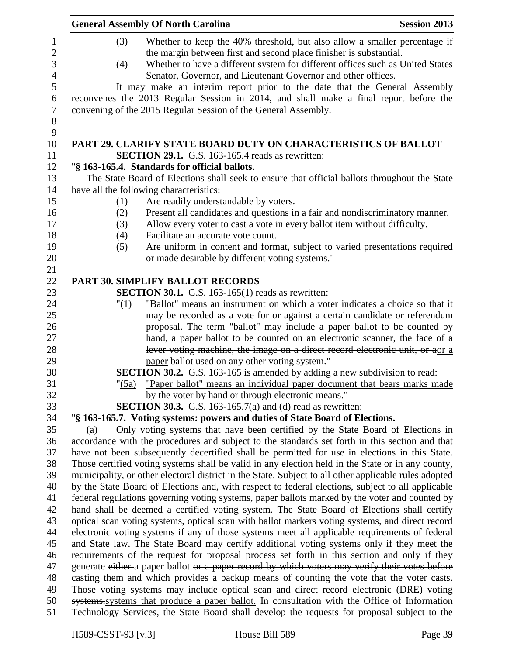|     | <b>General Assembly Of North Carolina</b>                                                             | <b>Session 2013</b> |
|-----|-------------------------------------------------------------------------------------------------------|---------------------|
| (3) | Whether to keep the 40% threshold, but also allow a smaller percentage if                             |                     |
|     | the margin between first and second place finisher is substantial.                                    |                     |
| (4) | Whether to have a different system for different offices such as United States                        |                     |
|     | Senator, Governor, and Lieutenant Governor and other offices.                                         |                     |
|     | It may make an interim report prior to the date that the General Assembly                             |                     |
|     | reconvenes the 2013 Regular Session in 2014, and shall make a final report before the                 |                     |
|     | convening of the 2015 Regular Session of the General Assembly.                                        |                     |
|     |                                                                                                       |                     |
|     | <b>PART 29. CLARIFY STATE BOARD DUTY ON CHARACTERISTICS OF BALLOT</b>                                 |                     |
|     | <b>SECTION 29.1.</b> G.S. 163-165.4 reads as rewritten:                                               |                     |
|     | "§ 163-165.4. Standards for official ballots.                                                         |                     |
|     | The State Board of Elections shall seek to ensure that official ballots throughout the State          |                     |
|     | have all the following characteristics:                                                               |                     |
| (1) | Are readily understandable by voters.                                                                 |                     |
| (2) | Present all candidates and questions in a fair and nondiscriminatory manner.                          |                     |
| (3) | Allow every voter to cast a vote in every ballot item without difficulty.                             |                     |
| (4) | Facilitate an accurate vote count.                                                                    |                     |
| (5) | Are uniform in content and format, subject to varied presentations required                           |                     |
|     | or made desirable by different voting systems."                                                       |                     |
|     |                                                                                                       |                     |
|     | PART 30. SIMPLIFY BALLOT RECORDS                                                                      |                     |
|     | <b>SECTION 30.1.</b> G.S. 163-165(1) reads as rewritten:                                              |                     |
|     | "Ballot" means an instrument on which a voter indicates a choice so that it<br>"(1)                   |                     |
|     | may be recorded as a vote for or against a certain candidate or referendum                            |                     |
|     | proposal. The term "ballot" may include a paper ballot to be counted by                               |                     |
|     | hand, a paper ballot to be counted on an electronic scanner, the face of a                            |                     |
|     | lever voting machine, the image on a direct record electronic unit, or aor a                          |                     |
|     | paper ballot used on any other voting system."                                                        |                     |
|     | <b>SECTION 30.2.</b> G.S. 163-165 is amended by adding a new subdivision to read:                     |                     |
|     | "Paper ballot" means an individual paper document that bears marks made<br>" $(5a)$                   |                     |
|     | by the voter by hand or through electronic means."                                                    |                     |
|     | <b>SECTION 30.3.</b> G.S. 163-165.7(a) and (d) read as rewritten:                                     |                     |
|     | "§ 163-165.7. Voting systems: powers and duties of State Board of Elections.                          |                     |
| (a) | Only voting systems that have been certified by the State Board of Elections in                       |                     |
|     | accordance with the procedures and subject to the standards set forth in this section and that        |                     |
|     | have not been subsequently decertified shall be permitted for use in elections in this State.         |                     |
|     | Those certified voting systems shall be valid in any election held in the State or in any county,     |                     |
|     | municipality, or other electoral district in the State. Subject to all other applicable rules adopted |                     |
|     | by the State Board of Elections and, with respect to federal elections, subject to all applicable     |                     |
|     | federal regulations governing voting systems, paper ballots marked by the voter and counted by        |                     |
|     | hand shall be deemed a certified voting system. The State Board of Elections shall certify            |                     |
|     | optical scan voting systems, optical scan with ballot markers voting systems, and direct record       |                     |
|     | electronic voting systems if any of those systems meet all applicable requirements of federal         |                     |
|     | and State law. The State Board may certify additional voting systems only if they meet the            |                     |
|     | requirements of the request for proposal process set forth in this section and only if they           |                     |
|     | generate either a paper ballot or a paper record by which voters may verify their votes before        |                     |
|     | easting them and which provides a backup means of counting the vote that the voter casts.             |                     |
|     | Those voting systems may include optical scan and direct record electronic (DRE) voting               |                     |
|     | systems systems that produce a paper ballot. In consultation with the Office of Information           |                     |
|     | Technology Services, the State Board shall develop the requests for proposal subject to the           |                     |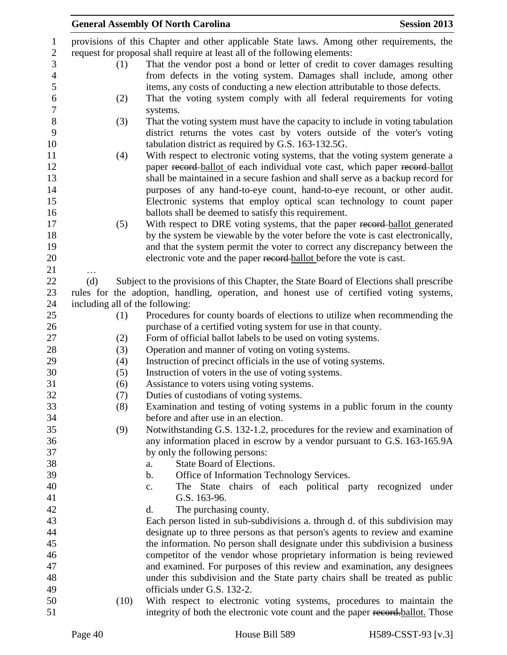|     |      | <b>General Assembly Of North Carolina</b>                                                                                      | <b>Session 2013</b> |
|-----|------|--------------------------------------------------------------------------------------------------------------------------------|---------------------|
|     |      | provisions of this Chapter and other applicable State laws. Among other requirements, the                                      |                     |
|     |      | request for proposal shall require at least all of the following elements:                                                     |                     |
|     | (1)  | That the vendor post a bond or letter of credit to cover damages resulting                                                     |                     |
|     |      | from defects in the voting system. Damages shall include, among other                                                          |                     |
|     |      | items, any costs of conducting a new election attributable to those defects.                                                   |                     |
|     | (2)  | That the voting system comply with all federal requirements for voting                                                         |                     |
|     |      | systems.                                                                                                                       |                     |
|     | (3)  | That the voting system must have the capacity to include in voting tabulation                                                  |                     |
|     |      | district returns the votes cast by voters outside of the voter's voting<br>tabulation district as required by G.S. 163-132.5G. |                     |
|     | (4)  | With respect to electronic voting systems, that the voting system generate a                                                   |                     |
|     |      | paper record ballot of each individual vote cast, which paper record ballot                                                    |                     |
|     |      | shall be maintained in a secure fashion and shall serve as a backup record for                                                 |                     |
|     |      | purposes of any hand-to-eye count, hand-to-eye recount, or other audit.                                                        |                     |
|     |      | Electronic systems that employ optical scan technology to count paper                                                          |                     |
|     |      | ballots shall be deemed to satisfy this requirement.                                                                           |                     |
|     | (5)  | With respect to DRE voting systems, that the paper record-ballot generated                                                     |                     |
|     |      | by the system be viewable by the voter before the vote is cast electronically,                                                 |                     |
|     |      | and that the system permit the voter to correct any discrepancy between the                                                    |                     |
|     |      | electronic vote and the paper record ballot before the vote is cast.                                                           |                     |
| .   |      |                                                                                                                                |                     |
| (d) |      | Subject to the provisions of this Chapter, the State Board of Elections shall prescribe                                        |                     |
|     |      | rules for the adoption, handling, operation, and honest use of certified voting systems,                                       |                     |
|     |      | including all of the following:                                                                                                |                     |
|     | (1)  | Procedures for county boards of elections to utilize when recommending the                                                     |                     |
|     |      | purchase of a certified voting system for use in that county.                                                                  |                     |
|     | (2)  | Form of official ballot labels to be used on voting systems.                                                                   |                     |
|     | (3)  | Operation and manner of voting on voting systems.                                                                              |                     |
|     | (4)  | Instruction of precinct officials in the use of voting systems.                                                                |                     |
|     | (5)  | Instruction of voters in the use of voting systems.                                                                            |                     |
|     | (6)  | Assistance to voters using voting systems.                                                                                     |                     |
|     | (7)  | Duties of custodians of voting systems.                                                                                        |                     |
|     | (8)  | Examination and testing of voting systems in a public forum in the county                                                      |                     |
|     |      | before and after use in an election.                                                                                           |                     |
|     | (9)  | Notwithstanding G.S. 132-1.2, procedures for the review and examination of                                                     |                     |
|     |      | any information placed in escrow by a vendor pursuant to G.S. 163-165.9A                                                       |                     |
|     |      | by only the following persons:<br>State Board of Elections.                                                                    |                     |
|     |      | a.<br>Office of Information Technology Services.<br>$\mathbf b$ .                                                              |                     |
|     |      | The State chairs of each political party recognized under<br>c.                                                                |                     |
|     |      | G.S. 163-96.                                                                                                                   |                     |
|     |      | The purchasing county.<br>$\mathbf{d}$ .                                                                                       |                     |
|     |      | Each person listed in sub-subdivisions a. through d. of this subdivision may                                                   |                     |
|     |      | designate up to three persons as that person's agents to review and examine                                                    |                     |
|     |      | the information. No person shall designate under this subdivision a business                                                   |                     |
|     |      | competitor of the vendor whose proprietary information is being reviewed                                                       |                     |
|     |      | and examined. For purposes of this review and examination, any designees                                                       |                     |
|     |      | under this subdivision and the State party chairs shall be treated as public                                                   |                     |
|     |      | officials under G.S. 132-2.                                                                                                    |                     |
|     | (10) | With respect to electronic voting systems, procedures to maintain the                                                          |                     |
|     |      | integrity of both the electronic vote count and the paper record.ballot. Those                                                 |                     |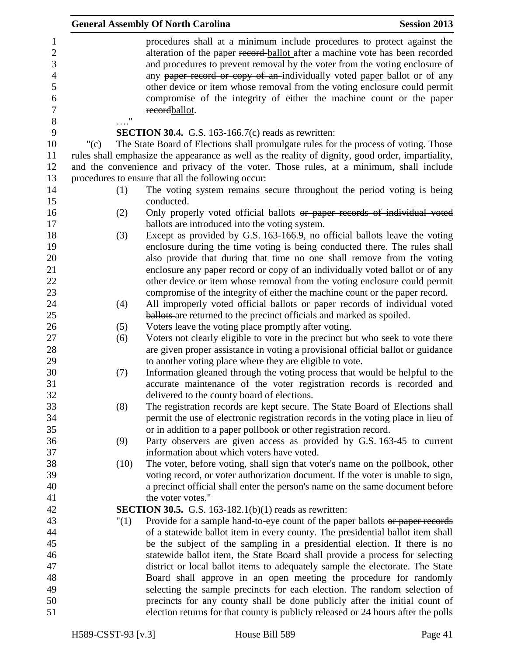|                                                                                 |         |                    | <b>General Assembly Of North Carolina</b>                                                                                                                                                                                                                                                                                                                                                                                                                                                | <b>Session 2013</b> |
|---------------------------------------------------------------------------------|---------|--------------------|------------------------------------------------------------------------------------------------------------------------------------------------------------------------------------------------------------------------------------------------------------------------------------------------------------------------------------------------------------------------------------------------------------------------------------------------------------------------------------------|---------------------|
| 1<br>$\boldsymbol{2}$<br>3<br>$\overline{4}$<br>5<br>6<br>$\boldsymbol{7}$<br>8 |         | $\pmb{\mathsf{H}}$ | procedures shall at a minimum include procedures to protect against the<br>alteration of the paper record-ballot after a machine vote has been recorded<br>and procedures to prevent removal by the voter from the voting enclosure of<br>any paper record or copy of an individually voted paper ballot or of any<br>other device or item whose removal from the voting enclosure could permit<br>compromise of the integrity of either the machine count or the paper<br>recordballot. |                     |
| 9                                                                               |         |                    | <b>SECTION 30.4.</b> G.S. 163-166.7 $(c)$ reads as rewritten:                                                                                                                                                                                                                                                                                                                                                                                                                            |                     |
| 10                                                                              | " $(c)$ |                    | The State Board of Elections shall promulgate rules for the process of voting. Those                                                                                                                                                                                                                                                                                                                                                                                                     |                     |
| 11<br>12                                                                        |         |                    | rules shall emphasize the appearance as well as the reality of dignity, good order, impartiality,<br>and the convenience and privacy of the voter. Those rules, at a minimum, shall include                                                                                                                                                                                                                                                                                              |                     |
| 13                                                                              |         |                    | procedures to ensure that all the following occur:                                                                                                                                                                                                                                                                                                                                                                                                                                       |                     |
| 14<br>15                                                                        |         | (1)                | The voting system remains secure throughout the period voting is being<br>conducted.                                                                                                                                                                                                                                                                                                                                                                                                     |                     |
| 16<br>17                                                                        | (2)     |                    | Only properly voted official ballots or paper records of individual voted<br><b>ballots</b> are introduced into the voting system.                                                                                                                                                                                                                                                                                                                                                       |                     |
| 18                                                                              | (3)     |                    | Except as provided by G.S. 163-166.9, no official ballots leave the voting                                                                                                                                                                                                                                                                                                                                                                                                               |                     |
| 19                                                                              |         |                    | enclosure during the time voting is being conducted there. The rules shall                                                                                                                                                                                                                                                                                                                                                                                                               |                     |
| 20                                                                              |         |                    | also provide that during that time no one shall remove from the voting                                                                                                                                                                                                                                                                                                                                                                                                                   |                     |
| 21                                                                              |         |                    | enclosure any paper record or copy of an individually voted ballot or of any                                                                                                                                                                                                                                                                                                                                                                                                             |                     |
| 22                                                                              |         |                    | other device or item whose removal from the voting enclosure could permit                                                                                                                                                                                                                                                                                                                                                                                                                |                     |
| 23                                                                              |         |                    | compromise of the integrity of either the machine count or the paper record.                                                                                                                                                                                                                                                                                                                                                                                                             |                     |
| 24                                                                              | (4)     |                    | All improperly voted official ballots or paper records of individual voted                                                                                                                                                                                                                                                                                                                                                                                                               |                     |
| 25                                                                              |         |                    | <b>ballots</b> are returned to the precinct officials and marked as spoiled.                                                                                                                                                                                                                                                                                                                                                                                                             |                     |
| 26                                                                              |         | (5)                | Voters leave the voting place promptly after voting.                                                                                                                                                                                                                                                                                                                                                                                                                                     |                     |
| 27                                                                              | (6)     |                    | Voters not clearly eligible to vote in the precinct but who seek to vote there                                                                                                                                                                                                                                                                                                                                                                                                           |                     |
| 28                                                                              |         |                    | are given proper assistance in voting a provisional official ballot or guidance                                                                                                                                                                                                                                                                                                                                                                                                          |                     |
| 29                                                                              |         |                    | to another voting place where they are eligible to vote.                                                                                                                                                                                                                                                                                                                                                                                                                                 |                     |
| $30\,$                                                                          |         | (7)                | Information gleaned through the voting process that would be helpful to the                                                                                                                                                                                                                                                                                                                                                                                                              |                     |
| 31                                                                              |         |                    | accurate maintenance of the voter registration records is recorded and                                                                                                                                                                                                                                                                                                                                                                                                                   |                     |
| 32<br>33                                                                        | (8)     |                    | delivered to the county board of elections.<br>The registration records are kept secure. The State Board of Elections shall                                                                                                                                                                                                                                                                                                                                                              |                     |
| 34                                                                              |         |                    | permit the use of electronic registration records in the voting place in lieu of                                                                                                                                                                                                                                                                                                                                                                                                         |                     |
| 35                                                                              |         |                    | or in addition to a paper pollbook or other registration record.                                                                                                                                                                                                                                                                                                                                                                                                                         |                     |
| 36                                                                              |         | (9)                | Party observers are given access as provided by G.S. 163-45 to current                                                                                                                                                                                                                                                                                                                                                                                                                   |                     |
| 37                                                                              |         |                    | information about which voters have voted.                                                                                                                                                                                                                                                                                                                                                                                                                                               |                     |
| 38                                                                              |         | (10)               | The voter, before voting, shall sign that voter's name on the pollbook, other                                                                                                                                                                                                                                                                                                                                                                                                            |                     |
| 39                                                                              |         |                    | voting record, or voter authorization document. If the voter is unable to sign,                                                                                                                                                                                                                                                                                                                                                                                                          |                     |
| 40                                                                              |         |                    | a precinct official shall enter the person's name on the same document before                                                                                                                                                                                                                                                                                                                                                                                                            |                     |
| 41                                                                              |         |                    | the voter votes."                                                                                                                                                                                                                                                                                                                                                                                                                                                                        |                     |
| 42                                                                              |         |                    | <b>SECTION 30.5.</b> G.S. 163-182.1(b)(1) reads as rewritten:                                                                                                                                                                                                                                                                                                                                                                                                                            |                     |
| 43                                                                              |         | "(1)               | Provide for a sample hand-to-eye count of the paper ballots or paper records                                                                                                                                                                                                                                                                                                                                                                                                             |                     |
| 44                                                                              |         |                    | of a statewide ballot item in every county. The presidential ballot item shall                                                                                                                                                                                                                                                                                                                                                                                                           |                     |
| 45                                                                              |         |                    | be the subject of the sampling in a presidential election. If there is no                                                                                                                                                                                                                                                                                                                                                                                                                |                     |
| 46                                                                              |         |                    | statewide ballot item, the State Board shall provide a process for selecting                                                                                                                                                                                                                                                                                                                                                                                                             |                     |
| 47                                                                              |         |                    | district or local ballot items to adequately sample the electorate. The State                                                                                                                                                                                                                                                                                                                                                                                                            |                     |
| 48                                                                              |         |                    | Board shall approve in an open meeting the procedure for randomly                                                                                                                                                                                                                                                                                                                                                                                                                        |                     |
| 49                                                                              |         |                    | selecting the sample precincts for each election. The random selection of                                                                                                                                                                                                                                                                                                                                                                                                                |                     |
| 50                                                                              |         |                    | precincts for any county shall be done publicly after the initial count of                                                                                                                                                                                                                                                                                                                                                                                                               |                     |
| 51                                                                              |         |                    | election returns for that county is publicly released or 24 hours after the polls                                                                                                                                                                                                                                                                                                                                                                                                        |                     |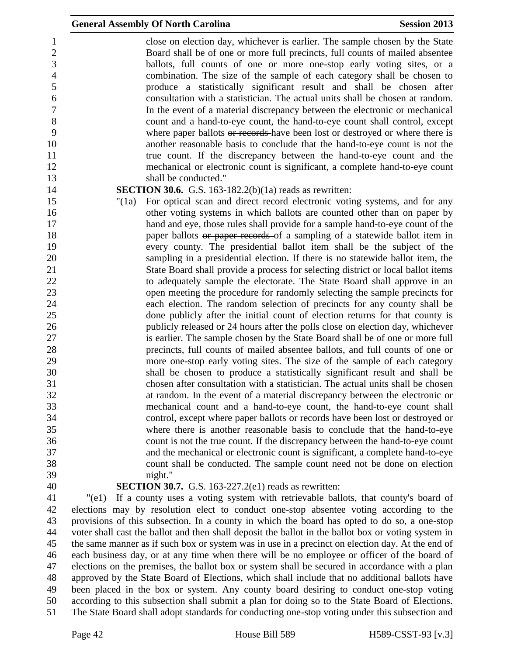|          | <b>General Assembly Of North Carolina</b>                                              | <b>Session 2013</b> |
|----------|----------------------------------------------------------------------------------------|---------------------|
|          | close on election day, whichever is earlier. The sample chosen by the State            |                     |
|          | Board shall be of one or more full precincts, full counts of mailed absentee           |                     |
|          | ballots, full counts of one or more one-stop early voting sites, or a                  |                     |
|          | combination. The size of the sample of each category shall be chosen to                |                     |
|          | produce a statistically significant result and shall be chosen after                   |                     |
|          | consultation with a statistician. The actual units shall be chosen at random.          |                     |
|          | In the event of a material discrepancy between the electronic or mechanical            |                     |
|          | count and a hand-to-eye count, the hand-to-eye count shall control, except             |                     |
|          | where paper ballots or records have been lost or destroyed or where there is           |                     |
|          | another reasonable basis to conclude that the hand-to-eye count is not the             |                     |
|          | true count. If the discrepancy between the hand-to-eye count and the                   |                     |
|          | mechanical or electronic count is significant, a complete hand-to-eye count            |                     |
|          | shall be conducted."                                                                   |                     |
|          | <b>SECTION 30.6.</b> G.S. 163-182.2(b) $(1a)$ reads as rewritten:                      |                     |
| " $(1a)$ | For optical scan and direct record electronic voting systems, and for any              |                     |
|          | other voting systems in which ballots are counted other than on paper by               |                     |
|          | hand and eye, those rules shall provide for a sample hand-to-eye count of the          |                     |
|          | paper ballots or paper records of a sampling of a statewide ballot item in             |                     |
|          | every county. The presidential ballot item shall be the subject of the                 |                     |
|          | sampling in a presidential election. If there is no statewide ballot item, the         |                     |
|          | State Board shall provide a process for selecting district or local ballot items       |                     |
|          | to adequately sample the electorate. The State Board shall approve in an               |                     |
|          | open meeting the procedure for randomly selecting the sample precincts for             |                     |
|          | each election. The random selection of precincts for any county shall be               |                     |
|          | done publicly after the initial count of election returns for that county is           |                     |
|          | publicly released or 24 hours after the polls close on election day, whichever         |                     |
|          | is earlier. The sample chosen by the State Board shall be of one or more full          |                     |
|          | precincts, full counts of mailed absentee ballots, and full counts of one or           |                     |
|          | more one-stop early voting sites. The size of the sample of each category              |                     |
|          | shall be chosen to produce a statistically significant result and shall be             |                     |
|          | chosen after consultation with a statistician. The actual units shall be chosen        |                     |
|          | at random. In the event of a material discrepancy between the electronic or            |                     |
|          | mechanical count and a hand-to-eye count, the hand-to-eye count shall                  |                     |
|          | control, except where paper ballots or records have been lost or destroyed or          |                     |
|          | where there is another reasonable basis to conclude that the hand-to-eye               |                     |
|          | count is not the true count. If the discrepancy between the hand-to-eye count          |                     |
|          | and the mechanical or electronic count is significant, a complete hand-to-eye          |                     |
|          | count shall be conducted. The sample count need not be done on election                |                     |
|          | night."                                                                                |                     |
|          | <b>SECTION 30.7.</b> G.S. 163-227.2(e1) reads as rewritten:                            |                     |
| "(e1)    | If a county uses a voting system with retrievable ballots, that county's board of      |                     |
|          | elections may by resolution elect to conduct one-stop absentee voting according to the |                     |

 elections may by resolution elect to conduct one-stop absentee voting according to the provisions of this subsection. In a county in which the board has opted to do so, a one-stop voter shall cast the ballot and then shall deposit the ballot in the ballot box or voting system in the same manner as if such box or system was in use in a precinct on election day. At the end of each business day, or at any time when there will be no employee or officer of the board of elections on the premises, the ballot box or system shall be secured in accordance with a plan approved by the State Board of Elections, which shall include that no additional ballots have been placed in the box or system. Any county board desiring to conduct one-stop voting according to this subsection shall submit a plan for doing so to the State Board of Elections. The State Board shall adopt standards for conducting one-stop voting under this subsection and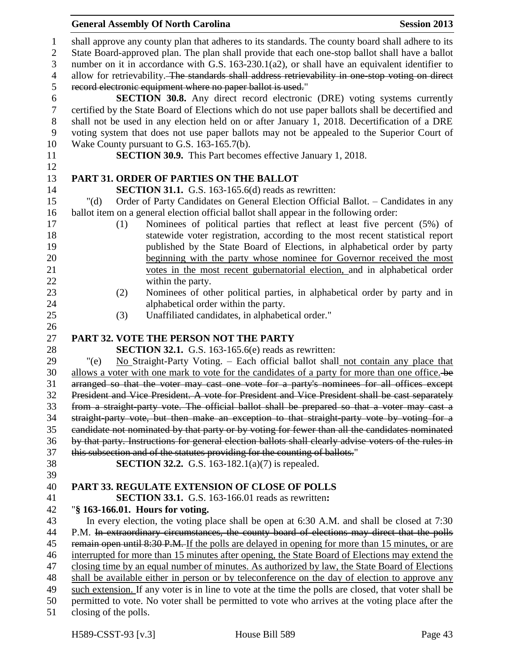|                  | <b>General Assembly Of North Carolina</b><br><b>Session 2013</b>                                                                                                                                 |  |
|------------------|--------------------------------------------------------------------------------------------------------------------------------------------------------------------------------------------------|--|
| $\mathbf{1}$     | shall approve any county plan that adheres to its standards. The county board shall adhere to its                                                                                                |  |
| $\mathbf{2}$     | State Board-approved plan. The plan shall provide that each one-stop ballot shall have a ballot                                                                                                  |  |
| 3                | number on it in accordance with G.S. 163-230.1(a2), or shall have an equivalent identifier to                                                                                                    |  |
| $\overline{4}$   | allow for retrievability. The standards shall address retrievability in one stop voting on direct                                                                                                |  |
| 5                | record electronic equipment where no paper ballot is used."                                                                                                                                      |  |
| 6                | <b>SECTION 30.8.</b> Any direct record electronic (DRE) voting systems currently                                                                                                                 |  |
| $\boldsymbol{7}$ | certified by the State Board of Elections which do not use paper ballots shall be decertified and                                                                                                |  |
| 8                | shall not be used in any election held on or after January 1, 2018. Decertification of a DRE                                                                                                     |  |
| 9                | voting system that does not use paper ballots may not be appealed to the Superior Court of                                                                                                       |  |
| 10               | Wake County pursuant to G.S. 163-165.7(b).                                                                                                                                                       |  |
| 11               | <b>SECTION 30.9.</b> This Part becomes effective January 1, 2018.                                                                                                                                |  |
| 12               |                                                                                                                                                                                                  |  |
| 13               | PART 31. ORDER OF PARTIES ON THE BALLOT                                                                                                                                                          |  |
| 14               | <b>SECTION 31.1.</b> G.S. 163-165.6(d) reads as rewritten:                                                                                                                                       |  |
| 15               | Order of Party Candidates on General Election Official Ballot. - Candidates in any<br>" $(d)$                                                                                                    |  |
| 16               | ballot item on a general election official ballot shall appear in the following order:                                                                                                           |  |
| 17               | Nominees of political parties that reflect at least five percent (5%) of<br>(1)                                                                                                                  |  |
| 18               | statewide voter registration, according to the most recent statistical report                                                                                                                    |  |
| 19               | published by the State Board of Elections, in alphabetical order by party                                                                                                                        |  |
| 20               | beginning with the party whose nominee for Governor received the most                                                                                                                            |  |
| 21               | votes in the most recent gubernatorial election, and in alphabetical order                                                                                                                       |  |
| 22               | within the party.                                                                                                                                                                                |  |
| 23               | Nominees of other political parties, in alphabetical order by party and in<br>(2)                                                                                                                |  |
| 24               | alphabetical order within the party.                                                                                                                                                             |  |
| 25               | Unaffiliated candidates, in alphabetical order."<br>(3)                                                                                                                                          |  |
| 26<br>27         | PART 32. VOTE THE PERSON NOT THE PARTY                                                                                                                                                           |  |
| 28               | <b>SECTION 32.1.</b> G.S. 163-165.6(e) reads as rewritten:                                                                                                                                       |  |
| 29               | No Straight-Party Voting. - Each official ballot shall not contain any place that<br>"(e)                                                                                                        |  |
| 30               | allows a voter with one mark to vote for the candidates of a party for more than one office. be                                                                                                  |  |
| 31               | arranged so that the voter may cast one vote for a party's nominees for all offices except                                                                                                       |  |
| 32               | President and Vice President. A vote for President and Vice President shall be cast separately                                                                                                   |  |
| 33               | from a straight-party vote. The official ballot shall be prepared so that a voter may cast a                                                                                                     |  |
| 34               | straight-party vote, but then make an exception to that straight-party vote by voting for a                                                                                                      |  |
| 35               | candidate not nominated by that party or by voting for fewer than all the candidates nominated                                                                                                   |  |
| 36               | by that party. Instructions for general election ballots shall clearly advise voters of the rules in                                                                                             |  |
| 37               | this subsection and of the statutes providing for the counting of ballots."                                                                                                                      |  |
| 38               | <b>SECTION 32.2.</b> G.S. 163-182.1(a)(7) is repealed.                                                                                                                                           |  |
| 39               |                                                                                                                                                                                                  |  |
| 40               | PART 33. REGULATE EXTENSION OF CLOSE OF POLLS                                                                                                                                                    |  |
| 41               | <b>SECTION 33.1.</b> G.S. 163-166.01 reads as rewritten:                                                                                                                                         |  |
| 42               | "§ 163-166.01. Hours for voting.                                                                                                                                                                 |  |
| 43               | In every election, the voting place shall be open at 6:30 A.M. and shall be closed at 7:30                                                                                                       |  |
| 44               | P.M. In extraordinary circumstances, the county board of elections may direct that the polls                                                                                                     |  |
| 45               | remain open until 8:30 P.M. If the polls are delayed in opening for more than 15 minutes, or are                                                                                                 |  |
| 46               | interrupted for more than 15 minutes after opening, the State Board of Elections may extend the                                                                                                  |  |
| 47<br>48         | closing time by an equal number of minutes. As authorized by law, the State Board of Elections<br>shall be available either in person or by teleconference on the day of election to approve any |  |
| 49               | such extension. If any voter is in line to vote at the time the polls are closed, that voter shall be                                                                                            |  |
| 50               | permitted to vote. No voter shall be permitted to vote who arrives at the voting place after the                                                                                                 |  |
| 51               | closing of the polls.                                                                                                                                                                            |  |
|                  |                                                                                                                                                                                                  |  |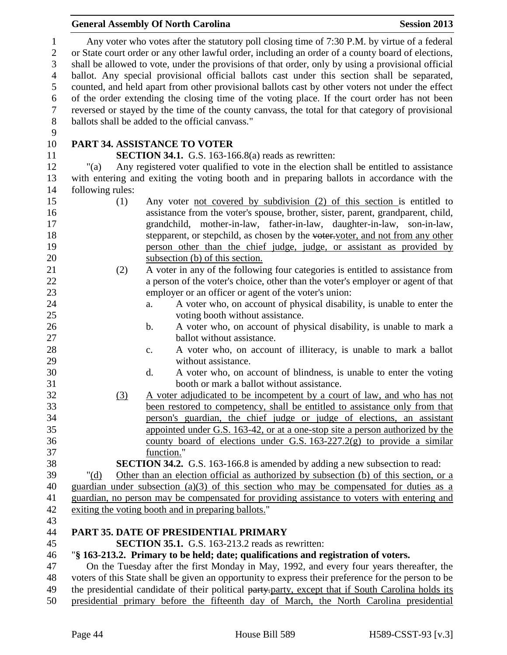|                                     |                  | <b>General Assembly Of North Carolina</b>                                                                                                                                                                                                                                                                 | <b>Session 2013</b> |
|-------------------------------------|------------------|-----------------------------------------------------------------------------------------------------------------------------------------------------------------------------------------------------------------------------------------------------------------------------------------------------------|---------------------|
| $\mathbf{1}$<br>$\overline{2}$<br>3 |                  | Any voter who votes after the statutory poll closing time of 7:30 P.M. by virtue of a federal<br>or State court order or any other lawful order, including an order of a county board of elections,<br>shall be allowed to vote, under the provisions of that order, only by using a provisional official |                     |
| $\overline{4}$                      |                  | ballot. Any special provisional official ballots cast under this section shall be separated,                                                                                                                                                                                                              |                     |
| 5                                   |                  | counted, and held apart from other provisional ballots cast by other voters not under the effect                                                                                                                                                                                                          |                     |
| 6                                   |                  | of the order extending the closing time of the voting place. If the court order has not been                                                                                                                                                                                                              |                     |
| $\boldsymbol{7}$                    |                  | reversed or stayed by the time of the county canvass, the total for that category of provisional                                                                                                                                                                                                          |                     |
| $\,8\,$<br>9                        |                  | ballots shall be added to the official canvass."                                                                                                                                                                                                                                                          |                     |
| 10                                  |                  | <b>PART 34. ASSISTANCE TO VOTER</b>                                                                                                                                                                                                                                                                       |                     |
| 11                                  |                  | <b>SECTION 34.1.</b> G.S. 163-166.8(a) reads as rewritten:                                                                                                                                                                                                                                                |                     |
| 12                                  | "(a)             | Any registered voter qualified to vote in the election shall be entitled to assistance                                                                                                                                                                                                                    |                     |
| 13                                  |                  | with entering and exiting the voting booth and in preparing ballots in accordance with the                                                                                                                                                                                                                |                     |
| 14                                  | following rules: |                                                                                                                                                                                                                                                                                                           |                     |
| 15                                  | (1)              | Any voter not covered by subdivision (2) of this section is entitled to                                                                                                                                                                                                                                   |                     |
| 16                                  |                  | assistance from the voter's spouse, brother, sister, parent, grandparent, child,                                                                                                                                                                                                                          |                     |
| 17                                  |                  | grandchild, mother-in-law, father-in-law, daughter-in-law, son-in-law,                                                                                                                                                                                                                                    |                     |
| 18                                  |                  | stepparent, or stepchild, as chosen by the voter-voter, and not from any other                                                                                                                                                                                                                            |                     |
| 19                                  |                  | person other than the chief judge, judge, or assistant as provided by                                                                                                                                                                                                                                     |                     |
| 20                                  |                  | subsection (b) of this section.                                                                                                                                                                                                                                                                           |                     |
| 21                                  | (2)              | A voter in any of the following four categories is entitled to assistance from                                                                                                                                                                                                                            |                     |
| 22                                  |                  | a person of the voter's choice, other than the voter's employer or agent of that                                                                                                                                                                                                                          |                     |
| 23                                  |                  | employer or an officer or agent of the voter's union:                                                                                                                                                                                                                                                     |                     |
| 24                                  |                  | A voter who, on account of physical disability, is unable to enter the<br>a.                                                                                                                                                                                                                              |                     |
| 25<br>26                            |                  | voting booth without assistance.<br>A voter who, on account of physical disability, is unable to mark a                                                                                                                                                                                                   |                     |
| 27                                  |                  | b.<br>ballot without assistance.                                                                                                                                                                                                                                                                          |                     |
| 28                                  |                  | A voter who, on account of illiteracy, is unable to mark a ballot<br>c.                                                                                                                                                                                                                                   |                     |
| 29                                  |                  | without assistance.                                                                                                                                                                                                                                                                                       |                     |
| 30                                  |                  | A voter who, on account of blindness, is unable to enter the voting<br>d.                                                                                                                                                                                                                                 |                     |
| 31                                  |                  | booth or mark a ballot without assistance.                                                                                                                                                                                                                                                                |                     |
| 32                                  | (3)              | A voter adjudicated to be incompetent by a court of law, and who has not                                                                                                                                                                                                                                  |                     |
| 33                                  |                  | been restored to competency, shall be entitled to assistance only from that                                                                                                                                                                                                                               |                     |
| 34                                  |                  | person's guardian, the chief judge or judge of elections, an assistant                                                                                                                                                                                                                                    |                     |
| 35                                  |                  | appointed under G.S. 163-42, or at a one-stop site a person authorized by the                                                                                                                                                                                                                             |                     |
| 36                                  |                  | county board of elections under G.S. $163-227.2(g)$ to provide a similar                                                                                                                                                                                                                                  |                     |
| 37                                  |                  | function."                                                                                                                                                                                                                                                                                                |                     |
| 38                                  |                  | <b>SECTION 34.2.</b> G.S. 163-166.8 is amended by adding a new subsection to read:                                                                                                                                                                                                                        |                     |
| 39                                  | " $(d)$          | Other than an election official as authorized by subsection (b) of this section, or a                                                                                                                                                                                                                     |                     |
| 40                                  |                  | guardian under subsection $(a)(3)$ of this section who may be compensated for duties as a                                                                                                                                                                                                                 |                     |
| 41                                  |                  | guardian, no person may be compensated for providing assistance to voters with entering and                                                                                                                                                                                                               |                     |
| 42                                  |                  | exiting the voting booth and in preparing ballots."                                                                                                                                                                                                                                                       |                     |
| 43                                  |                  |                                                                                                                                                                                                                                                                                                           |                     |
| 44                                  |                  | PART 35. DATE OF PRESIDENTIAL PRIMARY                                                                                                                                                                                                                                                                     |                     |
| 45                                  |                  | <b>SECTION 35.1.</b> G.S. 163-213.2 reads as rewritten:                                                                                                                                                                                                                                                   |                     |
| 46                                  |                  | "§ 163-213.2. Primary to be held; date; qualifications and registration of voters.                                                                                                                                                                                                                        |                     |
| 47                                  |                  | On the Tuesday after the first Monday in May, 1992, and every four years thereafter, the                                                                                                                                                                                                                  |                     |
| 48                                  |                  | voters of this State shall be given an opportunity to express their preference for the person to be                                                                                                                                                                                                       |                     |
| 49<br>50                            |                  | the presidential candidate of their political party-party, except that if South Carolina holds its<br>presidential primary before the fifteenth day of March, the North Carolina presidential                                                                                                             |                     |
|                                     |                  |                                                                                                                                                                                                                                                                                                           |                     |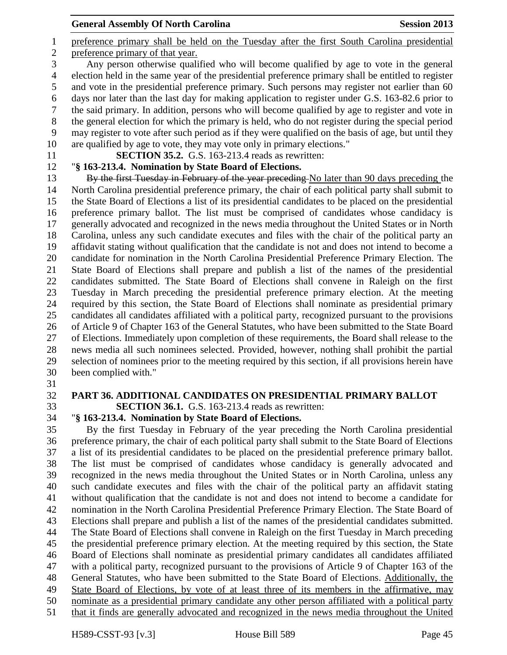preference primary shall be held on the Tuesday after the first South Carolina presidential preference primary of that year. Any person otherwise qualified who will become qualified by age to vote in the general election held in the same year of the presidential preference primary shall be entitled to register and vote in the presidential preference primary. Such persons may register not earlier than 60 days nor later than the last day for making application to register under G.S. 163-82.6 prior to the said primary. In addition, persons who will become qualified by age to register and vote in the general election for which the primary is held, who do not register during the special period may register to vote after such period as if they were qualified on the basis of age, but until they are qualified by age to vote, they may vote only in primary elections."

**SECTION 35.2.** G.S. 163-213.4 reads as rewritten:

"**§ 163-213.4. Nomination by State Board of Elections.**

13 By the first Tuesday in February of the year preceding No later than 90 days preceding the North Carolina presidential preference primary, the chair of each political party shall submit to the State Board of Elections a list of its presidential candidates to be placed on the presidential preference primary ballot. The list must be comprised of candidates whose candidacy is generally advocated and recognized in the news media throughout the United States or in North Carolina, unless any such candidate executes and files with the chair of the political party an affidavit stating without qualification that the candidate is not and does not intend to become a candidate for nomination in the North Carolina Presidential Preference Primary Election. The State Board of Elections shall prepare and publish a list of the names of the presidential candidates submitted. The State Board of Elections shall convene in Raleigh on the first Tuesday in March preceding the presidential preference primary election. At the meeting required by this section, the State Board of Elections shall nominate as presidential primary candidates all candidates affiliated with a political party, recognized pursuant to the provisions of Article 9 of Chapter 163 of the General Statutes, who have been submitted to the State Board of Elections. Immediately upon completion of these requirements, the Board shall release to the news media all such nominees selected. Provided, however, nothing shall prohibit the partial selection of nominees prior to the meeting required by this section, if all provisions herein have been complied with."

**PART 36. ADDITIONAL CANDIDATES ON PRESIDENTIAL PRIMARY BALLOT**

**SECTION 36.1.** G.S. 163-213.4 reads as rewritten:

"**§ 163-213.4. Nomination by State Board of Elections.**

 By the first Tuesday in February of the year preceding the North Carolina presidential preference primary, the chair of each political party shall submit to the State Board of Elections a list of its presidential candidates to be placed on the presidential preference primary ballot. The list must be comprised of candidates whose candidacy is generally advocated and recognized in the news media throughout the United States or in North Carolina, unless any such candidate executes and files with the chair of the political party an affidavit stating without qualification that the candidate is not and does not intend to become a candidate for nomination in the North Carolina Presidential Preference Primary Election. The State Board of Elections shall prepare and publish a list of the names of the presidential candidates submitted. The State Board of Elections shall convene in Raleigh on the first Tuesday in March preceding the presidential preference primary election. At the meeting required by this section, the State Board of Elections shall nominate as presidential primary candidates all candidates affiliated with a political party, recognized pursuant to the provisions of Article 9 of Chapter 163 of the General Statutes, who have been submitted to the State Board of Elections. Additionally, the State Board of Elections, by vote of at least three of its members in the affirmative, may nominate as a presidential primary candidate any other person affiliated with a political party that it finds are generally advocated and recognized in the news media throughout the United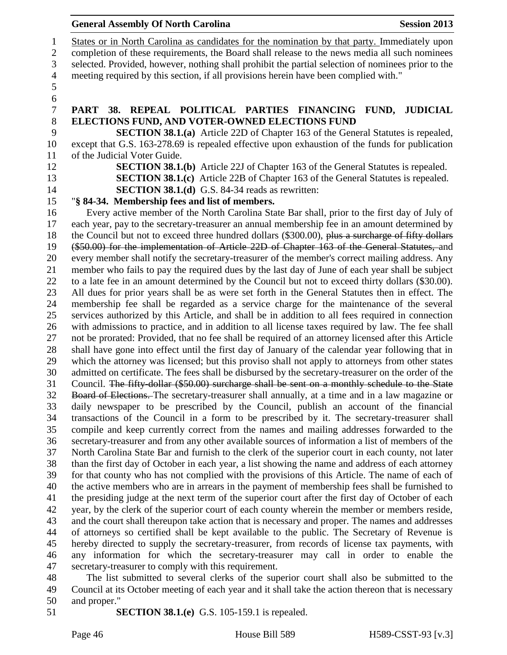|  | <b>General Assembly Of North Carolina</b> |  |  |
|--|-------------------------------------------|--|--|
|--|-------------------------------------------|--|--|

 States or in North Carolina as candidates for the nomination by that party. Immediately upon completion of these requirements, the Board shall release to the news media all such nominees selected. Provided, however, nothing shall prohibit the partial selection of nominees prior to the meeting required by this section, if all provisions herein have been complied with." **PART 38. REPEAL POLITICAL PARTIES FINANCING FUND, JUDICIAL**  8 <b>ELECTIONS FUND, AND VOTER-OWNED ELECTIONS FUND<br/>\n<b>SECTION 38.1.(a)</b> Article 22D of Chapter 163 of the Gene **SECTION 38.1.(a)** Article 22D of Chapter 163 of the General Statutes is repealed, except that G.S. 163-278.69 is repealed effective upon exhaustion of the funds for publication of the Judicial Voter Guide. **SECTION 38.1.(b)** Article 22J of Chapter 163 of the General Statutes is repealed. **SECTION 38.1.(c)** Article 22B of Chapter 163 of the General Statutes is repealed. **SECTION 38.1.(d)** G.S. 84-34 reads as rewritten: "**§ 84-34. Membership fees and list of members.** Every active member of the North Carolina State Bar shall, prior to the first day of July of each year, pay to the secretary-treasurer an annual membership fee in an amount determined by 18 the Council but not to exceed three hundred dollars (\$300.00), plus a surcharge of fifty dollars (\$50.00) for the implementation of Article 22D of Chapter 163 of the General Statutes, and every member shall notify the secretary-treasurer of the member's correct mailing address. Any member who fails to pay the required dues by the last day of June of each year shall be subject to a late fee in an amount determined by the Council but not to exceed thirty dollars (\$30.00). All dues for prior years shall be as were set forth in the General Statutes then in effect. The membership fee shall be regarded as a service charge for the maintenance of the several services authorized by this Article, and shall be in addition to all fees required in connection with admissions to practice, and in addition to all license taxes required by law. The fee shall not be prorated: Provided, that no fee shall be required of an attorney licensed after this Article shall have gone into effect until the first day of January of the calendar year following that in which the attorney was licensed; but this proviso shall not apply to attorneys from other states admitted on certificate. The fees shall be disbursed by the secretary-treasurer on the order of the Council. The fifty-dollar (\$50.00) surcharge shall be sent on a monthly schedule to the State Board of Elections. The secretary-treasurer shall annually, at a time and in a law magazine or daily newspaper to be prescribed by the Council, publish an account of the financial transactions of the Council in a form to be prescribed by it. The secretary-treasurer shall compile and keep currently correct from the names and mailing addresses forwarded to the secretary-treasurer and from any other available sources of information a list of members of the North Carolina State Bar and furnish to the clerk of the superior court in each county, not later than the first day of October in each year, a list showing the name and address of each attorney for that county who has not complied with the provisions of this Article. The name of each of the active members who are in arrears in the payment of membership fees shall be furnished to the presiding judge at the next term of the superior court after the first day of October of each year, by the clerk of the superior court of each county wherein the member or members reside, and the court shall thereupon take action that is necessary and proper. The names and addresses of attorneys so certified shall be kept available to the public. The Secretary of Revenue is hereby directed to supply the secretary-treasurer, from records of license tax payments, with any information for which the secretary-treasurer may call in order to enable the secretary-treasurer to comply with this requirement.

 The list submitted to several clerks of the superior court shall also be submitted to the Council at its October meeting of each year and it shall take the action thereon that is necessary and proper."

**SECTION 38.1.(e)** G.S. 105-159.1 is repealed.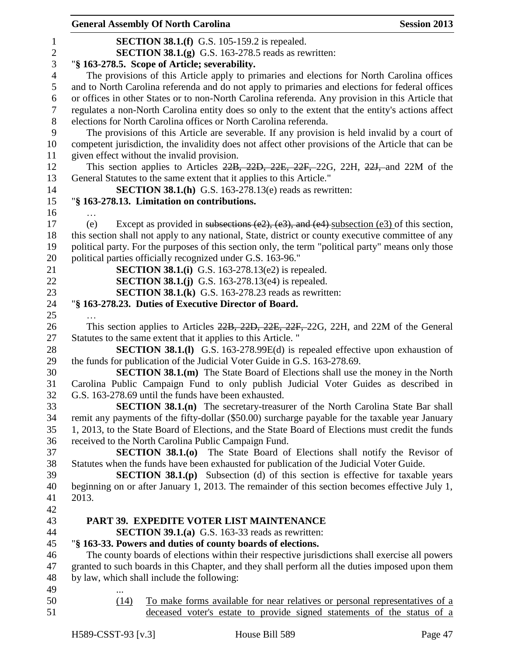|                  |       | <b>General Assembly Of North Carolina</b>                                                                                                              | <b>Session 2013</b> |
|------------------|-------|--------------------------------------------------------------------------------------------------------------------------------------------------------|---------------------|
| $\mathbf{1}$     |       | <b>SECTION 38.1.(f)</b> G.S. 105-159.2 is repealed.                                                                                                    |                     |
| $\boldsymbol{2}$ |       | <b>SECTION 38.1.<math>(g)</math></b> G.S. 163-278.5 reads as rewritten:                                                                                |                     |
| 3                |       | "§ 163-278.5. Scope of Article; severability.                                                                                                          |                     |
| $\overline{4}$   |       | The provisions of this Article apply to primaries and elections for North Carolina offices                                                             |                     |
| 5                |       | and to North Carolina referenda and do not apply to primaries and elections for federal offices                                                        |                     |
| 6                |       | or offices in other States or to non-North Carolina referenda. Any provision in this Article that                                                      |                     |
| $\tau$           |       | regulates a non-North Carolina entity does so only to the extent that the entity's actions affect                                                      |                     |
| $8\,$            |       | elections for North Carolina offices or North Carolina referenda.                                                                                      |                     |
| 9                |       | The provisions of this Article are severable. If any provision is held invalid by a court of                                                           |                     |
| 10               |       | competent jurisdiction, the invalidity does not affect other provisions of the Article that can be                                                     |                     |
| 11               |       | given effect without the invalid provision.                                                                                                            |                     |
| 12               |       | This section applies to Articles 22B, 22D, 22E, 22F, 22G, 22H, 22J, and 22M of the                                                                     |                     |
| 13               |       | General Statutes to the same extent that it applies to this Article."                                                                                  |                     |
| 14               |       | <b>SECTION 38.1.(h)</b> G.S. 163-278.13(e) reads as rewritten:                                                                                         |                     |
| 15               |       | "§ 163-278.13. Limitation on contributions.                                                                                                            |                     |
| 16               |       |                                                                                                                                                        |                     |
| 17               | (e)   | Except as provided in subsections (e2), (e3), and (e4) subsection (e3) of this section,                                                                |                     |
| 18               |       | this section shall not apply to any national, State, district or county executive committee of any                                                     |                     |
| 19               |       | political party. For the purposes of this section only, the term "political party" means only those                                                    |                     |
| 20               |       | political parties officially recognized under G.S. 163-96."                                                                                            |                     |
| 21<br>22         |       | <b>SECTION 38.1.(i)</b> G.S. 163-278.13(e2) is repealed.<br><b>SECTION 38.1.(j)</b> G.S. 163-278.13(e4) is repealed.                                   |                     |
| 23               |       | <b>SECTION 38.1.(k)</b> G.S. 163-278.23 reads as rewritten:                                                                                            |                     |
| 24               |       | "§ 163-278.23. Duties of Executive Director of Board.                                                                                                  |                     |
| 25               |       |                                                                                                                                                        |                     |
| 26               |       | This section applies to Articles 22B, 22D, 22E, 22F, 22G, 22H, and 22M of the General                                                                  |                     |
| 27               |       | Statutes to the same extent that it applies to this Article. "                                                                                         |                     |
| 28               |       | <b>SECTION 38.1.(I)</b> G.S. 163-278.99E(d) is repealed effective upon exhaustion of                                                                   |                     |
| 29               |       | the funds for publication of the Judicial Voter Guide in G.S. 163-278.69.                                                                              |                     |
| 30               |       | <b>SECTION 38.1.(m)</b> The State Board of Elections shall use the money in the North                                                                  |                     |
| 31               |       | Carolina Public Campaign Fund to only publish Judicial Voter Guides as described in                                                                    |                     |
| 32               |       | G.S. 163-278.69 until the funds have been exhausted.                                                                                                   |                     |
| 33               |       | <b>SECTION 38.1.(n)</b> The secretary-treasurer of the North Carolina State Bar shall                                                                  |                     |
| 34               |       | remit any payments of the fifty-dollar (\$50.00) surcharge payable for the taxable year January                                                        |                     |
| 35               |       | 1, 2013, to the State Board of Elections, and the State Board of Elections must credit the funds                                                       |                     |
| 36               |       | received to the North Carolina Public Campaign Fund.                                                                                                   |                     |
| 37               |       | <b>SECTION 38.1.(0)</b> The State Board of Elections shall notify the Revisor of                                                                       |                     |
| 38               |       | Statutes when the funds have been exhausted for publication of the Judicial Voter Guide.                                                               |                     |
| 39               |       | <b>SECTION 38.1.(p)</b> Subsection (d) of this section is effective for taxable years                                                                  |                     |
| 40               |       | beginning on or after January 1, 2013. The remainder of this section becomes effective July 1,                                                         |                     |
| 41               | 2013. |                                                                                                                                                        |                     |
| 42               |       |                                                                                                                                                        |                     |
| 43               |       | PART 39. EXPEDITE VOTER LIST MAINTENANCE                                                                                                               |                     |
| 44               |       | <b>SECTION 39.1.(a)</b> G.S. 163-33 reads as rewritten:                                                                                                |                     |
| 45               |       | "§ 163-33. Powers and duties of county boards of elections.                                                                                            |                     |
| 46               |       | The county boards of elections within their respective jurisdictions shall exercise all powers                                                         |                     |
| 47               |       | granted to such boards in this Chapter, and they shall perform all the duties imposed upon them                                                        |                     |
| 48               |       | by law, which shall include the following:                                                                                                             |                     |
| 49               |       |                                                                                                                                                        |                     |
| 50<br>51         | (14)  | To make forms available for near relatives or personal representatives of a<br>deceased voter's estate to provide signed statements of the status of a |                     |
|                  |       |                                                                                                                                                        |                     |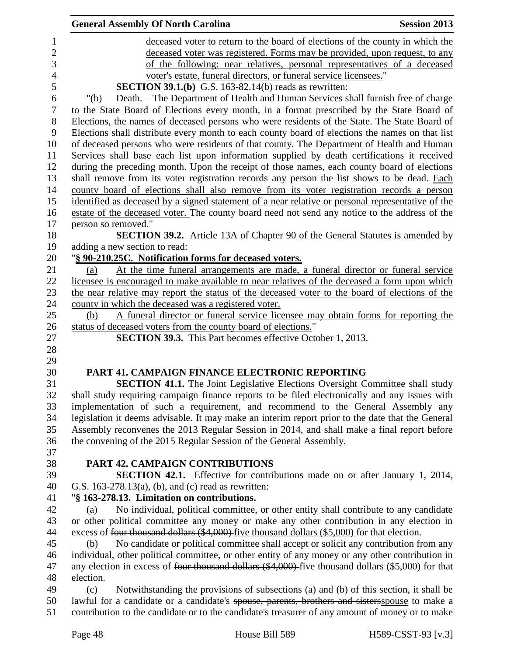|                | <b>General Assembly Of North Carolina</b><br><b>Session 2013</b>                                                |
|----------------|-----------------------------------------------------------------------------------------------------------------|
| $\mathbf{1}$   | deceased voter to return to the board of elections of the county in which the                                   |
| $\overline{2}$ | deceased voter was registered. Forms may be provided, upon request, to any                                      |
| 3              | of the following: near relatives, personal representatives of a deceased                                        |
| $\overline{4}$ | voter's estate, funeral directors, or funeral service licensees."                                               |
| 5              | <b>SECTION 39.1.(b)</b> G.S. 163-82.14(b) reads as rewritten:                                                   |
| 6              | Death. - The Department of Health and Human Services shall furnish free of charge<br>" $(b)$                    |
| $\tau$         | to the State Board of Elections every month, in a format prescribed by the State Board of                       |
| 8              | Elections, the names of deceased persons who were residents of the State. The State Board of                    |
| 9              | Elections shall distribute every month to each county board of elections the names on that list                 |
| 10             | of deceased persons who were residents of that county. The Department of Health and Human                       |
| 11             | Services shall base each list upon information supplied by death certifications it received                     |
| 12             | during the preceding month. Upon the receipt of those names, each county board of elections                     |
| 13             | shall remove from its voter registration records any person the list shows to be dead. Each                     |
| 14             | county board of elections shall also remove from its voter registration records a person                        |
| 15             | identified as deceased by a signed statement of a near relative or personal representative of the               |
| 16             | estate of the deceased voter. The county board need not send any notice to the address of the                   |
| 17             | person so removed."                                                                                             |
| 18             | <b>SECTION 39.2.</b> Article 13A of Chapter 90 of the General Statutes is amended by                            |
| 19             | adding a new section to read:                                                                                   |
| 20             | "§ 90-210.25C. Notification forms for deceased voters.                                                          |
| 21             | At the time funeral arrangements are made, a funeral director or funeral service<br>(a)                         |
| 22             | licensee is encouraged to make available to near relatives of the deceased a form upon which                    |
| 23             | the near relative may report the status of the deceased voter to the board of elections of the                  |
| 24             | county in which the deceased was a registered voter.                                                            |
| 25             | A funeral director or funeral service licensee may obtain forms for reporting the<br>(b)                        |
| 26             | status of deceased voters from the county board of elections."                                                  |
| 27             | <b>SECTION 39.3.</b> This Part becomes effective October 1, 2013.                                               |
| 28             |                                                                                                                 |
| 29             |                                                                                                                 |
| 30             | PART 41. CAMPAIGN FINANCE ELECTRONIC REPORTING                                                                  |
| 31             | <b>SECTION 41.1.</b> The Joint Legislative Elections Oversight Committee shall study                            |
| 32             | shall study requiring campaign finance reports to be filed electronically and any issues with                   |
| 33             | implementation of such a requirement, and recommend to the General Assembly any                                 |
| 34             | legislation it deems advisable. It may make an interim report prior to the date that the General                |
| 35             | Assembly reconvenes the 2013 Regular Session in 2014, and shall make a final report before                      |
| 36             | the convening of the 2015 Regular Session of the General Assembly.                                              |
| 37             |                                                                                                                 |
| 38             | PART 42. CAMPAIGN CONTRIBUTIONS                                                                                 |
| 39             | <b>SECTION 42.1.</b> Effective for contributions made on or after January 1, 2014,                              |
| 40             | G.S. $163-278.13(a)$ , (b), and (c) read as rewritten:                                                          |
| 41             | "§ 163-278.13. Limitation on contributions.                                                                     |
| 42             | No individual, political committee, or other entity shall contribute to any candidate<br>(a)                    |
| 43             | or other political committee any money or make any other contribution in any election in                        |
| 44             | excess of four thousand dollars (\$4,000) five thousand dollars (\$5,000) for that election.                    |
| 45             | No candidate or political committee shall accept or solicit any contribution from any<br>(b)                    |
| 46             | individual, other political committee, or other entity of any money or any other contribution in                |
| 47<br>48       | any election in excess of four thousand dollars (\$4,000) five thousand dollars (\$5,000) for that<br>election. |
| 49             | Notwithstanding the provisions of subsections (a) and (b) of this section, it shall be<br>(c)                   |
| 50             | lawful for a candidate or a candidate's spouse, parents, brothers and sistersspouse to make a                   |
| 51             | contribution to the candidate or to the candidate's treasurer of any amount of money or to make                 |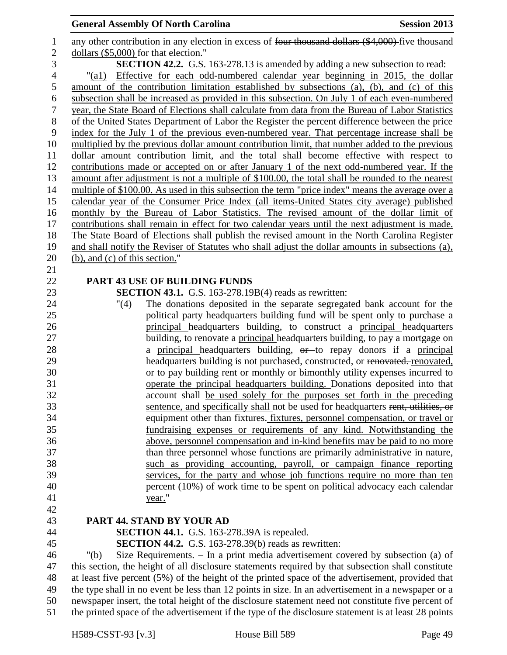| $\mathbf{1}$     | any other contribution in any election in excess of four thousand dollars (\$4,000) five thousand                                                         |
|------------------|-----------------------------------------------------------------------------------------------------------------------------------------------------------|
| $\mathbf{2}$     | dollars (\$5,000) for that election."                                                                                                                     |
| 3                | <b>SECTION 42.2.</b> G.S. 163-278.13 is amended by adding a new subsection to read:                                                                       |
| $\overline{4}$   | Effective for each odd-numbered calendar year beginning in 2015, the dollar<br>" $\text{(a1)}$                                                            |
| 5                | amount of the contribution limitation established by subsections (a), (b), and (c) of this                                                                |
| 6                | subsection shall be increased as provided in this subsection. On July 1 of each even-numbered                                                             |
| $\boldsymbol{7}$ | year, the State Board of Elections shall calculate from data from the Bureau of Labor Statistics                                                          |
| $8\,$            | of the United States Department of Labor the Register the percent difference between the price                                                            |
| 9                | index for the July 1 of the previous even-numbered year. That percentage increase shall be                                                                |
| 10               | multiplied by the previous dollar amount contribution limit, that number added to the previous                                                            |
| 11               | dollar amount contribution limit, and the total shall become effective with respect to                                                                    |
| 12               | contributions made or accepted on or after January 1 of the next odd-numbered year. If the                                                                |
| 13               | amount after adjustment is not a multiple of \$100.00, the total shall be rounded to the nearest                                                          |
| 14               | multiple of \$100.00. As used in this subsection the term "price index" means the average over a                                                          |
| 15               | calendar year of the Consumer Price Index (all items-United States city average) published                                                                |
| 16               | monthly by the Bureau of Labor Statistics. The revised amount of the dollar limit of                                                                      |
| 17               | contributions shall remain in effect for two calendar years until the next adjustment is made.                                                            |
| 18               | The State Board of Elections shall publish the revised amount in the North Carolina Register                                                              |
| 19               | and shall notify the Reviser of Statutes who shall adjust the dollar amounts in subsections (a),                                                          |
| 20               | (b), and (c) of this section."                                                                                                                            |
| 21               |                                                                                                                                                           |
| 22               | <b>PART 43 USE OF BUILDING FUNDS</b>                                                                                                                      |
| 23               | <b>SECTION 43.1.</b> G.S. 163-278.19B(4) reads as rewritten:                                                                                              |
| 24               | The donations deposited in the separate segregated bank account for the<br>"(4)                                                                           |
| 25               | political party headquarters building fund will be spent only to purchase a                                                                               |
| 26               | principal headquarters building, to construct a principal headquarters                                                                                    |
| 27               | building, to renovate a principal headquarters building, to pay a mortgage on                                                                             |
| 28               | a principal headquarters building, or to repay donors if a principal                                                                                      |
| 29               | headquarters building is not purchased, constructed, or renovated. renovated,                                                                             |
| 30               | or to pay building rent or monthly or bimonthly utility expenses incurred to                                                                              |
| 31               | operate the principal headquarters building. Donations deposited into that                                                                                |
| 32               | account shall be used solely for the purposes set forth in the preceding                                                                                  |
| 33               | sentence, and specifically shall not be used for headquarters rent, utilities, or                                                                         |
| 34               | equipment other than fixtures. fixtures, personnel compensation, or travel or                                                                             |
| 35               | fundraising expenses or requirements of any kind. Notwithstanding the                                                                                     |
| 36<br>37         | above, personnel compensation and in-kind benefits may be paid to no more<br>than three personnel whose functions are primarily administrative in nature, |
| 38               | such as providing accounting, payroll, or campaign finance reporting                                                                                      |
| 39               | services, for the party and whose job functions require no more than ten                                                                                  |
| 40               | percent (10%) of work time to be spent on political advocacy each calendar                                                                                |
| 41               | year."                                                                                                                                                    |
| 42               |                                                                                                                                                           |
| 43               | PART 44. STAND BY YOUR AD                                                                                                                                 |
| 44               | <b>SECTION 44.1.</b> G.S. 163-278.39A is repealed.                                                                                                        |
| 45               | <b>SECTION 44.2.</b> G.S. 163-278.39(b) reads as rewritten:                                                                                               |
| 46               | Size Requirements. $-$ In a print media advertisement covered by subsection (a) of<br>" $(b)$                                                             |
| 47               | this section, the height of all disclosure statements required by that subsection shall constitute                                                        |
| 48               | at least five percent (5%) of the height of the printed space of the advertisement, provided that                                                         |
| 49               | the type shall in no event be less than 12 points in size. In an advertisement in a newspaper or a                                                        |
| 50               | newspaper insert, the total height of the disclosure statement need not constitute five percent of                                                        |
| 51               | the printed space of the advertisement if the type of the disclosure statement is at least 28 points                                                      |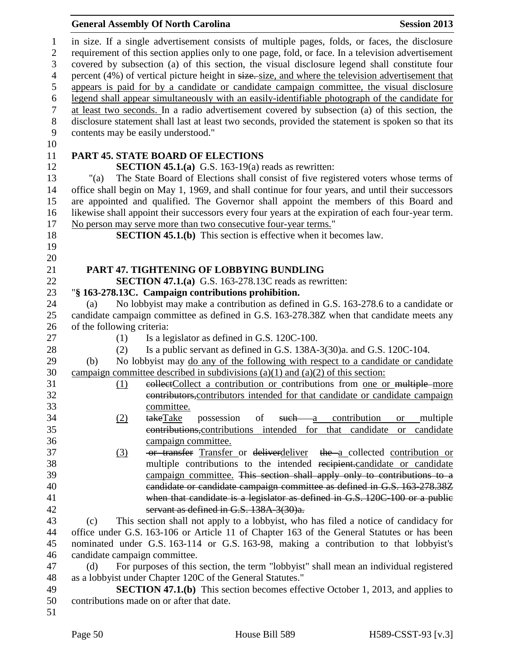|                                                                                                   | <b>General Assembly Of North Carolina</b>                                                                                                                                                                                                                                                                                                                                                                                                                                                                                                                                                                                                                                                                                                                                                                                                                | <b>Session 2013</b>                 |
|---------------------------------------------------------------------------------------------------|----------------------------------------------------------------------------------------------------------------------------------------------------------------------------------------------------------------------------------------------------------------------------------------------------------------------------------------------------------------------------------------------------------------------------------------------------------------------------------------------------------------------------------------------------------------------------------------------------------------------------------------------------------------------------------------------------------------------------------------------------------------------------------------------------------------------------------------------------------|-------------------------------------|
| $\mathbf{1}$<br>$\mathfrak{2}$<br>3<br>$\overline{4}$<br>5<br>6<br>$\boldsymbol{7}$<br>$8\,$<br>9 | in size. If a single advertisement consists of multiple pages, folds, or faces, the disclosure<br>requirement of this section applies only to one page, fold, or face. In a television advertisement<br>covered by subsection (a) of this section, the visual disclosure legend shall constitute four<br>percent (4%) of vertical picture height in size. size, and where the television advertisement that<br>appears is paid for by a candidate or candidate campaign committee, the visual disclosure<br>legend shall appear simultaneously with an easily-identifiable photograph of the candidate for<br>at least two seconds. In a radio advertisement covered by subsection (a) of this section, the<br>disclosure statement shall last at least two seconds, provided the statement is spoken so that its<br>contents may be easily understood." |                                     |
| 10<br>11                                                                                          | <b>PART 45. STATE BOARD OF ELECTIONS</b>                                                                                                                                                                                                                                                                                                                                                                                                                                                                                                                                                                                                                                                                                                                                                                                                                 |                                     |
| 12                                                                                                | <b>SECTION 45.1.(a)</b> G.S. 163-19(a) reads as rewritten:                                                                                                                                                                                                                                                                                                                                                                                                                                                                                                                                                                                                                                                                                                                                                                                               |                                     |
| 13<br>"(a)                                                                                        | The State Board of Elections shall consist of five registered voters whose terms of                                                                                                                                                                                                                                                                                                                                                                                                                                                                                                                                                                                                                                                                                                                                                                      |                                     |
| 14                                                                                                | office shall begin on May 1, 1969, and shall continue for four years, and until their successors                                                                                                                                                                                                                                                                                                                                                                                                                                                                                                                                                                                                                                                                                                                                                         |                                     |
| 15                                                                                                | are appointed and qualified. The Governor shall appoint the members of this Board and                                                                                                                                                                                                                                                                                                                                                                                                                                                                                                                                                                                                                                                                                                                                                                    |                                     |
| 16                                                                                                | likewise shall appoint their successors every four years at the expiration of each four-year term.                                                                                                                                                                                                                                                                                                                                                                                                                                                                                                                                                                                                                                                                                                                                                       |                                     |
| 17                                                                                                | No person may serve more than two consecutive four-year terms."                                                                                                                                                                                                                                                                                                                                                                                                                                                                                                                                                                                                                                                                                                                                                                                          |                                     |
| 18                                                                                                | <b>SECTION 45.1.(b)</b> This section is effective when it becomes law.                                                                                                                                                                                                                                                                                                                                                                                                                                                                                                                                                                                                                                                                                                                                                                                   |                                     |
| 19                                                                                                |                                                                                                                                                                                                                                                                                                                                                                                                                                                                                                                                                                                                                                                                                                                                                                                                                                                          |                                     |
| 20                                                                                                |                                                                                                                                                                                                                                                                                                                                                                                                                                                                                                                                                                                                                                                                                                                                                                                                                                                          |                                     |
| 21<br>22                                                                                          | PART 47. TIGHTENING OF LOBBYING BUNDLING<br><b>SECTION 47.1.(a)</b> G.S. 163-278.13C reads as rewritten:                                                                                                                                                                                                                                                                                                                                                                                                                                                                                                                                                                                                                                                                                                                                                 |                                     |
| 23                                                                                                | "§ 163-278.13C. Campaign contributions prohibition.                                                                                                                                                                                                                                                                                                                                                                                                                                                                                                                                                                                                                                                                                                                                                                                                      |                                     |
| 24<br>(a)                                                                                         | No lobbyist may make a contribution as defined in G.S. 163-278.6 to a candidate or                                                                                                                                                                                                                                                                                                                                                                                                                                                                                                                                                                                                                                                                                                                                                                       |                                     |
| 25                                                                                                | candidate campaign committee as defined in G.S. 163-278.38Z when that candidate meets any                                                                                                                                                                                                                                                                                                                                                                                                                                                                                                                                                                                                                                                                                                                                                                |                                     |
| 26<br>of the following criteria:                                                                  |                                                                                                                                                                                                                                                                                                                                                                                                                                                                                                                                                                                                                                                                                                                                                                                                                                                          |                                     |
| 27<br>(1)                                                                                         | Is a legislator as defined in G.S. 120C-100.                                                                                                                                                                                                                                                                                                                                                                                                                                                                                                                                                                                                                                                                                                                                                                                                             |                                     |
| 28<br>(2)                                                                                         | Is a public servant as defined in G.S. 138A-3(30)a. and G.S. 120C-104.                                                                                                                                                                                                                                                                                                                                                                                                                                                                                                                                                                                                                                                                                                                                                                                   |                                     |
| 29<br>(b)                                                                                         | No lobbyist may do any of the following with respect to a candidate or candidate                                                                                                                                                                                                                                                                                                                                                                                                                                                                                                                                                                                                                                                                                                                                                                         |                                     |
| 30                                                                                                | campaign committee described in subdivisions $(a)(1)$ and $(a)(2)$ of this section:                                                                                                                                                                                                                                                                                                                                                                                                                                                                                                                                                                                                                                                                                                                                                                      |                                     |
| 31<br>(1)                                                                                         | eollectCollect a contribution or contributions from one or multiple-more                                                                                                                                                                                                                                                                                                                                                                                                                                                                                                                                                                                                                                                                                                                                                                                 |                                     |
| 32                                                                                                | contributors, contributors intended for that candidate or candidate campaign                                                                                                                                                                                                                                                                                                                                                                                                                                                                                                                                                                                                                                                                                                                                                                             |                                     |
| 33<br>34                                                                                          | committee.<br>of<br>such a contribution<br>takeTake<br>possession                                                                                                                                                                                                                                                                                                                                                                                                                                                                                                                                                                                                                                                                                                                                                                                        | multiple                            |
| (2)<br>35                                                                                         | contributions, contributions intended for that candidate                                                                                                                                                                                                                                                                                                                                                                                                                                                                                                                                                                                                                                                                                                                                                                                                 | <b>or</b><br>candidate<br><b>or</b> |
| 36                                                                                                | campaign committee.                                                                                                                                                                                                                                                                                                                                                                                                                                                                                                                                                                                                                                                                                                                                                                                                                                      |                                     |
| 37<br>(3)                                                                                         | -or transfer Transfer or deliverdeliver the a collected contribution or                                                                                                                                                                                                                                                                                                                                                                                                                                                                                                                                                                                                                                                                                                                                                                                  |                                     |
| 38                                                                                                | multiple contributions to the intended recipient.candidate or candidate                                                                                                                                                                                                                                                                                                                                                                                                                                                                                                                                                                                                                                                                                                                                                                                  |                                     |
|                                                                                                   | campaign committee. This section shall apply only to contributions to a                                                                                                                                                                                                                                                                                                                                                                                                                                                                                                                                                                                                                                                                                                                                                                                  |                                     |
|                                                                                                   | candidate or candidate campaign committee as defined in G.S. 163-278.38Z                                                                                                                                                                                                                                                                                                                                                                                                                                                                                                                                                                                                                                                                                                                                                                                 |                                     |
|                                                                                                   | when that candidate is a legislator as defined in G.S. 120C-100 or a public                                                                                                                                                                                                                                                                                                                                                                                                                                                                                                                                                                                                                                                                                                                                                                              |                                     |
|                                                                                                   | servant as defined in G.S. 138A-3(30)a.                                                                                                                                                                                                                                                                                                                                                                                                                                                                                                                                                                                                                                                                                                                                                                                                                  |                                     |
| (c)                                                                                               | This section shall not apply to a lobbyist, who has filed a notice of candidacy for                                                                                                                                                                                                                                                                                                                                                                                                                                                                                                                                                                                                                                                                                                                                                                      |                                     |
|                                                                                                   | office under G.S. 163-106 or Article 11 of Chapter 163 of the General Statutes or has been                                                                                                                                                                                                                                                                                                                                                                                                                                                                                                                                                                                                                                                                                                                                                               |                                     |
|                                                                                                   | nominated under G.S. 163-114 or G.S. 163-98, making a contribution to that lobbyist's                                                                                                                                                                                                                                                                                                                                                                                                                                                                                                                                                                                                                                                                                                                                                                    |                                     |
|                                                                                                   | candidate campaign committee.                                                                                                                                                                                                                                                                                                                                                                                                                                                                                                                                                                                                                                                                                                                                                                                                                            |                                     |
| (d)                                                                                               | For purposes of this section, the term "lobbyist" shall mean an individual registered                                                                                                                                                                                                                                                                                                                                                                                                                                                                                                                                                                                                                                                                                                                                                                    |                                     |
|                                                                                                   | as a lobbyist under Chapter 120C of the General Statutes."                                                                                                                                                                                                                                                                                                                                                                                                                                                                                                                                                                                                                                                                                                                                                                                               |                                     |
|                                                                                                   | <b>SECTION 47.1.(b)</b> This section becomes effective October 1, 2013, and applies to<br>contributions made on or after that date.                                                                                                                                                                                                                                                                                                                                                                                                                                                                                                                                                                                                                                                                                                                      |                                     |
| 50                                                                                                |                                                                                                                                                                                                                                                                                                                                                                                                                                                                                                                                                                                                                                                                                                                                                                                                                                                          |                                     |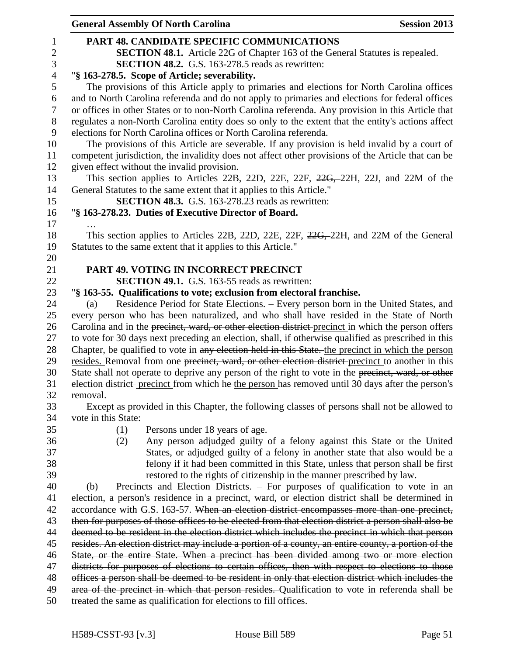|                | <b>General Assembly Of North Carolina</b><br><b>Session 2013</b>                                                                                                                                       |
|----------------|--------------------------------------------------------------------------------------------------------------------------------------------------------------------------------------------------------|
| 1              | <b>PART 48. CANDIDATE SPECIFIC COMMUNICATIONS</b>                                                                                                                                                      |
| $\overline{c}$ | <b>SECTION 48.1.</b> Article 22G of Chapter 163 of the General Statutes is repealed.                                                                                                                   |
| 3              | <b>SECTION 48.2.</b> G.S. 163-278.5 reads as rewritten:                                                                                                                                                |
| $\overline{4}$ | "§ 163-278.5. Scope of Article; severability.                                                                                                                                                          |
| 5              | The provisions of this Article apply to primaries and elections for North Carolina offices                                                                                                             |
| 6              | and to North Carolina referenda and do not apply to primaries and elections for federal offices                                                                                                        |
| 7              | or offices in other States or to non-North Carolina referenda. Any provision in this Article that                                                                                                      |
| 8              | regulates a non-North Carolina entity does so only to the extent that the entity's actions affect                                                                                                      |
| 9              | elections for North Carolina offices or North Carolina referenda.                                                                                                                                      |
| 10             | The provisions of this Article are severable. If any provision is held invalid by a court of                                                                                                           |
| 11             | competent jurisdiction, the invalidity does not affect other provisions of the Article that can be                                                                                                     |
| 12             | given effect without the invalid provision.                                                                                                                                                            |
| 13             | This section applies to Articles 22B, 22D, 22E, 22F, <del>22G, 22H</del> , 22J, and 22M of the                                                                                                         |
| 14             | General Statutes to the same extent that it applies to this Article."                                                                                                                                  |
| 15             | <b>SECTION 48.3.</b> G.S. 163-278.23 reads as rewritten:                                                                                                                                               |
| 16             | "§ 163-278.23. Duties of Executive Director of Board.                                                                                                                                                  |
| 17             |                                                                                                                                                                                                        |
| 18             | This section applies to Articles 22B, 22D, 22E, 22F, 22G, 22H, and 22M of the General                                                                                                                  |
| 19             | Statutes to the same extent that it applies to this Article."                                                                                                                                          |
| 20             |                                                                                                                                                                                                        |
| 21             | <b>PART 49. VOTING IN INCORRECT PRECINCT</b>                                                                                                                                                           |
| 22             | <b>SECTION 49.1.</b> G.S. 163-55 reads as rewritten:                                                                                                                                                   |
| 23             | "§ 163-55. Qualifications to vote; exclusion from electoral franchise.                                                                                                                                 |
| 24             | Residence Period for State Elections. – Every person born in the United States, and<br>(a)                                                                                                             |
| 25             | every person who has been naturalized, and who shall have resided in the State of North                                                                                                                |
| 26             | Carolina and in the precinct, ward, or other election district-precinct in which the person offers                                                                                                     |
| 27             | to vote for 30 days next preceding an election, shall, if otherwise qualified as prescribed in this                                                                                                    |
| 28             | Chapter, be qualified to vote in any election held in this State. the precinct in which the person<br>resides. Removal from one precinct, ward, or other election district-precinct to another in this |
| 29<br>30       | State shall not operate to deprive any person of the right to vote in the precinct, ward, or other                                                                                                     |
| 31             | election district- precinct from which he the person has removed until 30 days after the person's                                                                                                      |
| 32             | removal.                                                                                                                                                                                               |
| 33             | Except as provided in this Chapter, the following classes of persons shall not be allowed to                                                                                                           |
| 34             | vote in this State:                                                                                                                                                                                    |
| 35             | (1)<br>Persons under 18 years of age.                                                                                                                                                                  |
| 36             | Any person adjudged guilty of a felony against this State or the United<br>(2)                                                                                                                         |
| 37             | States, or adjudged guilty of a felony in another state that also would be a                                                                                                                           |
| 38             | felony if it had been committed in this State, unless that person shall be first                                                                                                                       |
| 39             | restored to the rights of citizenship in the manner prescribed by law.                                                                                                                                 |
| 40             | Precincts and Election Districts. - For purposes of qualification to vote in an<br>(b)                                                                                                                 |
| 41             | election, a person's residence in a precinct, ward, or election district shall be determined in                                                                                                        |
| 42             | accordance with G.S. 163-57. When an election district encompasses more than one precinct,                                                                                                             |
| 43             | then for purposes of those offices to be elected from that election district a person shall also be                                                                                                    |
| 44             | deemed to be resident in the election district which includes the precinct in which that person                                                                                                        |
| 45             | resides. An election district may include a portion of a county, an entire county, a portion of the                                                                                                    |
| 46             | State, or the entire State. When a precinct has been divided among two or more election                                                                                                                |
| 47             | districts for purposes of elections to certain offices, then with respect to elections to those                                                                                                        |
| 48             | offices a person shall be deemed to be resident in only that election district which includes the                                                                                                      |
| 49             | area of the precinct in which that person resides. Qualification to vote in referenda shall be                                                                                                         |
| 50             | treated the same as qualification for elections to fill offices.                                                                                                                                       |
|                |                                                                                                                                                                                                        |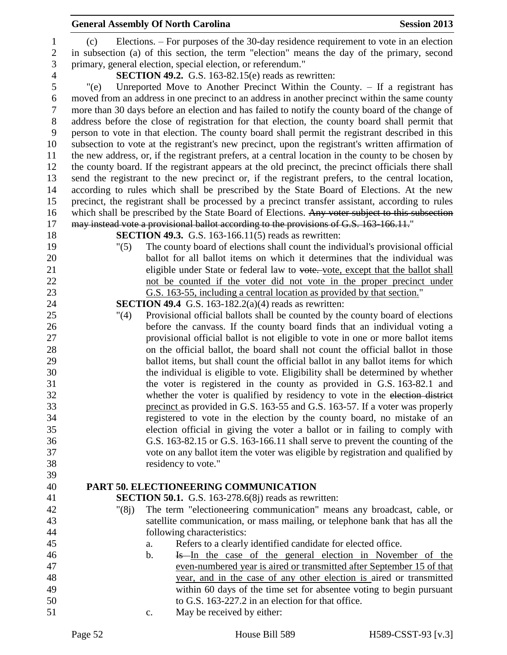# **General Assembly Of North Carolina Session 2013**  primary, general election, special election, or referendum." **SECTION 49.2.** G.S. 163-82.15(e) reads as rewritten: "(e) Unreported Move to Another Precinct Within the County. – If a registrant has moved from an address in one precinct to an address in another precinct within the same county more than 30 days before an election and has failed to notify the county board of the change of address before the close of registration for that election, the county board shall permit that person to vote in that election. The county board shall permit the registrant described in this subsection to vote at the registrant's new precinct, upon the registrant's written affirmation of the new address, or, if the registrant prefers, at a central location in the county to be chosen by the county board. If the registrant appears at the old precinct, the precinct officials there shall send the registrant to the new precinct or, if the registrant prefers, to the central location, according to rules which shall be prescribed by the State Board of Elections. At the new precinct, the registrant shall be processed by a precinct transfer assistant, according to rules 16 which shall be prescribed by the State Board of Elections. Any voter subject to this subsection 17 may instead vote a provisional ballot according to the provisions of G.S. 163-166.11." **SECTION 49.3.** G.S. 163-166.11(5) reads as rewritten: "(5) The county board of elections shall count the individual's provisional official ballot for all ballot items on which it determines that the individual was 21 eligible under State or federal law to vote, except that the ballot shall not be counted if the voter did not vote in the proper precinct under G.S. 163-55, including a central location as provided by that section." **SECTION 49.4** G.S. 163-182.2(a)(4) reads as rewritten: "(4) Provisional official ballots shall be counted by the county board of elections before the canvass. If the county board finds that an individual voting a

 provisional official ballot is not eligible to vote in one or more ballot items on the official ballot, the board shall not count the official ballot in those ballot items, but shall count the official ballot in any ballot items for which the individual is eligible to vote. Eligibility shall be determined by whether the voter is registered in the county as provided in G.S. 163-82.1 and 32 whether the voter is qualified by residency to vote in the election district precinct as provided in G.S. 163-55 and G.S. 163-57. If a voter was properly registered to vote in the election by the county board, no mistake of an election official in giving the voter a ballot or in failing to comply with G.S. 163-82.15 or G.S. 163-166.11 shall serve to prevent the counting of the vote on any ballot item the voter was eligible by registration and qualified by residency to vote."

# **PART 50. ELECTIONEERING COMMUNICATION**

- **SECTION 50.1.** G.S. 163-278.6(8j) reads as rewritten:
- "(8j) The term "electioneering communication" means any broadcast, cable, or satellite communication, or mass mailing, or telephone bank that has all the following characteristics:
- a. Refers to a clearly identified candidate for elected office.
- b. Is In the case of the general election in November of the even-numbered year is aired or transmitted after September 15 of that year, and in the case of any other election is aired or transmitted within 60 days of the time set for absentee voting to begin pursuant to G.S. 163-227.2 in an election for that office.
- c. May be received by either:

 (c) Elections. – For purposes of the 30-day residence requirement to vote in an election in subsection (a) of this section, the term "election" means the day of the primary, second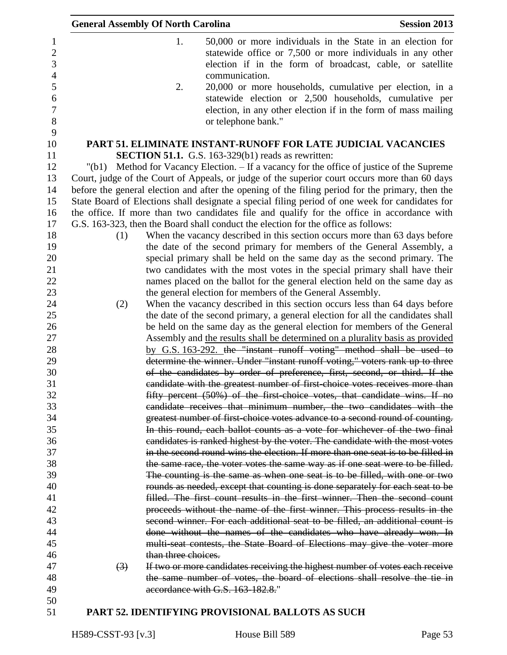|                                 | <b>General Assembly Of North Carolina</b> |                     |                                                                                    | <b>Session 2013</b>                                                                                                                                                                   |
|---------------------------------|-------------------------------------------|---------------------|------------------------------------------------------------------------------------|---------------------------------------------------------------------------------------------------------------------------------------------------------------------------------------|
| $\mathbf{1}$<br>$\sqrt{2}$<br>3 |                                           | 1.                  |                                                                                    | 50,000 or more individuals in the State in an election for<br>statewide office or 7,500 or more individuals in any other<br>election if in the form of broadcast, cable, or satellite |
| $\overline{4}$<br>$\mathfrak s$ |                                           | 2.                  | communication.                                                                     | 20,000 or more households, cumulative per election, in a                                                                                                                              |
| $\boldsymbol{6}$                |                                           |                     |                                                                                    | statewide election or 2,500 households, cumulative per                                                                                                                                |
| $\tau$<br>$8\,$                 |                                           |                     | or telephone bank."                                                                | election, in any other election if in the form of mass mailing                                                                                                                        |
| 9                               |                                           |                     |                                                                                    |                                                                                                                                                                                       |
| 10                              |                                           |                     |                                                                                    | PART 51. ELIMINATE INSTANT-RUNOFF FOR LATE JUDICIAL VACANCIES                                                                                                                         |
| 11                              |                                           |                     | <b>SECTION 51.1.</b> G.S. 163-329(b1) reads as rewritten:                          |                                                                                                                                                                                       |
| 12                              | " $(b1)$                                  |                     |                                                                                    | Method for Vacancy Election. – If a vacancy for the office of justice of the Supreme                                                                                                  |
| 13                              |                                           |                     |                                                                                    | Court, judge of the Court of Appeals, or judge of the superior court occurs more than 60 days                                                                                         |
| 14                              |                                           |                     |                                                                                    | before the general election and after the opening of the filing period for the primary, then the                                                                                      |
| 15                              |                                           |                     |                                                                                    | State Board of Elections shall designate a special filing period of one week for candidates for                                                                                       |
| 16                              |                                           |                     |                                                                                    | the office. If more than two candidates file and qualify for the office in accordance with                                                                                            |
| 17                              |                                           |                     | G.S. 163-323, then the Board shall conduct the election for the office as follows: |                                                                                                                                                                                       |
| 18                              | (1)                                       |                     |                                                                                    | When the vacancy described in this section occurs more than 63 days before                                                                                                            |
| 19                              |                                           |                     |                                                                                    | the date of the second primary for members of the General Assembly, a                                                                                                                 |
| 20                              |                                           |                     |                                                                                    | special primary shall be held on the same day as the second primary. The                                                                                                              |
| 21                              |                                           |                     |                                                                                    | two candidates with the most votes in the special primary shall have their                                                                                                            |
| 22<br>23                        |                                           |                     |                                                                                    | names placed on the ballot for the general election held on the same day as                                                                                                           |
| 24                              |                                           |                     | the general election for members of the General Assembly.                          |                                                                                                                                                                                       |
| 25                              | (2)                                       |                     |                                                                                    | When the vacancy described in this section occurs less than 64 days before<br>the date of the second primary, a general election for all the candidates shall                         |
| 26                              |                                           |                     |                                                                                    | be held on the same day as the general election for members of the General                                                                                                            |
| 27                              |                                           |                     |                                                                                    | Assembly and the results shall be determined on a plurality basis as provided                                                                                                         |
| 28                              |                                           |                     |                                                                                    | by G.S. 163-292. the "instant runoff voting" method shall be used to                                                                                                                  |
| 29                              |                                           |                     |                                                                                    | determine the winner. Under "instant runoff voting," voters rank up to three                                                                                                          |
| 30                              |                                           |                     |                                                                                    | of the candidates by order of preference, first, second, or third. If the                                                                                                             |
| 31                              |                                           |                     |                                                                                    | candidate with the greatest number of first choice votes receives more than                                                                                                           |
| 32                              |                                           |                     |                                                                                    | fifty percent (50%) of the first-choice votes, that candidate wins. If no                                                                                                             |
| 33                              |                                           |                     |                                                                                    | candidate receives that minimum number, the two candidates with the                                                                                                                   |
| 34                              |                                           |                     |                                                                                    | greatest number of first-choice votes advance to a second round of counting.                                                                                                          |
| 35                              |                                           |                     |                                                                                    | In this round, each ballot counts as a vote for whichever of the two final                                                                                                            |
| 36                              |                                           |                     |                                                                                    | candidates is ranked highest by the voter. The candidate with the most votes                                                                                                          |
| 37                              |                                           |                     |                                                                                    | in the second round wins the election. If more than one seat is to be filled in                                                                                                       |
| 38                              |                                           |                     |                                                                                    | the same race, the voter votes the same way as if one seat were to be filled.                                                                                                         |
| 39                              |                                           |                     |                                                                                    | The counting is the same as when one seat is to be filled, with one or two                                                                                                            |
| 40                              |                                           |                     |                                                                                    | rounds as needed, except that counting is done separately for each seat to be                                                                                                         |
| 41                              |                                           |                     |                                                                                    | filled. The first count results in the first winner. Then the second count                                                                                                            |
| 42                              |                                           |                     |                                                                                    | proceeds without the name of the first winner. This process results in the                                                                                                            |
| 43                              |                                           |                     |                                                                                    | second winner. For each additional seat to be filled, an additional count is                                                                                                          |
| 44                              |                                           |                     |                                                                                    | done without the names of the candidates who have already won. In                                                                                                                     |
| 45                              |                                           |                     |                                                                                    | multi-seat contests, the State Board of Elections may give the voter more                                                                                                             |
| 46                              |                                           | than three choices. |                                                                                    |                                                                                                                                                                                       |
| 47                              | (3)                                       |                     |                                                                                    | If two or more candidates receiving the highest number of votes each receive                                                                                                          |
| 48                              |                                           |                     |                                                                                    | the same number of votes, the board of elections shall resolve the tie in                                                                                                             |
| 49                              |                                           |                     | accordance with G.S. 163-182.8."                                                   |                                                                                                                                                                                       |
| 50                              |                                           |                     |                                                                                    |                                                                                                                                                                                       |
| 51                              |                                           |                     | PART 52. IDENTIFYING PROVISIONAL BALLOTS AS SUCH                                   |                                                                                                                                                                                       |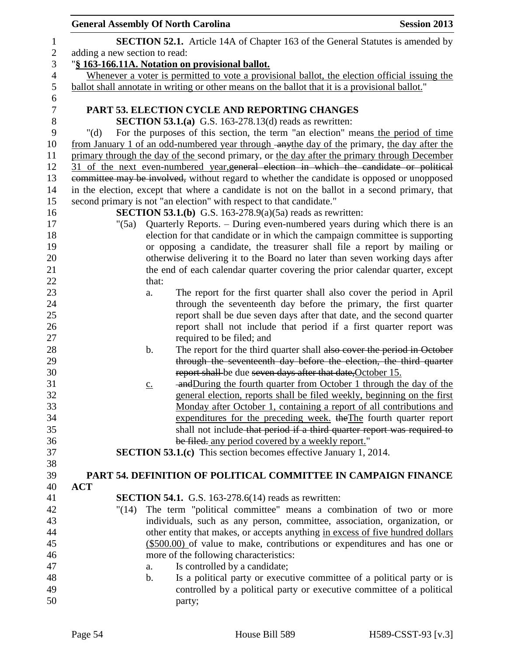| <b>General Assembly Of North Carolina</b> |                                                                                                                                              | <b>Session 2013</b> |  |  |
|-------------------------------------------|----------------------------------------------------------------------------------------------------------------------------------------------|---------------------|--|--|
|                                           | <b>SECTION 52.1.</b> Article 14A of Chapter 163 of the General Statutes is amended by                                                        |                     |  |  |
| adding a new section to read:             |                                                                                                                                              |                     |  |  |
|                                           | "§ 163-166.11A. Notation on provisional ballot.                                                                                              |                     |  |  |
|                                           | Whenever a voter is permitted to vote a provisional ballot, the election official issuing the                                                |                     |  |  |
|                                           | ballot shall annotate in writing or other means on the ballot that it is a provisional ballot."                                              |                     |  |  |
|                                           |                                                                                                                                              |                     |  |  |
|                                           | PART 53. ELECTION CYCLE AND REPORTING CHANGES                                                                                                |                     |  |  |
|                                           | <b>SECTION 53.1.(a)</b> G.S. 163-278.13(d) reads as rewritten:                                                                               |                     |  |  |
| " $(d)$                                   | For the purposes of this section, the term "an election" means the period of time                                                            |                     |  |  |
|                                           | from January 1 of an odd-numbered year through anythe day of the primary, the day after the                                                  |                     |  |  |
|                                           | primary through the day of the second primary, or the day after the primary through December                                                 |                     |  |  |
|                                           | 31 of the next even-numbered year, general election in which the candidate or political                                                      |                     |  |  |
|                                           | committee may be involved, without regard to whether the candidate is opposed or unopposed                                                   |                     |  |  |
|                                           | in the election, except that where a candidate is not on the ballot in a second primary, that                                                |                     |  |  |
|                                           | second primary is not "an election" with respect to that candidate."                                                                         |                     |  |  |
|                                           | <b>SECTION 53.1.(b)</b> G.S. 163-278.9(a)(5a) reads as rewritten:                                                                            |                     |  |  |
| " $(5a)$                                  | Quarterly Reports. – During even-numbered years during which there is an                                                                     |                     |  |  |
|                                           | election for that candidate or in which the campaign committee is supporting                                                                 |                     |  |  |
|                                           | or opposing a candidate, the treasurer shall file a report by mailing or                                                                     |                     |  |  |
|                                           | otherwise delivering it to the Board no later than seven working days after                                                                  |                     |  |  |
|                                           | the end of each calendar quarter covering the prior calendar quarter, except                                                                 |                     |  |  |
| that:                                     |                                                                                                                                              |                     |  |  |
| a.                                        | The report for the first quarter shall also cover the period in April                                                                        |                     |  |  |
|                                           | through the seventeenth day before the primary, the first quarter                                                                            |                     |  |  |
|                                           | report shall be due seven days after that date, and the second quarter<br>report shall not include that period if a first quarter report was |                     |  |  |
|                                           | required to be filed; and                                                                                                                    |                     |  |  |
| b.                                        | The report for the third quarter shall also cover the period in October                                                                      |                     |  |  |
|                                           | through the seventeenth day before the election, the third quarter                                                                           |                     |  |  |
|                                           | report shall be due seven days after that date, October 15.                                                                                  |                     |  |  |
| $\underline{c}$ .                         | and During the fourth quarter from October 1 through the day of the                                                                          |                     |  |  |
|                                           | general election, reports shall be filed weekly, beginning on the first                                                                      |                     |  |  |
|                                           | Monday after October 1, containing a report of all contributions and                                                                         |                     |  |  |
|                                           | expenditures for the preceding week. the The fourth quarter report                                                                           |                     |  |  |
|                                           | shall not include that period if a third quarter report was required to                                                                      |                     |  |  |
|                                           | be filed, any period covered by a weekly report."                                                                                            |                     |  |  |
|                                           | <b>SECTION 53.1.(c)</b> This section becomes effective January 1, 2014.                                                                      |                     |  |  |
|                                           |                                                                                                                                              |                     |  |  |
|                                           | PART 54. DEFINITION OF POLITICAL COMMITTEE IN CAMPAIGN FINANCE                                                                               |                     |  |  |
| <b>ACT</b>                                |                                                                                                                                              |                     |  |  |
|                                           | <b>SECTION 54.1.</b> G.S. 163-278.6(14) reads as rewritten:                                                                                  |                     |  |  |
| "(14)                                     | The term "political committee" means a combination of two or more                                                                            |                     |  |  |
|                                           | individuals, such as any person, committee, association, organization, or                                                                    |                     |  |  |
|                                           | other entity that makes, or accepts anything in excess of five hundred dollars                                                               |                     |  |  |
|                                           | (\$500.00) of value to make, contributions or expenditures and has one or                                                                    |                     |  |  |
|                                           | more of the following characteristics:                                                                                                       |                     |  |  |
| a.                                        | Is controlled by a candidate;                                                                                                                |                     |  |  |
| b.                                        | Is a political party or executive committee of a political party or is                                                                       |                     |  |  |
|                                           | controlled by a political party or executive committee of a political                                                                        |                     |  |  |
|                                           | party;                                                                                                                                       |                     |  |  |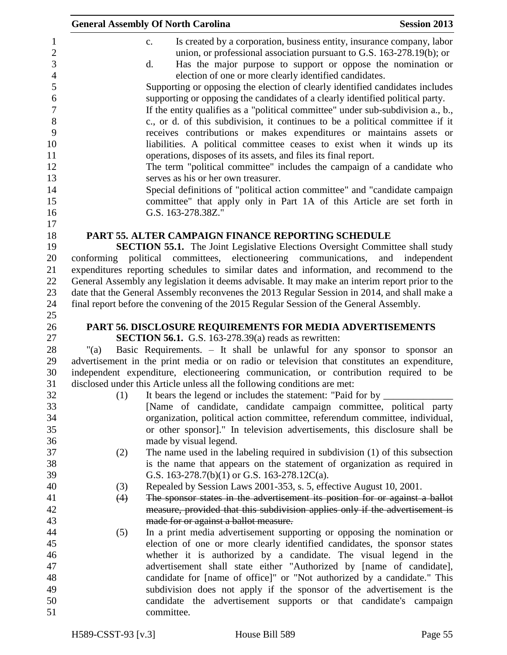|            | <b>General Assembly Of North Carolina</b>                                                                                                                                                                                                                                                                                                                                                                                                                                                                                                                                                                                                                                                                                                                                                                                                                                                                                                                                                                                                                                                                                                                          | <b>Session 2013</b> |
|------------|--------------------------------------------------------------------------------------------------------------------------------------------------------------------------------------------------------------------------------------------------------------------------------------------------------------------------------------------------------------------------------------------------------------------------------------------------------------------------------------------------------------------------------------------------------------------------------------------------------------------------------------------------------------------------------------------------------------------------------------------------------------------------------------------------------------------------------------------------------------------------------------------------------------------------------------------------------------------------------------------------------------------------------------------------------------------------------------------------------------------------------------------------------------------|---------------------|
|            | Is created by a corporation, business entity, insurance company, labor<br>$\mathbf{c}$ .<br>union, or professional association pursuant to G.S. $163-278.19(b)$ ; or<br>Has the major purpose to support or oppose the nomination or<br>d.<br>election of one or more clearly identified candidates.<br>Supporting or opposing the election of clearly identified candidates includes<br>supporting or opposing the candidates of a clearly identified political party.<br>If the entity qualifies as a "political committee" under sub-subdivision a., b.,<br>c., or d. of this subdivision, it continues to be a political committee if it<br>receives contributions or makes expenditures or maintains assets or<br>liabilities. A political committee ceases to exist when it winds up its<br>operations, disposes of its assets, and files its final report.<br>The term "political committee" includes the campaign of a candidate who<br>serves as his or her own treasurer.<br>Special definitions of "political action committee" and "candidate campaign<br>committee" that apply only in Part 1A of this Article are set forth in<br>G.S. 163-278.38Z." |                     |
|            |                                                                                                                                                                                                                                                                                                                                                                                                                                                                                                                                                                                                                                                                                                                                                                                                                                                                                                                                                                                                                                                                                                                                                                    |                     |
| conforming | PART 55. ALTER CAMPAIGN FINANCE REPORTING SCHEDULE<br><b>SECTION 55.1.</b> The Joint Legislative Elections Oversight Committee shall study<br>political committees, electioneering communications,<br>expenditures reporting schedules to similar dates and information, and recommend to the<br>General Assembly any legislation it deems advisable. It may make an interim report prior to the<br>date that the General Assembly reconvenes the 2013 Regular Session in 2014, and shall make a<br>final report before the convening of the 2015 Regular Session of the General Assembly.                                                                                                                                                                                                                                                                                                                                                                                                                                                                                                                                                                         | and<br>independent  |
|            |                                                                                                                                                                                                                                                                                                                                                                                                                                                                                                                                                                                                                                                                                                                                                                                                                                                                                                                                                                                                                                                                                                                                                                    |                     |
|            | PART 56. DISCLOSURE REQUIREMENTS FOR MEDIA ADVERTISEMENTS<br><b>SECTION 56.1.</b> G.S. 163-278.39(a) reads as rewritten:                                                                                                                                                                                                                                                                                                                                                                                                                                                                                                                                                                                                                                                                                                                                                                                                                                                                                                                                                                                                                                           |                     |
| "(a)       | Basic Requirements. - It shall be unlawful for any sponsor to sponsor an                                                                                                                                                                                                                                                                                                                                                                                                                                                                                                                                                                                                                                                                                                                                                                                                                                                                                                                                                                                                                                                                                           |                     |
|            | advertisement in the print media or on radio or television that constitutes an expenditure,                                                                                                                                                                                                                                                                                                                                                                                                                                                                                                                                                                                                                                                                                                                                                                                                                                                                                                                                                                                                                                                                        |                     |
|            | independent expenditure, electioneering communication, or contribution required to be                                                                                                                                                                                                                                                                                                                                                                                                                                                                                                                                                                                                                                                                                                                                                                                                                                                                                                                                                                                                                                                                              |                     |
|            | disclosed under this Article unless all the following conditions are met:                                                                                                                                                                                                                                                                                                                                                                                                                                                                                                                                                                                                                                                                                                                                                                                                                                                                                                                                                                                                                                                                                          |                     |
| (1)        |                                                                                                                                                                                                                                                                                                                                                                                                                                                                                                                                                                                                                                                                                                                                                                                                                                                                                                                                                                                                                                                                                                                                                                    |                     |
|            | [Name of candidate, candidate campaign committee, political party                                                                                                                                                                                                                                                                                                                                                                                                                                                                                                                                                                                                                                                                                                                                                                                                                                                                                                                                                                                                                                                                                                  |                     |
|            | organization, political action committee, referendum committee, individual,                                                                                                                                                                                                                                                                                                                                                                                                                                                                                                                                                                                                                                                                                                                                                                                                                                                                                                                                                                                                                                                                                        |                     |
|            | or other sponsor]." In television advertisements, this disclosure shall be                                                                                                                                                                                                                                                                                                                                                                                                                                                                                                                                                                                                                                                                                                                                                                                                                                                                                                                                                                                                                                                                                         |                     |
|            | made by visual legend.                                                                                                                                                                                                                                                                                                                                                                                                                                                                                                                                                                                                                                                                                                                                                                                                                                                                                                                                                                                                                                                                                                                                             |                     |
| (2)        | The name used in the labeling required in subdivision $(1)$ of this subsection<br>is the name that appears on the statement of organization as required in                                                                                                                                                                                                                                                                                                                                                                                                                                                                                                                                                                                                                                                                                                                                                                                                                                                                                                                                                                                                         |                     |
|            | G.S. 163-278.7(b)(1) or G.S. 163-278.12C(a).                                                                                                                                                                                                                                                                                                                                                                                                                                                                                                                                                                                                                                                                                                                                                                                                                                                                                                                                                                                                                                                                                                                       |                     |
| (3)        | Repealed by Session Laws 2001-353, s. 5, effective August 10, 2001.                                                                                                                                                                                                                                                                                                                                                                                                                                                                                                                                                                                                                                                                                                                                                                                                                                                                                                                                                                                                                                                                                                |                     |
| (4)        | The sponsor states in the advertisement its position for or against a ballot                                                                                                                                                                                                                                                                                                                                                                                                                                                                                                                                                                                                                                                                                                                                                                                                                                                                                                                                                                                                                                                                                       |                     |
|            | measure, provided that this subdivision applies only if the advertisement is                                                                                                                                                                                                                                                                                                                                                                                                                                                                                                                                                                                                                                                                                                                                                                                                                                                                                                                                                                                                                                                                                       |                     |
|            | made for or against a ballot measure.                                                                                                                                                                                                                                                                                                                                                                                                                                                                                                                                                                                                                                                                                                                                                                                                                                                                                                                                                                                                                                                                                                                              |                     |
| (5)        | In a print media advertisement supporting or opposing the nomination or                                                                                                                                                                                                                                                                                                                                                                                                                                                                                                                                                                                                                                                                                                                                                                                                                                                                                                                                                                                                                                                                                            |                     |
|            | election of one or more clearly identified candidates, the sponsor states                                                                                                                                                                                                                                                                                                                                                                                                                                                                                                                                                                                                                                                                                                                                                                                                                                                                                                                                                                                                                                                                                          |                     |
|            | whether it is authorized by a candidate. The visual legend in the                                                                                                                                                                                                                                                                                                                                                                                                                                                                                                                                                                                                                                                                                                                                                                                                                                                                                                                                                                                                                                                                                                  |                     |
|            | advertisement shall state either "Authorized by [name of candidate],                                                                                                                                                                                                                                                                                                                                                                                                                                                                                                                                                                                                                                                                                                                                                                                                                                                                                                                                                                                                                                                                                               |                     |
|            | candidate for [name of office]" or "Not authorized by a candidate." This                                                                                                                                                                                                                                                                                                                                                                                                                                                                                                                                                                                                                                                                                                                                                                                                                                                                                                                                                                                                                                                                                           |                     |
|            | subdivision does not apply if the sponsor of the advertisement is the                                                                                                                                                                                                                                                                                                                                                                                                                                                                                                                                                                                                                                                                                                                                                                                                                                                                                                                                                                                                                                                                                              |                     |
|            | candidate the advertisement supports or that candidate's campaign                                                                                                                                                                                                                                                                                                                                                                                                                                                                                                                                                                                                                                                                                                                                                                                                                                                                                                                                                                                                                                                                                                  |                     |
|            | committee.                                                                                                                                                                                                                                                                                                                                                                                                                                                                                                                                                                                                                                                                                                                                                                                                                                                                                                                                                                                                                                                                                                                                                         |                     |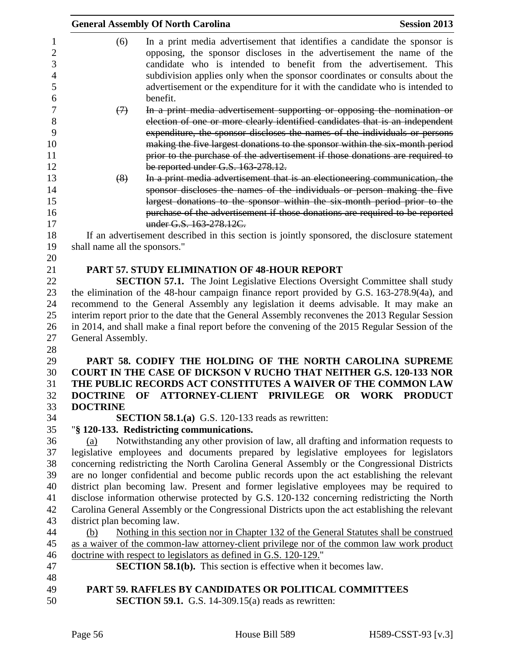|                                                                                                                                                                                                  | <b>General Assembly Of North Carolina</b>                                                               | <b>Session 2013</b> |  |
|--------------------------------------------------------------------------------------------------------------------------------------------------------------------------------------------------|---------------------------------------------------------------------------------------------------------|---------------------|--|
| (6)                                                                                                                                                                                              | In a print media advertisement that identifies a candidate the sponsor is                               |                     |  |
|                                                                                                                                                                                                  | opposing, the sponsor discloses in the advertisement the name of the                                    |                     |  |
|                                                                                                                                                                                                  | candidate who is intended to benefit from the advertisement. This                                       |                     |  |
|                                                                                                                                                                                                  | subdivision applies only when the sponsor coordinates or consults about the                             |                     |  |
|                                                                                                                                                                                                  |                                                                                                         |                     |  |
|                                                                                                                                                                                                  | advertisement or the expenditure for it with the candidate who is intended to<br>benefit.               |                     |  |
|                                                                                                                                                                                                  | In a print media advertisement supporting or opposing the nomination or                                 |                     |  |
| $\leftrightarrow$                                                                                                                                                                                | election of one or more clearly identified candidates that is an independent                            |                     |  |
|                                                                                                                                                                                                  | expenditure, the sponsor discloses the names of the individuals or persons                              |                     |  |
|                                                                                                                                                                                                  | making the five largest donations to the sponsor within the six-month period                            |                     |  |
|                                                                                                                                                                                                  | prior to the purchase of the advertisement if those donations are required to                           |                     |  |
|                                                                                                                                                                                                  | be reported under G.S. 163-278.12.                                                                      |                     |  |
|                                                                                                                                                                                                  | In a print media advertisement that is an electioneering communication, the                             |                     |  |
| (8)                                                                                                                                                                                              | sponsor discloses the names of the individuals or person making the five                                |                     |  |
|                                                                                                                                                                                                  |                                                                                                         |                     |  |
|                                                                                                                                                                                                  | largest donations to the sponsor within the six month period prior to the                               |                     |  |
|                                                                                                                                                                                                  | purchase of the advertisement if those donations are required to be reported<br>under G.S. 163-278.12C. |                     |  |
|                                                                                                                                                                                                  | If an advertisement described in this section is jointly sponsored, the disclosure statement            |                     |  |
|                                                                                                                                                                                                  |                                                                                                         |                     |  |
| shall name all the sponsors."                                                                                                                                                                    |                                                                                                         |                     |  |
|                                                                                                                                                                                                  | <b>PART 57. STUDY ELIMINATION OF 48-HOUR REPORT</b>                                                     |                     |  |
|                                                                                                                                                                                                  | <b>SECTION 57.1.</b> The Joint Legislative Elections Oversight Committee shall study                    |                     |  |
|                                                                                                                                                                                                  |                                                                                                         |                     |  |
| the elimination of the 48-hour campaign finance report provided by G.S. 163-278.9(4a), and                                                                                                       |                                                                                                         |                     |  |
| recommend to the General Assembly any legislation it deems advisable. It may make an                                                                                                             |                                                                                                         |                     |  |
| interim report prior to the date that the General Assembly reconvenes the 2013 Regular Session<br>in 2014, and shall make a final report before the convening of the 2015 Regular Session of the |                                                                                                         |                     |  |
| General Assembly.                                                                                                                                                                                |                                                                                                         |                     |  |
|                                                                                                                                                                                                  |                                                                                                         |                     |  |
|                                                                                                                                                                                                  | PART 58. CODIFY THE HOLDING OF THE NORTH CAROLINA SUPREME                                               |                     |  |
|                                                                                                                                                                                                  | <b>COURT IN THE CASE OF DICKSON V RUCHO THAT NEITHER G.S. 120-133 NOR</b>                               |                     |  |
|                                                                                                                                                                                                  | THE PUBLIC RECORDS ACT CONSTITUTES A WAIVER OF THE COMMON LAW                                           |                     |  |
| <b>DOCTRINE</b>                                                                                                                                                                                  | OF ATTORNEY-CLIENT PRIVILEGE OR WORK PRODUCT                                                            |                     |  |
| <b>DOCTRINE</b>                                                                                                                                                                                  |                                                                                                         |                     |  |
|                                                                                                                                                                                                  | <b>SECTION 58.1.(a)</b> G.S. 120-133 reads as rewritten:                                                |                     |  |
|                                                                                                                                                                                                  | "§ 120-133. Redistricting communications.                                                               |                     |  |
| (a)                                                                                                                                                                                              | Notwithstanding any other provision of law, all drafting and information requests to                    |                     |  |
|                                                                                                                                                                                                  | legislative employees and documents prepared by legislative employees for legislators                   |                     |  |
|                                                                                                                                                                                                  | concerning redistricting the North Carolina General Assembly or the Congressional Districts             |                     |  |
| are no longer confidential and become public records upon the act establishing the relevant                                                                                                      |                                                                                                         |                     |  |
| district plan becoming law. Present and former legislative employees may be required to                                                                                                          |                                                                                                         |                     |  |
| disclose information otherwise protected by G.S. 120-132 concerning redistricting the North                                                                                                      |                                                                                                         |                     |  |
| Carolina General Assembly or the Congressional Districts upon the act establishing the relevant                                                                                                  |                                                                                                         |                     |  |
| district plan becoming law.                                                                                                                                                                      |                                                                                                         |                     |  |
| (b)                                                                                                                                                                                              | Nothing in this section nor in Chapter 132 of the General Statutes shall be construed                   |                     |  |
|                                                                                                                                                                                                  | as a waiver of the common-law attorney-client privilege nor of the common law work product              |                     |  |
|                                                                                                                                                                                                  | doctrine with respect to legislators as defined in G.S. 120-129."                                       |                     |  |
|                                                                                                                                                                                                  | <b>SECTION 58.1(b).</b> This section is effective when it becomes law.                                  |                     |  |
|                                                                                                                                                                                                  |                                                                                                         |                     |  |
|                                                                                                                                                                                                  | PART 59. RAFFLES BY CANDIDATES OR POLITICAL COMMITTEES                                                  |                     |  |
|                                                                                                                                                                                                  | <b>SECTION 59.1.</b> G.S. 14-309.15(a) reads as rewritten:                                              |                     |  |